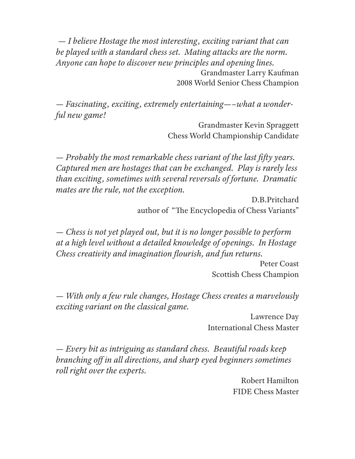— *I believe Hostage the most interesting, exciting variant that can be played with a standard chess set. Mating attacks are the norm. Anyone can hope to discover new principles and opening lines.* Grandmaster Larry Kaufman 2008 World Senior Chess Champion

— *Fascinating, exciting, extremely entertaining—–what a wonderful new game!*

> Grandmaster Kevin Spraggett Chess World Championship Candidate

 $-$  *Probably the most remarkable chess variant of the last fifty years. Captured men are hostages that can be exchanged. Play is rarely less than exciting, sometimes with several reversals of fortune. Dramatic mates are the rule, not the exception.*

> D.B.Pritchard author of "The Encyclopedia of Chess Variants"

— *Chess is not yet played out, but it is no longer possible to perform at a high level without a detailed knowledge of openings. In Hostage Chess creativity and imagination flourish, and fun returns.* 

> Peter Coast Scottish Chess Champion

— *With only a few rule changes, Hostage Chess creates a marvelously exciting variant on the classical game.*

> Lawrence Day International Chess Master

— *Every bit as intriguing as standard chess. Beautiful roads keep branching off in all directions, and sharp eyed beginners sometimes roll right over the experts.*

> Robert Hamilton FIDE Chess Master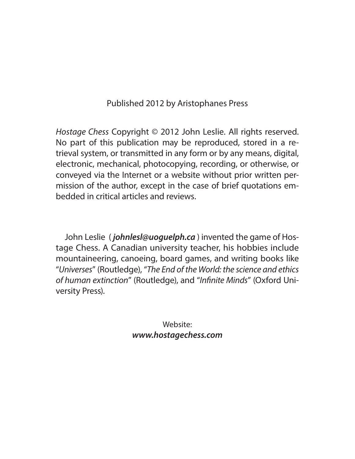#### Published 2012 by Aristophanes Press

Hostage Chess Copyright © 2012 John Leslie. All rights reserved. No part of this publication may be reproduced, stored in a retrieval system, or transmitted in any form or by any means, digital, electronic, mechanical, photocopying, recording, or otherwise, or conveyed via the Internet or a website without prior written permission of the author, except in the case of brief quotations embedded in critical articles and reviews.

John Leslie ( *johnlesl@uoguelph.ca* ) invented the game of Hostage Chess. A Canadian university teacher, his hobbies include mountaineering, canoeing, board games, and writing books like "Universes" (Routledge), "The End of the World: the science and ethics of human extinction" (Routledge), and "Infinite Minds" (Oxford University Press).

> Website: *www.hostagechess.com*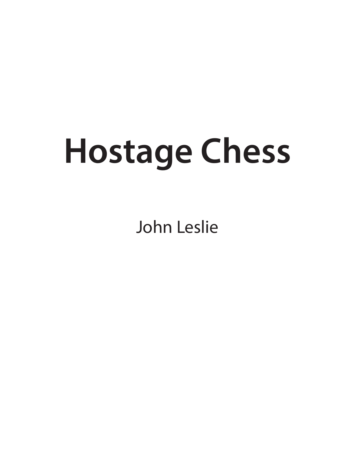# **Hostage Chess**

John Leslie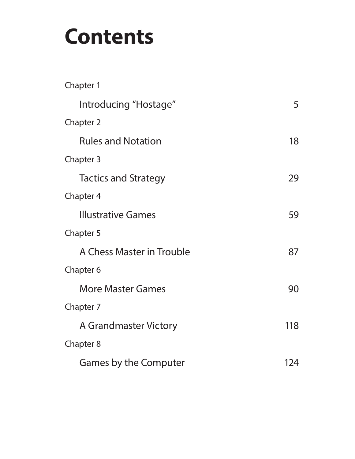## **Contents**

| Chapter 1                   |     |
|-----------------------------|-----|
| Introducing "Hostage"       | 5   |
| Chapter 2                   |     |
| <b>Rules and Notation</b>   | 18  |
| Chapter 3                   |     |
| <b>Tactics and Strategy</b> | 29  |
| <b>Chapter 4</b>            |     |
| <b>Illustrative Games</b>   | 59  |
| Chapter 5                   |     |
| A Chess Master in Trouble   | 87  |
| Chapter 6                   |     |
| <b>More Master Games</b>    | 90  |
| Chapter 7                   |     |
| A Grandmaster Victory       | 118 |
| Chapter 8                   |     |
| Games by the Computer       | 124 |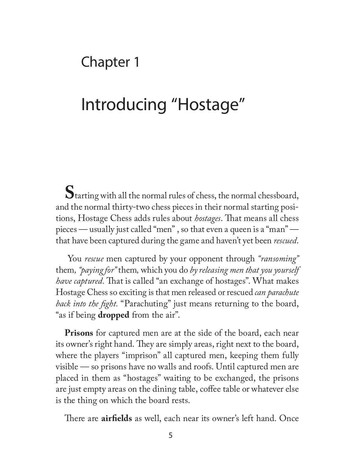## Chapter 1

## Introducing "Hostage"

**S**tarting with all the normal rules of chess, the normal chessboard, and the normal thirty-two chess pieces in their normal starting positions, Hostage Chess adds rules about *hostages*. That means all chess pieces — usually just called "men" , so that even a queen is a "man" that have been captured during the game and haven't yet been *rescued*.

 You *rescue* men captured by your opponent through *"ransoming"*  them*, "paying for"* them*,* which you do *by releasing men that you yourself have captured*. That is called "an exchange of hostages". What makes Hostage Chess so exciting is that men released or rescued *can parachute*  back into the fight. "Parachuting" just means returning to the board, "as if being **dropped** from the air".

**Prisons** for captured men are at the side of the board, each near its owner's right hand. They are simply areas, right next to the board, where the players "imprison" all captured men, keeping them fully visible — so prisons have no walls and roofs. Until captured men are placed in them as "hostages" waiting to be exchanged, the prisons are just empty areas on the dining table, coffee table or whatever else is the thing on which the board rests.

There are **airfields** as well, each near its owner's left hand. Once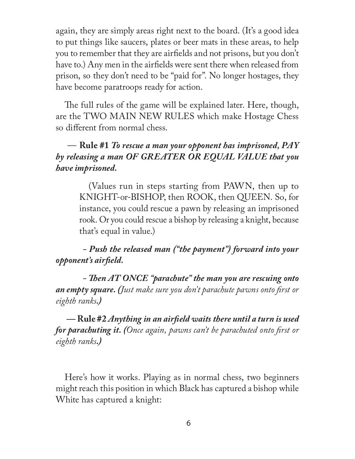again, they are simply areas right next to the board. (It's a good idea to put things like saucers, plates or beer mats in these areas, to help you to remember that they are airfields and not prisons, but you don't have to.) Any men in the airfields were sent there when released from prison, so they don't need to be "paid for". No longer hostages, they have become paratroops ready for action.

The full rules of the game will be explained later. Here, though, are the TWO MAIN NEW RULES which make Hostage Chess so different from normal chess.

#### — **Rule #1** *To rescue a man your opponent has imprisoned, PAY by releasing a man OF GREATER OR EQUAL VALUE that you have imprisoned.*

(Values run in steps starting from PAWN, then up to KNIGHT-or-BISHOP, then ROOK, then QUEEN. So, for instance, you could rescue a pawn by releasing an imprisoned rook. Or you could rescue a bishop by releasing a knight, because that's equal in value.)

#### *- Push the released man ("the payment") forward into your opponent's airfi eld.*

*- Then AT ONCE "parachute" the man you are rescuing onto* **an empty square.** (*Just make sure you don't parachute pawns onto first or eighth ranks.)*

 $\rightarrow$  Rule #2 *Anything in an airfield waits there until a turn is used for parachuting it.* (Once again, pawns can't be parachuted onto first or *eighth ranks.)*

Here's how it works. Playing as in normal chess, two beginners might reach this position in which Black has captured a bishop while White has captured a knight: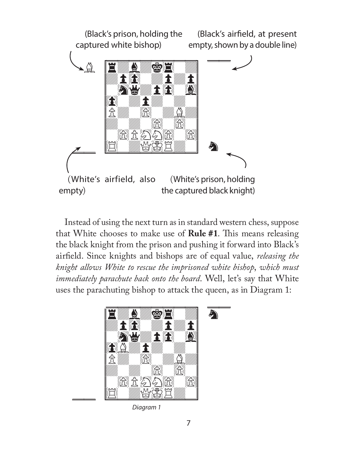

Instead of using the next turn as in standard western chess, suppose that White chooses to make use of **Rule #1**. This means releasing the black knight from the prison and pushing it forward into Black's airfield. Since knights and bishops are of equal value, *releasing the knight allows White to rescue the imprisoned white bishop*, *which must immediately parachute back onto the board*. Well, let's say that White uses the parachuting bishop to attack the queen, as in Diagram 1:



Diagram 1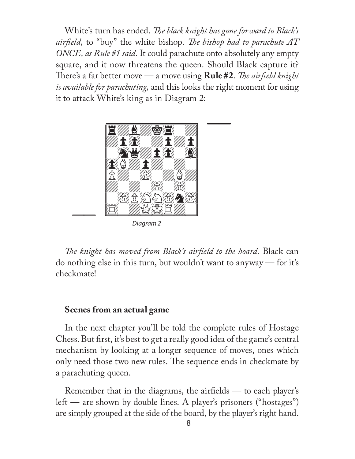White's turn has ended. *The black knight has gone forward to Black's airfield*, to "buy" the white bishop. The bishop had to parachute AT *ONCE, as Rule #1 said.* It could parachute onto absolutely any empty square, and it now threatens the queen. Should Black capture it? There's a far better move — a move using **Rule #2**. *The airfield knight is available for parachuting,* and this looks the right moment for using it to attack White's king as in Diagram 2:



Diagram 2

*The knight has moved from Black's airfield to the board.* Black can do nothing else in this turn, but wouldn't want to anyway — for it's checkmate!

#### **Scenes from an actual game**

In the next chapter you'll be told the complete rules of Hostage Chess. But first, it's best to get a really good idea of the game's central mechanism by looking at a longer sequence of moves, ones which only need those two new rules. The sequence ends in checkmate by a parachuting queen.

Remember that in the diagrams, the airfields  $-$  to each player's left — are shown by double lines. A player's prisoners ("hostages") are simply grouped at the side of the board, by the player's right hand.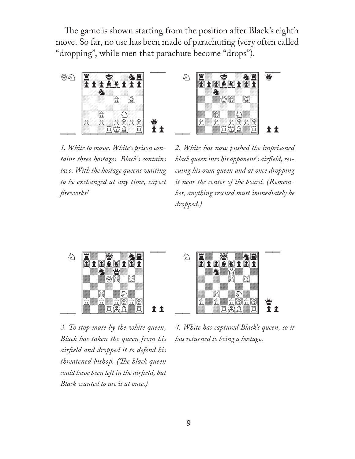The game is shown starting from the position after Black's eighth move. So far, no use has been made of parachuting (very often called "dropping", while men that parachute become "drops").





*1. White to move. White's prison contains three hostages. Black's contains two. With the hostage queens waiting to be exchanged at any time, expect fi reworks!*

*2. White has now pushed the imprisoned*  black queen into his opponent's airfield, res*cuing his own queen and at once dropping it near the center of the board. (Remember, anything rescued must immediately be dropped.)* 



*3. To stop mate by the white queen, Black has taken the queen from his airfi eld and dropped it to defend his threatened bishop. (The black queen could have been left in the airfi eld, but Black wanted to use it at once.)* 



*4. White has captured Black's queen, so it has returned to being a hostage.*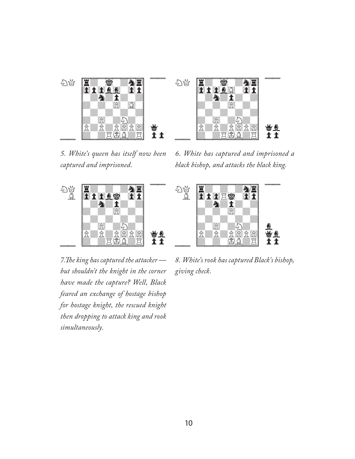

*5. White's queen has itself now been captured and imprisoned.*

*6. White has captured and imprisoned a black bishop, and attacks the black king.*



 cuuuuuuuuCuu NG <mark>Himana</mark><br>Nating hi B{0p0Riw0p}  ${w}$   ${w}$   ${w}$   ${w}$  $d_{\rm d}$  and  $d_{\rm d}$  and  $d_{\rm d}$  and  $d_{\rm d}$  and  $d_{\rm d}$  {wdwdwdwd}  $\|x\|$   $\geq$  $|\hat{E}|\|\hat{E}|\|\hat{E}|\hat{E}$  {dwdwIBdR}pp lle and the second control of the second control of the second control of the second control of the second control of the second control of the second control of the second control of the second control of the second contr

7. The king has captured the attacker *but shouldn't the knight in the corner have made the capture? Well, Black feared an exchange of hostage bishop for hostage knight, the rescued knight then dropping to attack king and rook simultaneously.*

*8. White's rook has captured Black's bishop, giving check.*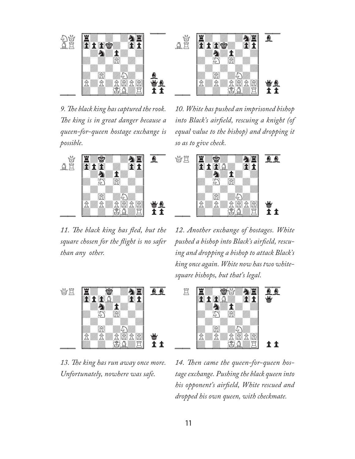

*9. The black king has captured the rook.* The king is in great danger because a *queen-for-queen hostage exchange is possible.*



11. The black king has fled, but the *square chosen for the fl ight is no safer than any other.*



*10. White has pushed an imprisoned bishop*  into Black's airfield, rescuing a knight (of *equal value to the bishop) and dropping it so as to give check.*



*12. Another exchange of hostages. White*  pushed a bishop into Black's airfield, rescu*ing and dropping a bishop to attack Black's king once again. White now has two whitesquare bishops, but that's legal.* 



13. The king has run away once more. *Unfortunately, nowhere was safe.*



14. Then came the queen-for-queen hos*tage exchange. Pushing the black queen into his opponent's airfi eld, White rescued and dropped his own queen, with checkmate.*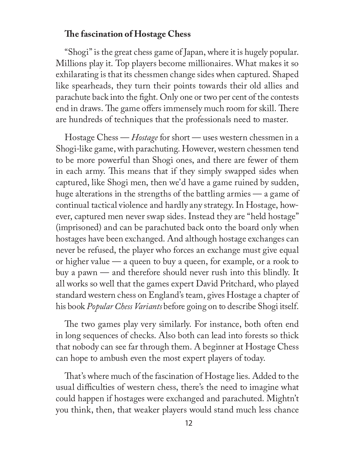#### **The fascination of Hostage Chess**

"Shogi" is the great chess game of Japan, where it is hugely popular. Millions play it. Top players become millionaires. What makes it so exhilarating is that its chessmen change sides when captured. Shaped like spearheads, they turn their points towards their old allies and parachute back into the fight. Only one or two per cent of the contests end in draws. The game offers immensely much room for skill. There are hundreds of techniques that the professionals need to master.

Hostage Chess — *Hostage* for short — uses western chessmen in a Shogi-like game, with parachuting. However, western chessmen tend to be more powerful than Shogi ones, and there are fewer of them in each army. This means that if they simply swapped sides when captured, like Shogi men, then we'd have a game ruined by sudden, huge alterations in the strengths of the battling armies — a game of continual tactical violence and hardly any strategy. In Hostage, however, captured men never swap sides. Instead they are "held hostage" (imprisoned) and can be parachuted back onto the board only when hostages have been exchanged. And although hostage exchanges can never be refused, the player who forces an exchange must give equal or higher value — a queen to buy a queen, for example, or a rook to buy a pawn — and therefore should never rush into this blindly. It all works so well that the games expert David Pritchard, who played standard western chess on England's team, gives Hostage a chapter of his book *Popular Chess Variants* before going on to describe Shogi itself.

The two games play very similarly. For instance, both often end in long sequences of checks. Also both can lead into forests so thick that nobody can see far through them. A beginner at Hostage Chess can hope to ambush even the most expert players of today.

That's where much of the fascination of Hostage lies. Added to the usual difficulties of western chess, there's the need to imagine what could happen if hostages were exchanged and parachuted. Mightn't you think, then, that weaker players would stand much less chance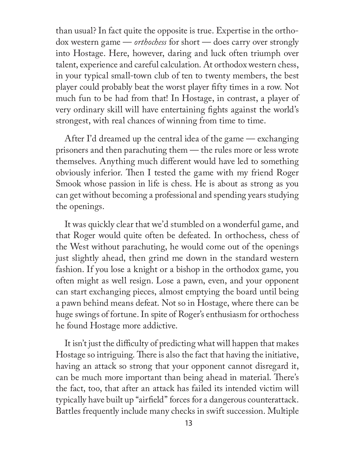than usual? In fact quite the opposite is true. Expertise in the orthodox western game — *orthochess* for short — does carry over strongly into Hostage. Here, however, daring and luck often triumph over talent, experience and careful calculation. At orthodox western chess, in your typical small-town club of ten to twenty members, the best player could probably beat the worst player fifty times in a row. Not much fun to be had from that! In Hostage, in contrast, a player of very ordinary skill will have entertaining fights against the world's strongest, with real chances of winning from time to time.

After I'd dreamed up the central idea of the game — exchanging prisoners and then parachuting them — the rules more or less wrote themselves. Anything much different would have led to something obviously inferior. Then I tested the game with my friend Roger Smook whose passion in life is chess. He is about as strong as you can get without becoming a professional and spending years studying the openings.

It was quickly clear that we'd stumbled on a wonderful game, and that Roger would quite often be defeated. In orthochess, chess of the West without parachuting, he would come out of the openings just slightly ahead, then grind me down in the standard western fashion. If you lose a knight or a bishop in the orthodox game, you often might as well resign. Lose a pawn, even, and your opponent can start exchanging pieces, almost emptying the board until being a pawn behind means defeat. Not so in Hostage, where there can be huge swings of fortune. In spite of Roger's enthusiasm for orthochess he found Hostage more addictive.

It isn't just the difficulty of predicting what will happen that makes Hostage so intriguing. There is also the fact that having the initiative, having an attack so strong that your opponent cannot disregard it, can be much more important than being ahead in material. There's the fact, too, that after an attack has failed its intended victim will typically have built up "airfield" forces for a dangerous counterattack. Battles frequently include many checks in swift succession. Multiple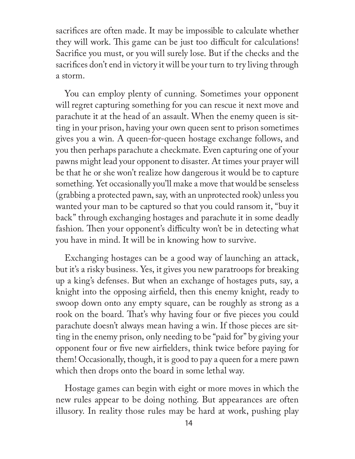sacrifices are often made. It may be impossible to calculate whether they will work. This game can be just too difficult for calculations! Sacrifice you must, or you will surely lose. But if the checks and the sacrifices don't end in victory it will be your turn to try living through a storm.

You can employ plenty of cunning. Sometimes your opponent will regret capturing something for you can rescue it next move and parachute it at the head of an assault. When the enemy queen is sitting in your prison, having your own queen sent to prison sometimes gives you a win. A queen-for-queen hostage exchange follows, and you then perhaps parachute a checkmate. Even capturing one of your pawns might lead your opponent to disaster. At times your prayer will be that he or she won't realize how dangerous it would be to capture something. Yet occasionally you'll make a move that would be senseless (grabbing a protected pawn, say, with an unprotected rook) unless you wanted your man to be captured so that you could ransom it, "buy it back" through exchanging hostages and parachute it in some deadly fashion. Then your opponent's difficulty won't be in detecting what you have in mind. It will be in knowing how to survive.

Exchanging hostages can be a good way of launching an attack, but it's a risky business. Yes, it gives you new paratroops for breaking up a king's defenses. But when an exchange of hostages puts, say, a knight into the opposing airfield, then this enemy knight, ready to swoop down onto any empty square, can be roughly as strong as a rook on the board. That's why having four or five pieces you could parachute doesn't always mean having a win. If those pieces are sitting in the enemy prison, only needing to be "paid for" by giving your opponent four or five new airfielders, think twice before paying for them! Occasionally, though, it is good to pay a queen for a mere pawn which then drops onto the board in some lethal way.

Hostage games can begin with eight or more moves in which the new rules appear to be doing nothing. But appearances are often illusory. In reality those rules may be hard at work, pushing play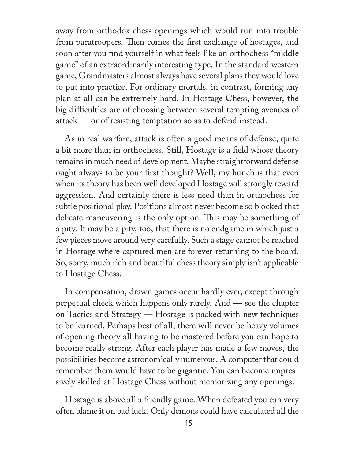away from orthodox chess openings which would run into trouble from paratroopers. Then comes the first exchange of hostages, and soon after you find yourself in what feels like an orthochess "middle" game" of an extraordinarily interesting type. In the standard western game, Grandmasters almost always have several plans they would love to put into practice. For ordinary mortals, in contrast, forming any plan at all can be extremely hard. In Hostage Chess, however, the big difficulties are of choosing between several tempting avenues of attack — or of resisting temptation so as to defend instead.

As in real warfare, attack is often a good means of defense, quite a bit more than in orthochess. Still, Hostage is a field whose theory remains in much need of development. Maybe straightforward defense ought always to be your first thought? Well, my hunch is that even when its theory has been well developed Hostage will strongly reward aggression. And certainly there is less need than in orthochess for subtle positional play. Positions almost never become so blocked that delicate maneuvering is the only option. This may be something of a pity. It may be a pity, too, that there is no endgame in which just a few pieces move around very carefully. Such a stage cannot be reached in Hostage where captured men are forever returning to the board. So, sorry, much rich and beautiful chess theory simply isn't applicable to Hostage Chess.

In compensation, drawn games occur hardly ever, except through perpetual check which happens only rarely. And — see the chapter on Tactics and Strategy — Hostage is packed with new techniques to be learned. Perhaps best of all, there will never be heavy volumes of opening theory all having to be mastered before you can hope to become really strong. After each player has made a few moves, the possibilities become astronomically numerous. A computer that could remember them would have to be gigantic. You can become impressively skilled at Hostage Chess without memorizing any openings.

Hostage is above all a friendly game. When defeated you can very often blame it on bad luck. Only demons could have calculated all the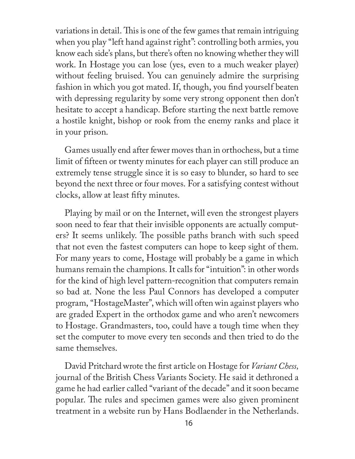variations in detail. This is one of the few games that remain intriguing when you play "left hand against right": controlling both armies, you know each side's plans, but there's often no knowing whether they will work. In Hostage you can lose (yes, even to a much weaker player) without feeling bruised. You can genuinely admire the surprising fashion in which you got mated. If, though, you find yourself beaten with depressing regularity by some very strong opponent then don't hesitate to accept a handicap. Before starting the next battle remove a hostile knight, bishop or rook from the enemy ranks and place it in your prison.

Games usually end after fewer moves than in orthochess, but a time limit of fifteen or twenty minutes for each player can still produce an extremely tense struggle since it is so easy to blunder, so hard to see beyond the next three or four moves. For a satisfying contest without clocks, allow at least fifty minutes.

Playing by mail or on the Internet, will even the strongest players soon need to fear that their invisible opponents are actually computers? It seems unlikely. The possible paths branch with such speed that not even the fastest computers can hope to keep sight of them. For many years to come, Hostage will probably be a game in which humans remain the champions. It calls for "intuition": in other words for the kind of high level pattern-recognition that computers remain so bad at. None the less Paul Connors has developed a computer program, "HostageMaster", which will often win against players who are graded Expert in the orthodox game and who aren't newcomers to Hostage. Grandmasters, too, could have a tough time when they set the computer to move every ten seconds and then tried to do the same themselves.

David Pritchard wrote the first article on Hostage for *Variant Chess*, journal of the British Chess Variants Society. He said it dethroned a game he had earlier called "variant of the decade" and it soon became popular. The rules and specimen games were also given prominent treatment in a website run by Hans Bodlaender in the Netherlands.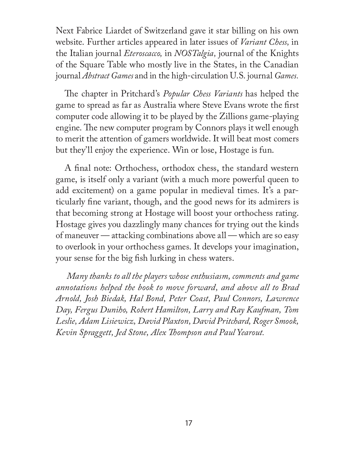Next Fabrice Liardet of Switzerland gave it star billing on his own website. Further articles appeared in later issues of *Variant Chess,* in the Italian journal *Eteroscacco,* in *NOSTalgia,* journal of the Knights of the Square Table who mostly live in the States, in the Canadian journal *Abstract Games* and in the high-circulation U.S. journal *Games.*

The chapter in Pritchard's *Popular Chess Variants* has helped the game to spread as far as Australia where Steve Evans wrote the first computer code allowing it to be played by the Zillions game-playing engine. The new computer program by Connors plays it well enough to merit the attention of gamers worldwide. It will beat most comers but they'll enjoy the experience. Win or lose, Hostage is fun.

A final note: Orthochess, orthodox chess, the standard western game, is itself only a variant (with a much more powerful queen to add excitement) on a game popular in medieval times. It's a particularly fine variant, though, and the good news for its admirers is that becoming strong at Hostage will boost your orthochess rating. Hostage gives you dazzlingly many chances for trying out the kinds of maneuver — attacking combinations above all — which are so easy to overlook in your orthochess games. It develops your imagination, your sense for the big fish lurking in chess waters.

*Many thanks to all the players whose enthusiasm, comments and game annotations helped the book to move forward, and above all to Brad Arnold, Josh Biedak, Hal Bond, Peter Coast, Paul Connors, Lawrence Day, Fergus Duniho, Robert Hamilton, Larry and Ray Kaufman, Tom Leslie, Adam Lisiewicz, David Plaxton, David Pritchard, Roger Smook,*  Kevin Spraggett, Jed Stone, Alex Thompson and Paul Yearout.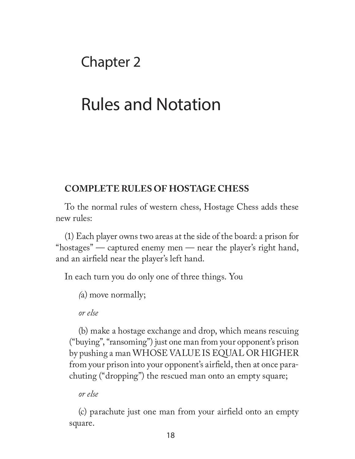## Chapter 2

## Rules and Notation

#### **COMPLETE RULES OF HOSTAGE CHESS**

To the normal rules of western chess, Hostage Chess adds these new rules:

(1) Each player owns two areas at the side of the board: a prison for "hostages" — captured enemy men — near the player's right hand, and an airfield near the player's left hand.

In each turn you do only one of three things. You

*(*a) move normally;

*or else*

(b) make a hostage exchange and drop, which means rescuing ("buying", "ransoming") just one man from your opponent's prison by pushing a man WHOSE VALUE IS EQUAL OR HIGHER from your prison into your opponent's airfield, then at once parachuting ("dropping") the rescued man onto an empty square;

*or else*

(c) parachute just one man from your airfield onto an empty square.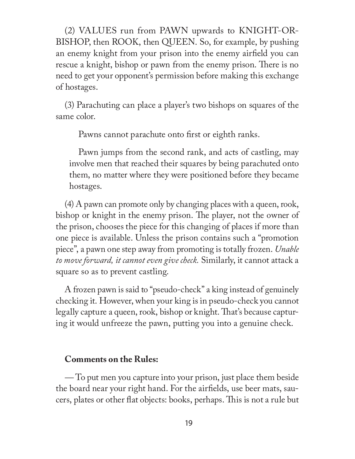(2) VALUES run from PAWN upwards to KNIGHT-OR-BISHOP, then ROOK, then QUEEN. So, for example, by pushing an enemy knight from your prison into the enemy airfield you can rescue a knight, bishop or pawn from the enemy prison. There is no need to get your opponent's permission before making this exchange of hostages.

(3) Parachuting can place a player's two bishops on squares of the same color.

Pawns cannot parachute onto first or eighth ranks.

Pawn jumps from the second rank, and acts of castling, may involve men that reached their squares by being parachuted onto them, no matter where they were positioned before they became hostages.

(4) A pawn can promote only by changing places with a queen, rook, bishop or knight in the enemy prison. The player, not the owner of the prison, chooses the piece for this changing of places if more than one piece is available. Unless the prison contains such a "promotion piece", a pawn one step away from promoting is totally frozen. *Unable to move forward, it cannot even give check.* Similarly, it cannot attack a square so as to prevent castling.

A frozen pawn is said to "pseudo-check" a king instead of genuinely checking it. However, when your king is in pseudo-check you cannot legally capture a queen, rook, bishop or knight. That's because capturing it would unfreeze the pawn, putting you into a genuine check.

#### **Comments on the Rules:**

*—* To put men you capture into your prison, just place them beside the board near your right hand. For the airfields, use beer mats, saucers, plates or other flat objects: books, perhaps. This is not a rule but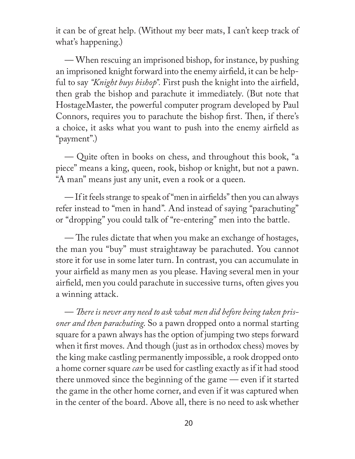it can be of great help. (Without my beer mats, I can't keep track of what's happening.)

— When rescuing an imprisoned bishop, for instance, by pushing an imprisoned knight forward into the enemy airfield, it can be helpful to say "*Knight buys bishop*". First push the knight into the airfield, then grab the bishop and parachute it immediately. (But note that HostageMaster, the powerful computer program developed by Paul Connors, requires you to parachute the bishop first. Then, if there's a choice, it asks what you want to push into the enemy airfield as "payment".)

— Quite often in books on chess, and throughout this book, "a piece" means a king, queen, rook, bishop or knight, but not a pawn. "A man" means just any unit, even a rook or a queen.

— If it feels strange to speak of "men in airfields" then you can always refer instead to "men in hand". And instead of saying "parachuting" or "dropping" you could talk of "re-entering" men into the battle.

— The rules dictate that when you make an exchange of hostages, the man you "buy" must straightaway be parachuted. You cannot store it for use in some later turn. In contrast, you can accumulate in your airfield as many men as you please. Having several men in your airfield, men you could parachute in successive turns, often gives you a winning attack.

— There is never any need to ask what men did before being taken pris*oner and then parachuting*. So a pawn dropped onto a normal starting square for a pawn always has the option of jumping two steps forward when it first moves. And though (just as in orthodox chess) moves by the king make castling permanently impossible, a rook dropped onto a home corner square *can* be used for castling exactly as if it had stood there unmoved since the beginning of the game — even if it started the game in the other home corner, and even if it was captured when in the center of the board. Above all, there is no need to ask whether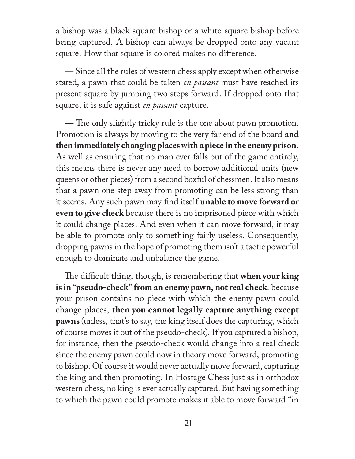a bishop was a black-square bishop or a white-square bishop before being captured. A bishop can always be dropped onto any vacant square. How that square is colored makes no difference.

— Since all the rules of western chess apply except when otherwise stated, a pawn that could be taken *en passant* must have reached its present square by jumping two steps forward. If dropped onto that square, it is safe against *en passant* capture.

— The only slightly tricky rule is the one about pawn promotion. Promotion is always by moving to the very far end of the board **and then immediately changing places with a piece in the enemy prison***.*  As well as ensuring that no man ever falls out of the game entirely, this means there is never any need to borrow additional units (new queens or other pieces) from a second boxful of chessmen. It also means that a pawn one step away from promoting can be less strong than it seems. Any such pawn may find itself **unable to move forward or even to give check** because there is no imprisoned piece with which it could change places. And even when it can move forward, it may be able to promote only to something fairly useless. Consequently, dropping pawns in the hope of promoting them isn't a tactic powerful enough to dominate and unbalance the game.

The difficult thing, though, is remembering that **when your king is in "pseudo-check" from an enemy pawn, not real check***,* because your prison contains no piece with which the enemy pawn could change places, **then you cannot legally capture anything except pawns** (unless, that's to say, the king itself does the capturing, which of course moves it out of the pseudo-check)*.* If you captured a bishop, for instance, then the pseudo-check would change into a real check since the enemy pawn could now in theory move forward, promoting to bishop. Of course it would never actually move forward, capturing the king and then promoting. In Hostage Chess just as in orthodox western chess, no king is ever actually captured. But having something to which the pawn could promote makes it able to move forward "in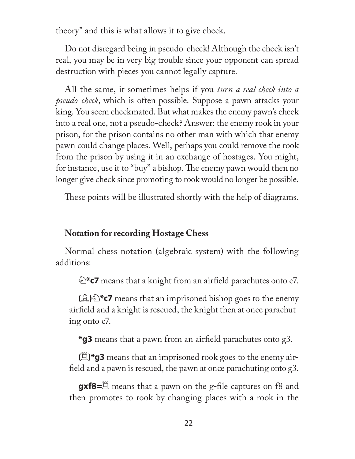theory" and this is what allows it to give check.

Do not disregard being in pseudo-check! Although the check isn't real, you may be in very big trouble since your opponent can spread destruction with pieces you cannot legally capture.

All the same, it sometimes helps if you *turn a real check into a pseudo-check*, which is often possible. Suppose a pawn attacks your king. You seem checkmated. But what makes the enemy pawn's check into a real one, not a pseudo-check? Answer: the enemy rook in your prison, for the prison contains no other man with which that enemy pawn could change places. Well, perhaps you could remove the rook from the prison by using it in an exchange of hostages. You might, for instance, use it to "buy" a bishop. The enemy pawn would then no longer give check since promoting to rook would no longer be possible.

These points will be illustrated shortly with the help of diagrams.

#### **Notation for recording Hostage Chess**

Normal chess notation (algebraic system) with the following additions:

**E<sup>\*</sup>c7** means that a knight from an airfield parachutes onto c7.

 $\Box$ )  $\Diamond$  **\*c7** means that an imprisoned bishop goes to the enemy airfield and a knight is rescued, the knight then at once parachuting onto c7.

**\*g3** means that a pawn from an airfield parachutes onto g3.

 $(E)$ \*g3 means that an imprisoned rook goes to the enemy airfield and a pawn is rescued, the pawn at once parachuting onto g3.

**gxf8=** $\Xi$  means that a pawn on the g-file captures on f8 and then promotes to rook by changing places with a rook in the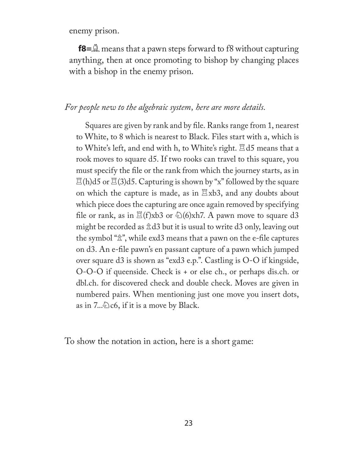enemy prison.

**f8** =  $\triangle$  means that a pawn steps forward to f8 without capturing anything, then at once promoting to bishop by changing places with a bishop in the enemy prison.

#### *For people new to the algebraic system, here are more details.*

Squares are given by rank and by file. Ranks range from 1, nearest to White, to 8 which is nearest to Black. Files start with a, which is to White's left, and end with h, to White's right.  $\Xi$ d5 means that a rook moves to square d5. If two rooks can travel to this square, you must specify the file or the rank from which the journey starts, as in  $\mathbb{E}$ (h)d5 or  $\mathbb{E}$ (3)d5. Capturing is shown by "x" followed by the square on which the capture is made, as in  $\mathbb{E}$ xb3, and any doubts about which piece does the capturing are once again removed by specifying file or rank, as in  $\mathbb{E}(f)xb3$  or  $\mathbb{E}(6)xh7$ . A pawn move to square d3 might be recorded as  $\hat{\mathbb{Z}}$ d3 but it is usual to write d3 only, leaving out the symbol " $\hat{\mathbb{A}}$ ", while exd3 means that a pawn on the e-file captures on d3. An e-file pawn's en passant capture of a pawn which jumped over square d3 is shown as "exd3 e.p.". Castling is O-O if kingside, O-O-O if queenside. Check is + or else ch., or perhaps dis.ch. or dbl.ch. for discovered check and double check. Moves are given in numbered pairs. When mentioning just one move you insert dots, as in  $7..\overline{\&}$  c6, if it is a move by Black.

To show the notation in action, here is a short game: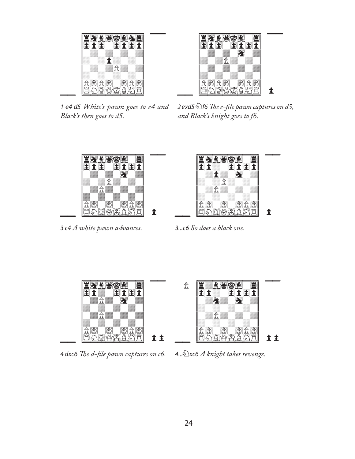

1 e4 d5 *White's pawn goes to e4 and Black's then goes to d5.*



2 exd5<sup> $\ell$ </sup> f6 The e-file pawn captures on d5, *and Black's knight goes to f6.*



3 c4 *A white pawn advances.*



3...c6 *So does a black one.*



4 dxc6 The d-file pawn captures on c6.

4...Nxc6 *A knight takes revenge.*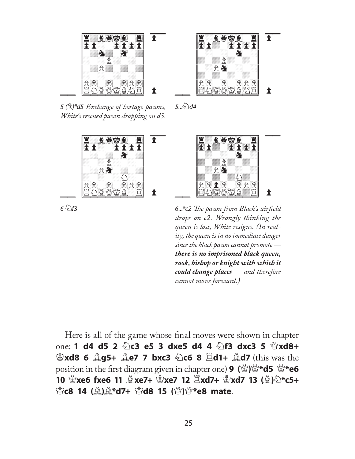



5 (P)\*d5 *Exchange of hostage pawns, White's rescued pawn dropping on d5.*



 $6\sqrt[5]{f}$ 3

 $5..\frac{2}{2}$ d4



6...\*c2 The pawn from Black's airfield *drops on c2. Wrongly thinking the queen is lost, White resigns. (In reality, the queen is in no immediate danger since the black pawn cannot promote there is no imprisoned black queen, rook, bishop or knight with which it could change places — and therefore cannot move forward.)*

Here is all of the game whose final moves were shown in chapter **one: 1 d4 d5 2**  $\∖$  **c3 e5 3 dxe5 d4 4**  $\∖$  **f3 dxc3 5**  $\∖$  **xd8+** K**xd8 6** B**g5+** B**e7 7 bxc3** N**c6 8** R**d1+** B**d7** (this was the **position in the first diagram given in chapter one) <b>9** ( $\mathbb{Q}$ ) $\mathbb{Q}^*$ **d5**  $\mathbb{Q}^*$ **e6 10** Q**xe6 fxe6 11** B**xe7+** K**xe7 12** R**xd7+** K**xd7 13 (**B**)**N**\*c5+**  K**c8 14 (**B**)**B**\*d7+** K**d8 15 (**Q**)**Q**\*e8 mate**.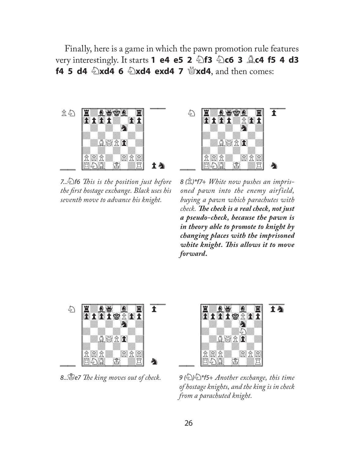Finally, here is a game in which the pawn promotion rule features **very interestingly. It starts 1 e4 e5 2 2 f3 2c6 3**  $\triangle$  **c4 f5 4 d3 f4 5 d4 2xd4 6 2xd4 exd4 7**  $\frac{M}{2}$ **xd4**, and then comes:



7...Nf6 *Th is is the position just before the fi rst hostage exchange. Black uses his seventh move to advance his knight.*



8 (P)\*f7+ *White now pushes an imprisoned pawn into the enemy airfield, buying a pawn which parachutes with check.* The check is a real check, not just *a pseudo-check, because the pawn is in theory able to promote to knight by changing places with the imprisoned white knight. Th is allows it to move forward***.**



8... Se7 The king moves out of check.



9 (N)N\*f5+ *Another exchange, this time of hostage knights, and the king is in check from a parachuted knight.*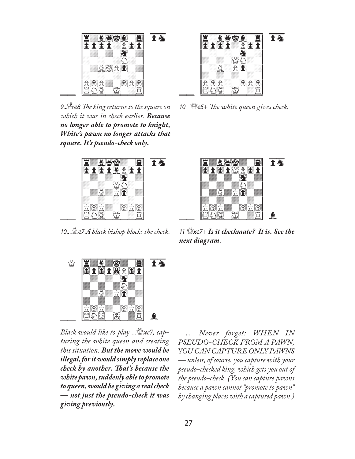

9...Se8 The king returns to the square on *which it was in check earlier. Because no longer able to promote to knight, White's pawn no longer attacks that square. It's pseudo-check only***.**



10...Be7 *A black bishop blocks the check.*



10 \*efferest The white queen gives check.* 



<sup>11</sup>Qxe7+ *Is it checkmate? It is. See the next diagram.*



*Black would like to play ...*Q*xe7, capturing the white queen and creating this situation. But the move would be illegal, for it would simply replace one check by another. Th at's because the white pawn, suddenly able to promote to queen, would be giving a real check — not just the pseudo-check it was giving previously***.**

 *.. Never forget: WHEN IN PSEUDO-CHECK FROM A PAWN, YOU CAN CAPTURE ONLY PAWNS — unless, of course, you capture with your pseudo-checked king, which gets you out of the pseudo-check. (You can capture pawns because a pawn cannot "promote to pawn" by changing places with a captured pawn.)*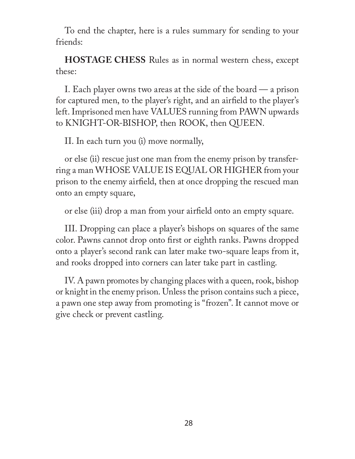To end the chapter, here is a rules summary for sending to your friends:

**HOSTAGE CHESS** Rules as in normal western chess, except these:

I. Each player owns two areas at the side of the board — a prison for captured men, to the player's right, and an airfield to the player's left. Imprisoned men have VALUES running from PAWN upwards to KNIGHT-OR-BISHOP, then ROOK, then QUEEN.

II. In each turn you (i) move normally,

or else (ii) rescue just one man from the enemy prison by transferring a man WHOSE VALUE IS EQUAL OR HIGHER from your prison to the enemy airfield, then at once dropping the rescued man onto an empty square,

or else (iii) drop a man from your airfield onto an empty square.

III. Dropping can place a player's bishops on squares of the same color. Pawns cannot drop onto first or eighth ranks. Pawns dropped onto a player's second rank can later make two-square leaps from it, and rooks dropped into corners can later take part in castling.

IV. A pawn promotes by changing places with a queen, rook, bishop or knight in the enemy prison. Unless the prison contains such a piece, a pawn one step away from promoting is "frozen". It cannot move or give check or prevent castling.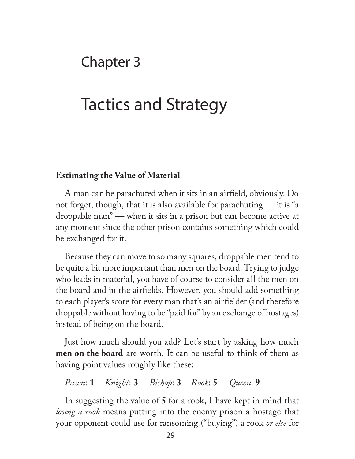### Chapter 3

## Tactics and Strategy

#### **Estimating the Value of Material**

A man can be parachuted when it sits in an airfield, obviously. Do not forget, though, that it is also available for parachuting — it is "a droppable man" — when it sits in a prison but can become active at any moment since the other prison contains something which could be exchanged for it.

Because they can move to so many squares, droppable men tend to be quite a bit more important than men on the board. Trying to judge who leads in material, you have of course to consider all the men on the board and in the airfields. However, you should add something to each player's score for every man that's an airfielder (and therefore droppable without having to be "paid for" by an exchange of hostages) instead of being on the board.

Just how much should you add? Let's start by asking how much **men on the board** are worth. It can be useful to think of them as having point values roughly like these:

#### *Pawn*: **1** *Knight*: **3** *Bishop*: **3** *Rook*: **5** *Queen*: **9**

In suggesting the value of **5** for a rook, I have kept in mind that *losing a rook* means putting into the enemy prison a hostage that your opponent could use for ransoming ("buying") a rook *or else* for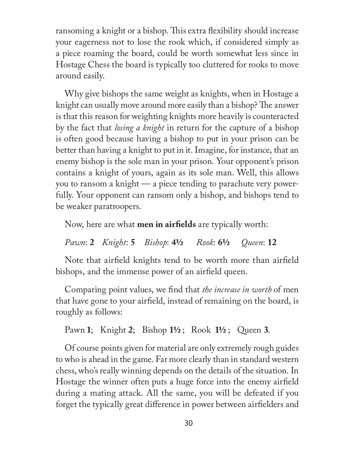ransoming a knight or a bishop. This extra flexibility should increase your eagerness not to lose the rook which, if considered simply as a piece roaming the board, could be worth somewhat less since in Hostage Chess the board is typically too cluttered for rooks to move around easily.

Why give bishops the same weight as knights, when in Hostage a knight can usually move around more easily than a bishop? The answer is that this reason for weighting knights more heavily is counteracted by the fact that *losing a knight* in return for the capture of a bishop is often good because having a bishop to put in your prison can be better than having a knight to put in it. Imagine, for instance, that an enemy bishop is the sole man in your prison. Your opponent's prison contains a knight of yours, again as its sole man. Well, this allows you to ransom a knight — a piece tending to parachute very powerfully. Your opponent can ransom only a bishop, and bishops tend to be weaker paratroopers.

Now, here are what **men in airfields** are typically worth:

*Pawn*: **2** *Knight*: **5** *Bishop*: **4½** *Rook*: **6½** *Queen*: **12**

Note that airfield knights tend to be worth more than airfield bishops, and the immense power of an airfield queen.

Comparing point values, we find that *the increase in worth* of men that have gone to your airfield, instead of remaining on the board, is roughly as follows:

Pawn **1**; Knight **2**; Bishop **1½** ; Rook **1½** ; Queen **3**.

Of course points given for material are only extremely rough guides to who is ahead in the game. Far more clearly than in standard western chess, who's really winning depends on the details of the situation. In Hostage the winner often puts a huge force into the enemy airfield during a mating attack. All the same, you will be defeated if you forget the typically great difference in power between airfielders and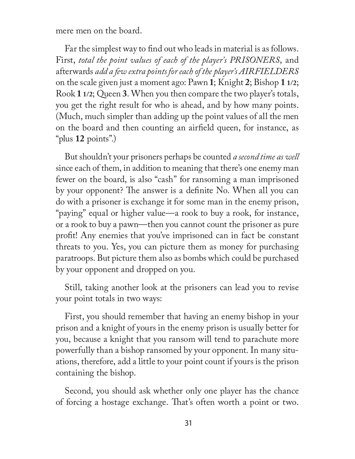mere men on the board.

Far the simplest way to find out who leads in material is as follows. First, *total the point values of each of the player's PRISONERS*, and afterwards *add a few extra points for each of the player's AIRFIELDERS* on the scale given just a moment ago: Pawn **1**; Knight **2**; Bishop **1 1/2**; Rook **1 1/2**; Queen **3**. When you then compare the two player's totals, you get the right result for who is ahead, and by how many points. (Much, much simpler than adding up the point values of all the men on the board and then counting an airfield queen, for instance, as "plus **12** points".)

But shouldn't your prisoners perhaps be counted *a second time as well*  since each of them, in addition to meaning that there's one enemy man fewer on the board, is also "cash" for ransoming a man imprisoned by your opponent? The answer is a definite No. When all you can do with a prisoner is exchange it for some man in the enemy prison, "paying" equal or higher value—a rook to buy a rook, for instance, or a rook to buy a pawn—then you cannot count the prisoner as pure profit! Any enemies that you've imprisoned can in fact be constant threats to you. Yes, you can picture them as money for purchasing paratroops. But picture them also as bombs which could be purchased by your opponent and dropped on you.

Still, taking another look at the prisoners can lead you to revise your point totals in two ways:

First, you should remember that having an enemy bishop in your prison and a knight of yours in the enemy prison is usually better for you, because a knight that you ransom will tend to parachute more powerfully than a bishop ransomed by your opponent. In many situations, therefore, add a little to your point count if yours is the prison containing the bishop.

Second, you should ask whether only one player has the chance of forcing a hostage exchange. That's often worth a point or two.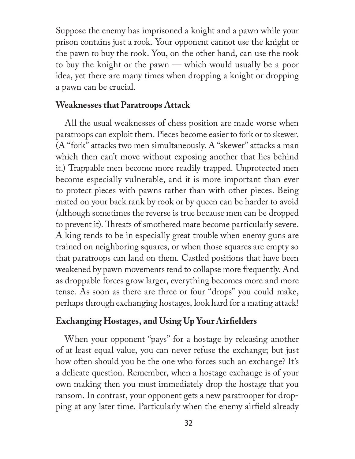Suppose the enemy has imprisoned a knight and a pawn while your prison contains just a rook. Your opponent cannot use the knight or the pawn to buy the rook. You, on the other hand, can use the rook to buy the knight or the pawn — which would usually be a poor idea, yet there are many times when dropping a knight or dropping a pawn can be crucial.

#### **Weaknesses that Paratroops Attack**

All the usual weaknesses of chess position are made worse when paratroops can exploit them. Pieces become easier to fork or to skewer. (A "fork" attacks two men simultaneously. A "skewer" attacks a man which then can't move without exposing another that lies behind it.) Trappable men become more readily trapped. Unprotected men become especially vulnerable, and it is more important than ever to protect pieces with pawns rather than with other pieces. Being mated on your back rank by rook or by queen can be harder to avoid (although sometimes the reverse is true because men can be dropped to prevent it). Threats of smothered mate become particularly severe. A king tends to be in especially great trouble when enemy guns are trained on neighboring squares, or when those squares are empty so that paratroops can land on them. Castled positions that have been weakened by pawn movements tend to collapse more frequently. And as droppable forces grow larger, everything becomes more and more tense. As soon as there are three or four "drops" you could make, perhaps through exchanging hostages, look hard for a mating attack!

#### **Exchanging Hostages, and Using Up Your Airfielders**

When your opponent "pays" for a hostage by releasing another of at least equal value, you can never refuse the exchange; but just how often should you be the one who forces such an exchange? It's a delicate question. Remember, when a hostage exchange is of your own making then you must immediately drop the hostage that you ransom. In contrast, your opponent gets a new paratrooper for dropping at any later time. Particularly when the enemy airfield already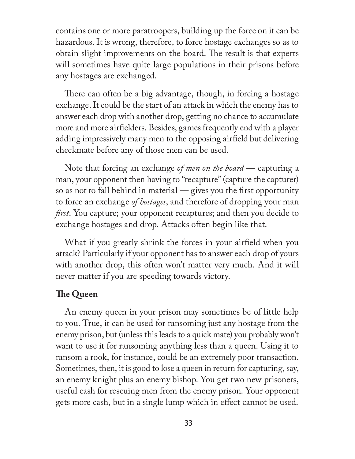contains one or more paratroopers, building up the force on it can be hazardous. It is wrong, therefore, to force hostage exchanges so as to obtain slight improvements on the board. The result is that experts will sometimes have quite large populations in their prisons before any hostages are exchanged.

There can often be a big advantage, though, in forcing a hostage exchange. It could be the start of an attack in which the enemy has to answer each drop with another drop, getting no chance to accumulate more and more airfielders. Besides, games frequently end with a player adding impressively many men to the opposing airfield but delivering checkmate before any of those men can be used.

Note that forcing an exchange *of men on the board* — capturing a man, your opponent then having to "recapture" (capture the capturer) so as not to fall behind in material  $-$  gives you the first opportunity to force an exchange *of hostages*, and therefore of dropping your man *first*. You capture; your opponent recaptures; and then you decide to exchange hostages and drop. Attacks often begin like that.

What if you greatly shrink the forces in your airfield when you attack? Particularly if your opponent has to answer each drop of yours with another drop, this often won't matter very much. And it will never matter if you are speeding towards victory.

#### **The Queen**

An enemy queen in your prison may sometimes be of little help to you. True, it can be used for ransoming just any hostage from the enemy prison, but (unless this leads to a quick mate) you probably won't want to use it for ransoming anything less than a queen. Using it to ransom a rook, for instance, could be an extremely poor transaction. Sometimes, then, it is good to lose a queen in return for capturing, say, an enemy knight plus an enemy bishop. You get two new prisoners, useful cash for rescuing men from the enemy prison. Your opponent gets more cash, but in a single lump which in effect cannot be used.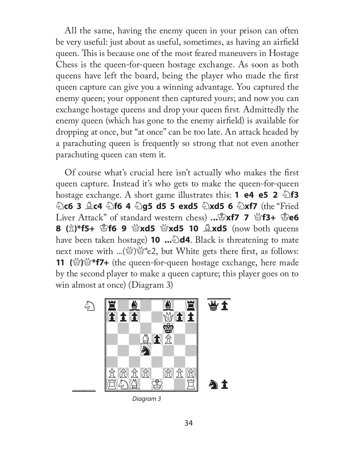All the same, having the enemy queen in your prison can often be very useful: just about as useful, sometimes, as having an airfield queen. This is because one of the most feared maneuvers in Hostage Chess is the queen-for-queen hostage exchange. As soon as both queens have left the board, being the player who made the first queen capture can give you a winning advantage. You captured the enemy queen; your opponent then captured yours; and now you can exchange hostage queens and drop your queen first. Admittedly the enemy queen (which has gone to the enemy airfield) is available for dropping at once, but "at once" can be too late. An attack headed by a parachuting queen is frequently so strong that not even another parachuting queen can stem it.

Of course what's crucial here isn't actually who makes the first queen capture. Instead it's who gets to make the queen-for-queen hostage exchange. A short game illustrates this: **1 e4 e5 2**  $\triangle$  **f3** N**c6 3** B**c4** N**f6 4** N**g5 d5 5 exd5** N**xd5 6** N**xf7** (the "Fried **Liver Attack**" of standard western chess) ...  $\mathbb{E} \times \mathbf{X}$  **7**  $\mathbb{E} \times \mathbf{X}$  **1**  $\mathbb{E} \times \mathbf{X}$  **1**  $\mathbb{E} \times \mathbf{X}$ **8** ( $\hat{\mathbb{Z}}$ )\*f5+ ③f6 9 N**xd5** N**xd5 10**  $\hat{\mathbb{Z}}$ **xd5** (now both queens have been taken hostage) **10 ...** $\triangle$ **d4**. Black is threatening to mate next move with ...( $\mathcal{L}$ ) $\mathcal{L}^*$ e2, but White gets there first, as follows: 11 (S<sup>o</sup>)<sup> $\mathcal{U}$ </sup> **f7+** (the queen-for-queen hostage exchange, here made by the second player to make a queen capture; this player goes on to win almost at once) (Diagram 3)



Diagram 3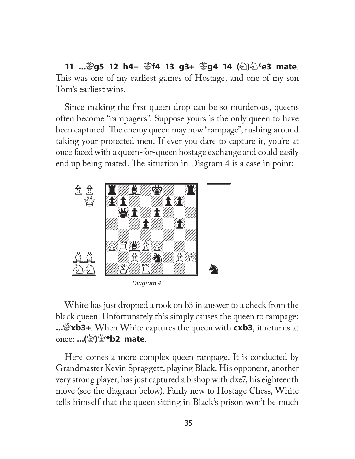**11 ...**K**g5 12 h4+** K**f4 13 g3+** K**g4 14 (**N**)**N**\*e3 mate**. This was one of my earliest games of Hostage, and one of my son Tom's earliest wins.

Since making the first queen drop can be so murderous, queens often become "rampagers". Suppose yours is the only queen to have been captured. The enemy queen may now "rampage", rushing around taking your protected men. If ever you dare to capture it, you're at once faced with a queen-for-queen hostage exchange and could easily end up being mated. The situation in Diagram 4 is a case in point:



Diagram 4

White has just dropped a rook on b3 in answer to a check from the black queen. Unfortunately this simply causes the queen to rampage: **...**Q**xb3+**. When White captures the queen with **cxb3**, it returns at once: **...(**Q**)**Q**\*b2 mate**.

Here comes a more complex queen rampage. It is conducted by Grandmaster Kevin Spraggett, playing Black. His opponent, another very strong player, has just captured a bishop with dxe7, his eighteenth move (see the diagram below). Fairly new to Hostage Chess, White tells himself that the queen sitting in Black's prison won't be much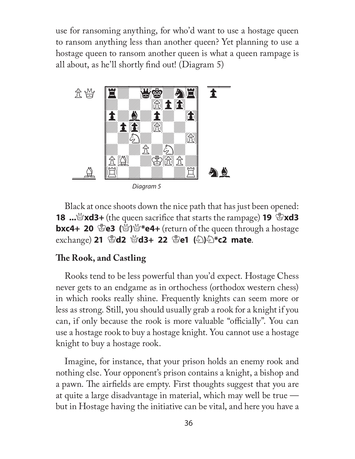use for ransoming anything, for who'd want to use a hostage queen to ransom anything less than another queen? Yet planning to use a hostage queen to ransom another queen is what a queen rampage is all about, as he'll shortly find out! (Diagram  $5$ )



Diagram 5

Black at once shoots down the nice path that has just been opened: **18** ... **xd3+** (the queen sacrifice that starts the rampage) **19**  $\mathbb{E}$ **xd3 bxc4+ 20 \ead (\ead \ead \ead \times \equeen through a hostage \)** exchange) 21 窗d2 窗d3+ 22 窗e1 (公)公\*c2 mate.

#### **The Rook, and Castling**

Rooks tend to be less powerful than you'd expect. Hostage Chess never gets to an endgame as in orthochess (orthodox western chess) in which rooks really shine. Frequently knights can seem more or less as strong. Still, you should usually grab a rook for a knight if you can, if only because the rook is more valuable "officially". You can use a hostage rook to buy a hostage knight. You cannot use a hostage knight to buy a hostage rook.

Imagine, for instance, that your prison holds an enemy rook and nothing else. Your opponent's prison contains a knight, a bishop and a pawn. The airfields are empty. First thoughts suggest that you are at quite a large disadvantage in material, which may well be true but in Hostage having the initiative can be vital, and here you have a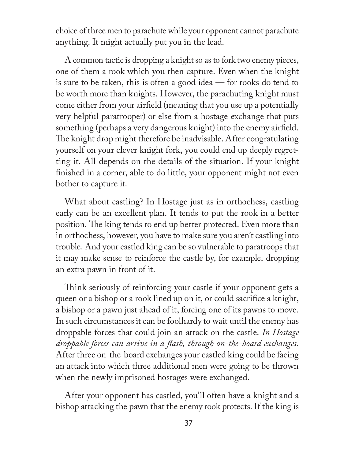choice of three men to parachute while your opponent cannot parachute anything. It might actually put you in the lead.

A common tactic is dropping a knight so as to fork two enemy pieces, one of them a rook which you then capture. Even when the knight is sure to be taken, this is often a good idea — for rooks do tend to be worth more than knights. However, the parachuting knight must come either from your airfield (meaning that you use up a potentially very helpful paratrooper) or else from a hostage exchange that puts something (perhaps a very dangerous knight) into the enemy airfield. The knight drop might therefore be inadvisable. After congratulating yourself on your clever knight fork, you could end up deeply regretting it. All depends on the details of the situation. If your knight finished in a corner, able to do little, your opponent might not even bother to capture it.

What about castling? In Hostage just as in orthochess, castling early can be an excellent plan. It tends to put the rook in a better position. The king tends to end up better protected. Even more than in orthochess, however, you have to make sure you aren't castling into trouble. And your castled king can be so vulnerable to paratroops that it may make sense to reinforce the castle by, for example, dropping an extra pawn in front of it.

Think seriously of reinforcing your castle if your opponent gets a queen or a bishop or a rook lined up on it, or could sacrifice a knight, a bishop or a pawn just ahead of it, forcing one of its pawns to move*.*  In such circumstances it can be foolhardy to wait until the enemy has droppable forces that could join an attack on the castle. *In Hostage droppable forces can arrive in a flash, through on-the-board exchanges.* After three on-the-board exchanges your castled king could be facing an attack into which three additional men were going to be thrown when the newly imprisoned hostages were exchanged.

After your opponent has castled, you'll often have a knight and a bishop attacking the pawn that the enemy rook protects. If the king is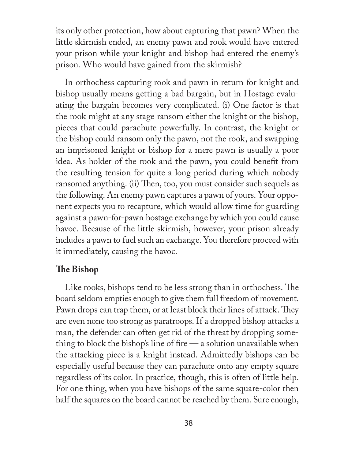its only other protection, how about capturing that pawn? When the little skirmish ended, an enemy pawn and rook would have entered your prison while your knight and bishop had entered the enemy's prison. Who would have gained from the skirmish?

In orthochess capturing rook and pawn in return for knight and bishop usually means getting a bad bargain, but in Hostage evaluating the bargain becomes very complicated. (i) One factor is that the rook might at any stage ransom either the knight or the bishop, pieces that could parachute powerfully. In contrast, the knight or the bishop could ransom only the pawn, not the rook, and swapping an imprisoned knight or bishop for a mere pawn is usually a poor idea. As holder of the rook and the pawn, you could benefit from the resulting tension for quite a long period during which nobody ransomed anything. (ii) Then, too, you must consider such sequels as the following. An enemy pawn captures a pawn of yours. Your opponent expects you to recapture, which would allow time for guarding against a pawn-for-pawn hostage exchange by which you could cause havoc. Because of the little skirmish, however, your prison already includes a pawn to fuel such an exchange. You therefore proceed with it immediately, causing the havoc.

#### **The Bishop**

Like rooks, bishops tend to be less strong than in orthochess. The board seldom empties enough to give them full freedom of movement. Pawn drops can trap them, or at least block their lines of attack. They are even none too strong as paratroops. If a dropped bishop attacks a man, the defender can often get rid of the threat by dropping something to block the bishop's line of fire  $\frac{1}{2}$  a solution unavailable when the attacking piece is a knight instead. Admittedly bishops can be especially useful because they can parachute onto any empty square regardless of its color. In practice, though, this is often of little help. For one thing, when you have bishops of the same square-color then half the squares on the board cannot be reached by them. Sure enough,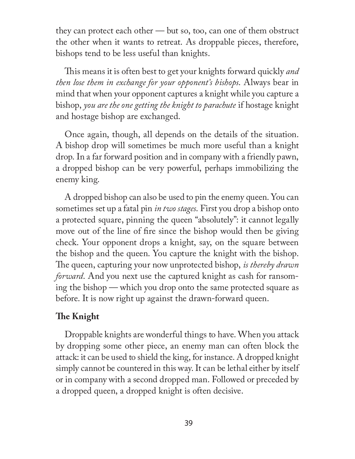they can protect each other — but so, too, can one of them obstruct the other when it wants to retreat. As droppable pieces, therefore, bishops tend to be less useful than knights.

This means it is often best to get your knights forward quickly *and then lose them in exchange for your opponent's bishops*. Always bear in mind that when your opponent captures a knight while you capture a bishop, *you are the one getting the knight to parachute* if hostage knight and hostage bishop are exchanged.

Once again, though, all depends on the details of the situation. A bishop drop will sometimes be much more useful than a knight drop. In a far forward position and in company with a friendly pawn, a dropped bishop can be very powerful, perhaps immobilizing the enemy king.

A dropped bishop can also be used to pin the enemy queen. You can sometimes set up a fatal pin *in two stages*. First you drop a bishop onto a protected square, pinning the queen "absolutely": it cannot legally move out of the line of fire since the bishop would then be giving check. Your opponent drops a knight, say, on the square between the bishop and the queen. You capture the knight with the bishop. The queen, capturing your now unprotected bishop, *is thereby drawn forward*. And you next use the captured knight as cash for ransoming the bishop — which you drop onto the same protected square as before. It is now right up against the drawn-forward queen.

#### **The Knight**

Droppable knights are wonderful things to have. When you attack by dropping some other piece, an enemy man can often block the attack: it can be used to shield the king, for instance. A dropped knight simply cannot be countered in this way. It can be lethal either by itself or in company with a second dropped man. Followed or preceded by a dropped queen, a dropped knight is often decisive.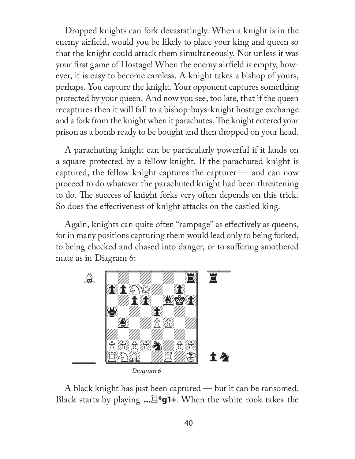Dropped knights can fork devastatingly. When a knight is in the enemy airfield, would you be likely to place your king and queen so that the knight could attack them simultaneously. Not unless it was your first game of Hostage! When the enemy airfield is empty, however, it is easy to become careless. A knight takes a bishop of yours, perhaps. You capture the knight. Your opponent captures something protected by your queen. And now you see, too late, that if the queen recaptures then it will fall to a bishop-buys-knight hostage exchange and a fork from the knight when it parachutes. The knight entered your prison as a bomb ready to be bought and then dropped on your head.

A parachuting knight can be particularly powerful if it lands on a square protected by a fellow knight. If the parachuted knight is captured, the fellow knight captures the capturer — and can now proceed to do whatever the parachuted knight had been threatening to do. The success of knight forks very often depends on this trick. So does the effectiveness of knight attacks on the castled king.

Again, knights can quite often "rampage" as effectively as queens, for in many positions capturing them would lead only to being forked, to being checked and chased into danger, or to suffering smothered mate as in Diagram 6:



A black knight has just been captured — but it can be ransomed. Black starts by playing **...**R**\*g1+**. When the white rook takes the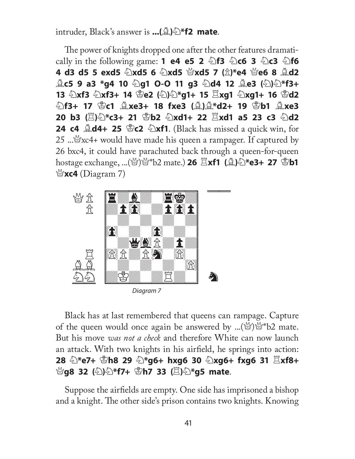intruder, Black's answer is **...(**B**)**N**\*f2 mate**.

The power of knights dropped one after the other features dramati**cally in the following game: 1 e4 e5 2**  $\angle$  **<b>f3**  $\angle$  **c6 3**  $\angle$  **c3**  $\angle$  **f6 4 d3 d5 5 exd5** N**xd5 6** N**xd5** Q**xd5 7 (**P**)\*e4** Q**e6 8** B**d2 g c5 9 a3 \*g4 10 2g1 O-O 11 g3 2d4 12 ge3 (2) 2\*f3+ 13** N**xf3** N**xf3+ 14** K**e2 (**N**)**N**\*g1+ 15** R**xg1** N**xg1+ 16** K**d2**  N**f3+ 17** K**c1** B**xe3+ 18 fxe3 (**B**)**B**\*d2+ 19** K**b1** B**xe3 20 b3** ( $\ddot{\Xi}$ ) $\odot$ \*c3+ 21  $\ddot{\Xi}$ b2  $\odot$ xd1+ 22  $\ddot{\Xi}$ xd1 a5 23 c3  $\odot$ d2 **24 c4**  $\triangle$ **d4+ 25**  $\triangle$ **c2**  $\triangle$ **xf1.** (Black has missed a quick win, for 25 ... $\mathcal{L}$ xc4+ would have made his queen a rampager. If captured by 26 bxc4, it could have parachuted back through a queen-for-queen **hostage exchange, ...**( $\mathbb{Z}/\mathbb{Z}$ \*b2 mate.) **26**  $\mathbb{Z}$ **xf1 (** $\mathbb{Z}/\mathbb{Z}$ **\*e3+ 27**  $\mathbb{Z}$ **b1**  $\mathscr{C}$ **xc4** (Diagram 7)



Diagram 7

Black has at last remembered that queens can rampage. Capture of the queen would once again be answered by ...( $\mathbb{Q}$ ) $\mathbb{Q}^*$  b2 mate. But his move *was not a check* and therefore White can now launch an attack. With two knights in his airfield, he springs into action: **28** N**\*e7+** K**h8 29** N**\*g6+ hxg6 30** N**xg6+ fxg6 31** R**xf8+**  Q**g8 32 (**N**)**N**\*f7+** K**h7 33 (**R**)**N**\*g5 mate**.

Suppose the airfields are empty. One side has imprisoned a bishop and a knight. The other side's prison contains two knights. Knowing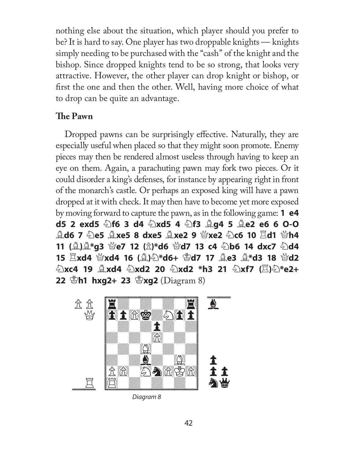nothing else about the situation, which player should you prefer to be? It is hard to say. One player has two droppable knights — knights simply needing to be purchased with the "cash" of the knight and the bishop. Since dropped knights tend to be so strong, that looks very attractive. However, the other player can drop knight or bishop, or first the one and then the other. Well, having more choice of what to drop can be quite an advantage.

#### **The Pawn**

Dropped pawns can be surprisingly effective. Naturally, they are especially useful when placed so that they might soon promote. Enemy pieces may then be rendered almost useless through having to keep an eye on them. Again, a parachuting pawn may fork two pieces. Or it could disorder a king's defenses, for instance by appearing right in front of the monarch's castle. Or perhaps an exposed king will have a pawn dropped at it with check. It may then have to become yet more exposed by moving forward to capture the pawn, as in the following game: **1 e4 d5 2 exd5** N**f6 3 d4** N**xd5 4** N**f3** B**g4 5** B**e2 e6 6 O-O**  B**d6 7** N**e5** B**xe5 8 dxe5** B**xe2 9** Q**xe2** N**c6 10** R**d1** Q**h4 11 (**B**)**B**\*g3** Q**e7 12 (**P**)\*d6** Q**d7 13 c4** N**b6 14 dxc7** N**d4 15** R**xd4** Q**xd4 16 (**B**)**N**\*d6+** K**d7 17** B**e3** B**\*d3 18** Q**d2**   $\hat{\mathbb{E}}$ xc4 19  $\hat{\mathbb{E}}$ xd4  $\hat{\mathbb{E}}$ xd2 20  $\hat{\mathbb{E}}$ xd2 \*h3 21  $\hat{\mathbb{E}}$ xf7 ( $\hat{\mathbb{E}}$ ) $\hat{\mathbb{E}}$ \*e2+ **22 \Subset hxg2+ 23 \Steps 22** (Diagram 8)



Diagram 8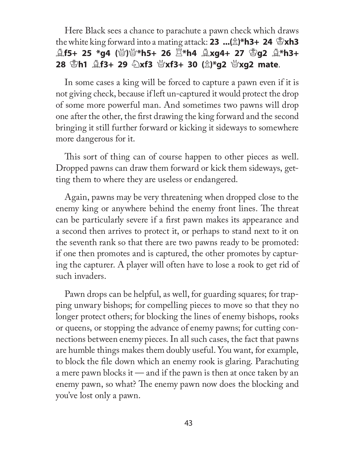# Here Black sees a chance to parachute a pawn check which draws the white king forward into a mating attack: **23 ...**( $\hat{\mathbb{Z}}$ )\*h3+ **24**  $\hat{\mathbb{Z}}$ xh3  $\hat{\mathbb{A}}$ f5+ 25 \*g4 (營)營\*h5+ 26  $\Xi$ \*h4  $\hat{\mathbb{A}}$ xg4+ 27  $\mathbb{E}$ g2  $\hat{\mathbb{A}}$ \*h3+ **28** K**h1** B**f3+ 29** N**xf3** Q**xf3+ 30 (**P**)\*g2** Q**xg2 mate**.

In some cases a king will be forced to capture a pawn even if it is not giving check, because if left un-captured it would protect the drop of some more powerful man. And sometimes two pawns will drop one after the other, the first drawing the king forward and the second bringing it still further forward or kicking it sideways to somewhere more dangerous for it.

This sort of thing can of course happen to other pieces as well. Dropped pawns can draw them forward or kick them sideways, getting them to where they are useless or endangered.

Again, pawns may be very threatening when dropped close to the enemy king or anywhere behind the enemy front lines. The threat can be particularly severe if a first pawn makes its appearance and a second then arrives to protect it, or perhaps to stand next to it on the seventh rank so that there are two pawns ready to be promoted: if one then promotes and is captured, the other promotes by capturing the capturer. A player will often have to lose a rook to get rid of such invaders.

Pawn drops can be helpful, as well, for guarding squares; for trapping unwary bishops; for compelling pieces to move so that they no longer protect others; for blocking the lines of enemy bishops, rooks or queens, or stopping the advance of enemy pawns; for cutting connections between enemy pieces. In all such cases, the fact that pawns are humble things makes them doubly useful. You want, for example, to block the file down which an enemy rook is glaring. Parachuting a mere pawn blocks it — and if the pawn is then at once taken by an enemy pawn, so what? The enemy pawn now does the blocking and you've lost only a pawn.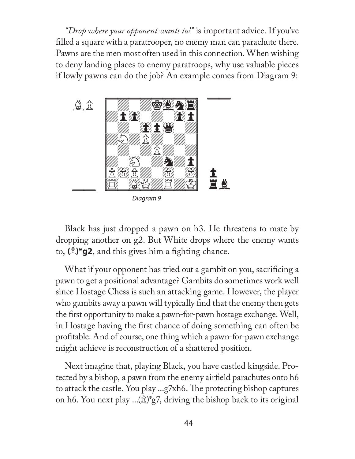*"Drop where your opponent wants to!"* is important advice. If you've filled a square with a paratrooper, no enemy man can parachute there. Pawns are the men most often used in this connection. When wishing to deny landing places to enemy paratroops, why use valuable pieces if lowly pawns can do the job? An example comes from Diagram 9:



Diagram 9

Black has just dropped a pawn on h3. He threatens to mate by dropping another on g2. But White drops where the enemy wants to,  $(\hat{\mathbb{Z}})^*$ **g2**, and this gives him a fighting chance.

What if your opponent has tried out a gambit on you, sacrificing a pawn to get a positional advantage? Gambits do sometimes work well since Hostage Chess is such an attacking game. However, the player who gambits away a pawn will typically find that the enemy then gets the first opportunity to make a pawn-for-pawn hostage exchange. Well, in Hostage having the first chance of doing something can often be profitable. And of course, one thing which a pawn-for-pawn exchange might achieve is reconstruction of a shattered position.

Next imagine that, playing Black, you have castled kingside. Protected by a bishop, a pawn from the enemy airfield parachutes onto h6 to attack the castle. You play  $\ldots$  g7xh6. The protecting bishop captures on h6. You next play ... $(\hat{\mathbb{Z}})^*$ g7, driving the bishop back to its original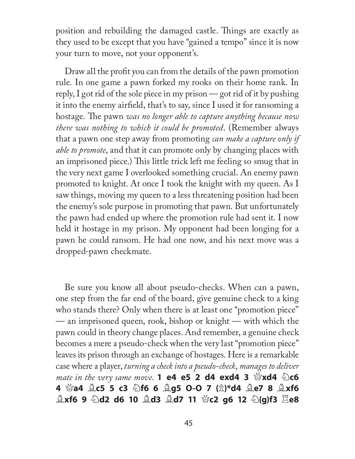position and rebuilding the damaged castle. Things are exactly as they used to be except that you have "gained a tempo" since it is now your turn to move, not your opponent's.

Draw all the profit you can from the details of the pawn promotion rule. In one game a pawn forked my rooks on their home rank. In reply, I got rid of the sole piece in my prison — got rid of it by pushing it into the enemy airfield, that's to say, since I used it for ransoming a hostage. The pawn *was no longer able to capture anything because now there was nothing to which it could be promoted*. (Remember always that a pawn one step away from promoting *can make a capture only if able to promote*, and that it can promote only by changing places with an imprisoned piece.) This little trick left me feeling so smug that in the very next game I overlooked something crucial. An enemy pawn promoted to knight. At once I took the knight with my queen. As I saw things, moving my queen to a less threatening position had been the enemy's sole purpose in promoting that pawn. But unfortunately the pawn had ended up where the promotion rule had sent it. I now held it hostage in my prison. My opponent had been longing for a pawn he could ransom. He had one now, and his next move was a dropped-pawn checkmate.

Be sure you know all about pseudo-checks. When can a pawn, one step from the far end of the board, give genuine check to a king who stands there? Only when there is at least one "promotion piece" — an imprisoned queen, rook, bishop or knight — with which the pawn could in theory change places. And remember, a genuine check becomes a mere a pseudo-check when the very last "promotion piece" leaves its prison through an exchange of hostages. Here is a remarkable case where a player, *turning a check into a pseudo-check*, *manages to deliver mate in the very same move*. **1 e4 e5 2 d4 exd4 3**  $\mathcal{L}\times\mathbf{d4}$  $\mathcal{L}\times\mathbf{d6}$ **4** Q**a4** B**c5 5 c3** N**f6 6** B**g5 O-O 7 (**P**)\*d4** B**e7 8** B**xf6 Axf6 9 2d2 d6 10 Ad3 Ad7 11 營c2 g6 12 2(g)f3**  $\Xi$ **e8**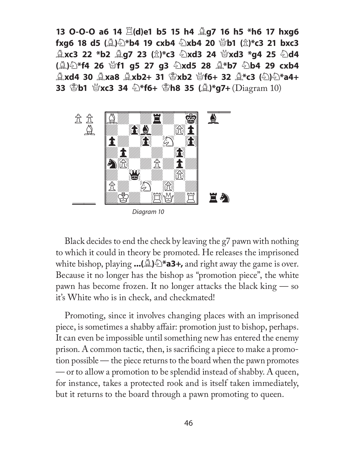**13 O-O-O a6 14** R**(d)e1 b5 15 h4** B**g7 16 h5 \*h6 17 hxg6 fxg6 18 d5 (②)仑\*b4 19 cxb4 ④xb4 20 營b1 (** $\hat{\mathbb{Z}}$ **)\*c3 21 bxc3**  $\hat{\mathbb{L}}$ xc3 22 \*b2  $\hat{\mathbb{L}}$ g7 23 ( $\hat{\mathbb{L}}$ )\*c3  $\hat{\mathbb{L}}$ xd3 24  $\hat{\mathbb{Q}}$ xd3 \*g4 25  $\hat{\mathbb{L}}$ d4 (②)公\*f4 26 營f1 g5 27 g3 公xd5 28 ③\*b7 公b4 29 cxb4 B**xd4 30** B**xa8** B**xb2+ 31** K**xb2** Q**f6+ 32** B**\*c3 (**N**)**N**\*a4+ 33**  $\mathbb{E}$ **b1**  $\mathbb{E}$ **xc3 34**  $\mathbb{\hat{D}}^*$ f6+  $\mathbb{E}$ **h8 35** ( $\mathbb{\hat{A}}$ )\*g7+ (Diagram 10)



Diagram 10

Black decides to end the check by leaving the g7 pawn with nothing to which it could in theory be promoted. He releases the imprisoned white bishop, playing  $\ldots$ ( $\triangle$ ) $\cong$ **\*a3+**, and right away the game is over. Because it no longer has the bishop as "promotion piece", the white pawn has become frozen. It no longer attacks the black king — so it's White who is in check, and checkmated!

Promoting, since it involves changing places with an imprisoned piece, is sometimes a shabby affair: promotion just to bishop, perhaps. It can even be impossible until something new has entered the enemy prison. A common tactic, then, is sacrificing a piece to make a promotion possible — the piece returns to the board when the pawn promotes — or to allow a promotion to be splendid instead of shabby. A queen, for instance, takes a protected rook and is itself taken immediately, but it returns to the board through a pawn promoting to queen.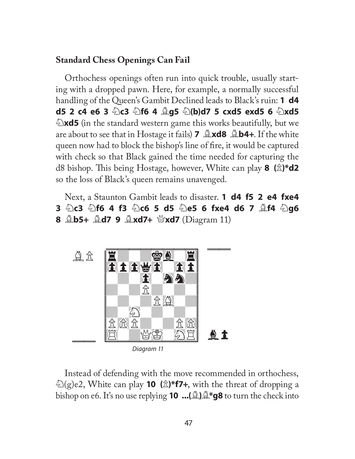#### **Standard Chess Openings Can Fail**

Orthochess openings often run into quick trouble, usually starting with a dropped pawn. Here, for example, a normally successful handling of the Queen's Gambit Declined leads to Black's ruin: **1 d4 d5 2 c4 e6 3**  $\&$  **c3**  $\&$  **f6 4**  $\&$  **g5**  $\&$  **(b)d7 5 cxd5 exd5 6**  $\&$  **xd5 Exd5** (in the standard western game this works beautifully, but we are about to see that in Hostage it fails) **7** B**xd8** B**b4+**. If the white queen now had to block the bishop's line of fire, it would be captured with check so that Black gained the time needed for capturing the **d8** bishop. This being Hostage, however, White can play **8** ( $\hat{\mathbb{Z}}$ )\***d2** so the loss of Black's queen remains unavenged.

Next, a Staunton Gambit leads to disaster. **1 d4 f5 2 e4 fxe4 3** N**c3** N**f6 4 f3** N**c6 5 d5** N**e5 6 fxe4 d6 7** B**f4** N**g6 8** B**b5+** B**d7 9** B**xd7+** Q**xd7** (Diagram 11)



Diagram 11

Instead of defending with the move recommended in orthochess, N(g)e2, White can play **10 (**P**)\*f7+**, with the threat of dropping a bishop on e6. It's no use replying **10 ...(**B**)**B**\*g8** to turn the check into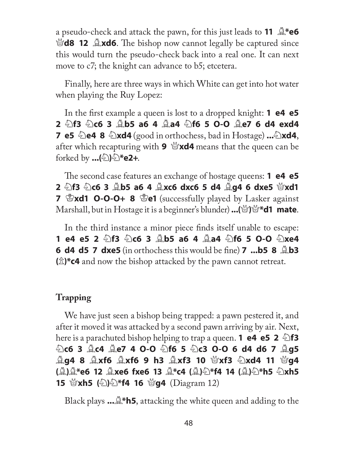a pseudo-check and attack the pawn, for this just leads to **11**  $\mathbb{Q}^*$ e6  $\mathcal{L}$ **d8 12 Axd6**. The bishop now cannot legally be captured since this would turn the pseudo-check back into a real one. It can next move to c7; the knight can advance to b5; etcetera.

Finally, here are three ways in which White can get into hot water when playing the Ruy Lopez:

In the first example a queen is lost to a dropped knight: **1 e4 e5 2** N**f3** N**c6 3** B**b5 a6 4** B**a4** N**f6 5 O-O** B**e7 6 d4 exd4 7 e5**  $\triangle$ **e4 8**  $\triangle$ **xd4** (good in orthochess, bad in Hostage) ... $\triangle$ **xd4**, after which recapturing with **9** Q**xd4** means that the queen can be forked by **...(**N**)**N**\*e2+**.

The second case features an exchange of hostage queens: **1 e4 e5 2**  $\&$ f3  $\&$ c6 3  $\&$ b5 a6 4  $\&$ xc6 dxc6 5 d4  $\&$ g4 6 dxe5  $\&$ xd1 **7**  $\mathbb{Z}$ **xd1 O-O-O+ 8**  $\mathbb{Z}$ **e1** (successfully played by Lasker against Marshall, but in Hostage it is a beginner's blunder)**...(**Q**)**Q**\*d1 mate**.

In the third instance a minor piece finds itself unable to escape: **1 e4 e5 2 ②f3 ②c6 3 ③b5 a6 4 ④a4 ④f6 5 O-O ②xe4 6 d4 d5 7 dxe5** (in orthochess this would be fine) **7 ...b5 8**  $\triangle$ **b3 (**P**)\*c4** and now the bishop attacked by the pawn cannot retreat.

# **Trapping**

We have just seen a bishop being trapped: a pawn pestered it, and after it moved it was attacked by a second pawn arriving by air. Next, **here is a parachuted bishop helping to trap a queen. <b>1 e4 e5 2**  $\triangle$  **f3** N**c6 3** B**c4** B**e7 4 O-O** N**f6 5** N**c3 O-O 6 d4 d6 7** B**g5**  B**g4 8** B**xf6** B**xf6 9 h3** B**xf3 10** Q**xf3** N**xd4 11** Q**g4 (**B**)**B**\*e6 12** B**xe6 fxe6 13** B**\*c4 (**B**)**N**\*f4 14 (**B**)**N**\*h5** N**xh5 15**  $\mathscr{L}(\mathbb{Z})\widehat{\otimes}$ \***f4 16**  $\mathscr{L}(\mathbb{Z})$  (Diagram 12)

Black plays **...**B**\*h5**, attacking the white queen and adding to the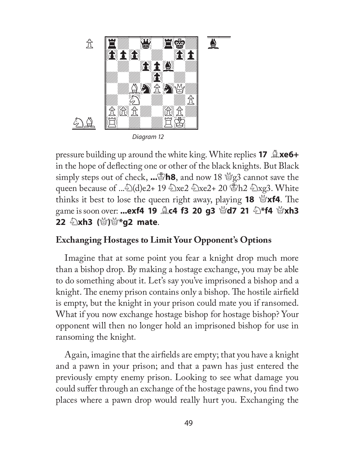

Diagram 12

pressure building up around the white king. White replies **17** B**xe6+**  in the hope of deflecting one or other of the black knights. But Black simply steps out of check, **...**K**h8**, and now 18 Qg3 cannot save the queen because of ... $\&set( d) e2+ 19 \&set xe2 \&set xe2+ 20 \&set xe3$ . White thinks it best to lose the queen right away, playing **18**  $\mathscr{L}$ **xf4**. The **game is soon over: ...exf4 19**  $\triangleq$  **c4 f3 20 g3**  $\triangleq$  **d7 21**  $\triangleq$ **\*f4**  $\triangleq$ **xh3 22** N**xh3 (**Q**)**Q**\*g2 mate**.

#### **Exchanging Hostages to Limit Your Opponent's Options**

Imagine that at some point you fear a knight drop much more than a bishop drop. By making a hostage exchange, you may be able to do something about it. Let's say you've imprisoned a bishop and a knight. The enemy prison contains only a bishop. The hostile airfield is empty, but the knight in your prison could mate you if ransomed. What if you now exchange hostage bishop for hostage bishop? Your opponent will then no longer hold an imprisoned bishop for use in ransoming the knight*.*

Again, imagine that the airfields are empty; that you have a knight and a pawn in your prison; and that a pawn has just entered the previously empty enemy prison. Looking to see what damage you could suffer through an exchange of the hostage pawns, you find two places where a pawn drop would really hurt you. Exchanging the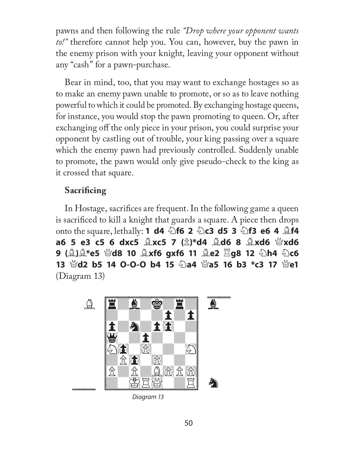pawns and then following the rule *"Drop where your opponent wants to!"* therefore cannot help you. You can, however, buy the pawn in the enemy prison with your knight, leaving your opponent without any "cash" for a pawn-purchase.

Bear in mind, too, that you may want to exchange hostages so as to make an enemy pawn unable to promote, or so as to leave nothing powerful to which it could be promoted. By exchanging hostage queens, for instance, you would stop the pawn promoting to queen. Or, after exchanging off the only piece in your prison, you could surprise your opponent by castling out of trouble, your king passing over a square which the enemy pawn had previously controlled. Suddenly unable to promote, the pawn would only give pseudo-check to the king as it crossed that square.

# **Sacrificing**

In Hostage, sacrifices are frequent. In the following game a queen is sacrificed to kill a knight that guards a square. A piece then drops **onto the square, lethally: <b>1 d4**  $\bigcirc$  **6 2**  $\bigcirc$  **c3 d5 3**  $\bigcirc$  **f3 e6 4**  $\bigcirc$  **f4 a6 5 e3 c5 6 dxc5**  $\triangle$ **xc5 7 (** $\triangle$ **)\*d4**  $\triangle$ **d6 8**  $\triangle$ **xd6**  $\triangle$ **xd6 9 (**B**)**B**\*e5** Q**d8 10** B**xf6 gxf6 11** B**e2** R**g8 12** N**h4** N**c6 13**  $\mathcal{L}\left(\mathcal{L}\right)$  b5 14 O-O-O b4 15  $\mathcal{L}\left(\mathcal{L}\right)$  a4  $\mathcal{L}\left(\mathcal{L}\right)$  a5 16 b3  $\mathcal{L}\left(\mathcal{L}\right)$  a1  $\mathcal{L}\left(\mathcal{L}\right)$ (Diagram 13)



Diagram 13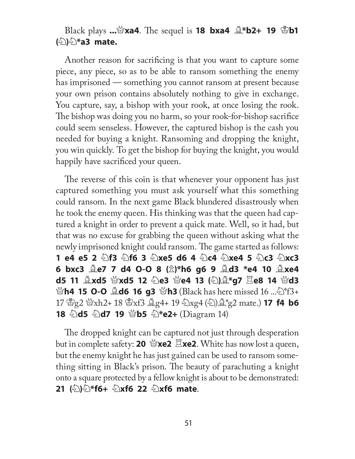# **Black plays ...**\**xa4**. The sequel is **18 bxa4**  $\&$ **\*b2+ 19** \**btheta (**N**)**N**\*a3 mate.**

Another reason for sacrificing is that you want to capture some piece, any piece, so as to be able to ransom something the enemy has imprisoned — something you cannot ransom at present because your own prison contains absolutely nothing to give in exchange. You capture, say, a bishop with your rook, at once losing the rook. The bishop was doing you no harm, so your rook-for-bishop sacrifice could seem senseless. However, the captured bishop is the cash you needed for buying a knight. Ransoming and dropping the knight, you win quickly. To get the bishop for buying the knight, you would happily have sacrificed your queen.

The reverse of this coin is that whenever your opponent has just captured something you must ask yourself what this something could ransom. In the next game Black blundered disastrously when he took the enemy queen. His thinking was that the queen had captured a knight in order to prevent a quick mate*.* Well, so it had, but that was no excuse for grabbing the queen without asking what the newly imprisoned knight could ransom. The game started as follows: **1 e4 e5 2** N**f3** N**f6 3** N**xe5 d6 4** N**c4** N**xe4 5** N**c3** N**xc3 6 bxc3** B**e7 7 d4 O-O 8 (**P**)\*h6 g6 9** B**d3 \*e4 10** B**xe4 d5 11 ②xd5 ③xd5 12 ②e3 ④e4 13 (②)③\*g7**  $\Xi$ **e8 14 Napple** Q**h4 15 O-O** B**d6 16 g3** Q**h3** (Black has here missed 16 ...N\*f3+ 17  $\mathcal{L}_{g2}$   $\mathcal{L}_{xh2+}$  18  $\mathcal{L}_{xf3}$   $\mathcal{L}_{g4+}$  19  $\mathcal{L}_{xg4}$   $(\mathcal{L})\mathcal{L}_{g2}^*$  mate.) **17 f4 b6 18 幻d5 幻d7 19 營b5 幻\*e2+** (Diagram 14)

The dropped knight can be captured not just through desperation but in complete safety: **20**  $\mathcal{L}$ **xe2**. White has now lost a queen, but the enemy knight he has just gained can be used to ransom something sitting in Black's prison. The beauty of parachuting a knight onto a square protected by a fellow knight is about to be demonstrated: **21 (**N**)**N**\*f6+** N**xf6 22** N**xf6 mate**.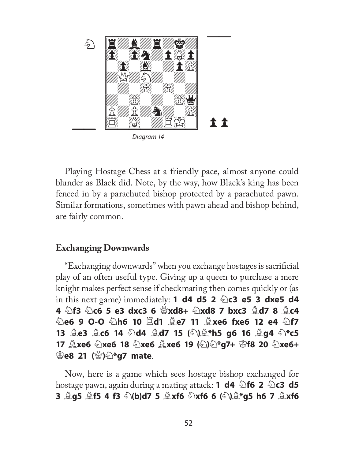

Playing Hostage Chess at a friendly pace, almost anyone could blunder as Black did. Note, by the way, how Black's king has been fenced in by a parachuted bishop protected by a parachuted pawn. Similar formations, sometimes with pawn ahead and bishop behind, are fairly common.

#### **Exchanging Downwards**

"Exchanging downwards" when you exchange hostages is sacrificial play of an often useful type. Giving up a queen to purchase a mere knight makes perfect sense if checkmating then comes quickly or (as in this next game) immediately: **1 d4 d5 2 2 c3 e5 3 dxe5 d4 4 2f3 2c6 5 e3 dxc3 6**  $\frac{10}{2}$ **xd8 7 bxc3**  $\frac{10}{2}$ **d7 8**  $\frac{10}{2}$ **c4** N**e6 9 O-O** N**h6 10** R**d1** B**e7 11** B**xe6 fxe6 12 e4** N**f7 13** B**e3** B**c6 14** N**d4** B**d7 15 (**N**)**B**\*h5 g6 16** B**g4** N**\*c5 17** B**xe6** N**xe6 18** N**xe6** B**xe6 19 (**N**)**N**\*g7+** K**f8 20** N**xe6+**  K**e8 21 (**Q**)**N**\*g7 mate**.

Now, here is a game which sees hostage bishop exchanged for **hostage pawn, again during a mating attack: <b>1 d4**  $\triangle$  **f6 2**  $\triangle$  **c3 d5 3** B**g5** B**f5 4 f3** N**(b)d7 5** B**xf6** N**xf6 6 (**N**)**B**\*g5 h6 7** B**xf6**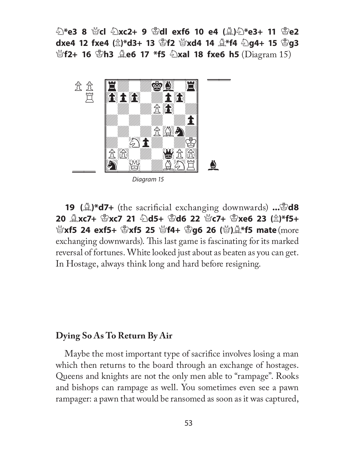N**\*e3 8** Q**cl** N**xc2+ 9** K**dl exf6 10 e4 (**B**)**N**\*e3+ 11** K**e2 dxe4 12 fxe4** ( $\hat{\mathbb{Z}}$ )\*d3+ 13  $\hat{\mathbb{Z}}$ f2  $\hat{\mathbb{Z}}$ xd4 14  $\hat{\mathbb{Z}}$ \*f4  $\hat{\mathbb{Z}}$ g4+ 15  $\hat{\mathbb{Z}}$ g3 *\***\ef2+ 16 \enderal**  $\hat{\mathbb{B}}$  **h3**  $\hat{\mathbb{B}}$  **e6 17 \*f5**  $\hat{\mathbb{C}}$  **xal 18 fxe6 h5 (Diagram 15)** 



Diagram 15

**19 (** $\triangle$ **)\*d7+** (the sacrificial exchanging downwards) ... **8d8 20** B**xc7+** K**xc7 21** N**d5+** K**d6 22** Q**c7+** K**xe6 23 (**P**)\*f5+**  *\***\ee{\stat{\stat{\stat{\stat{\stat{\stat{\stat{\stat{\stat{\stat{\stat{\stat{\stat{\stat{\stat{\stat{\stat{\stat{\stat{\stat{\stat{\stat{\stat{\stat{\stat{\stat{\stat{\stat{\stat{\stat{\stat{\stat{\stat{\stat{\stat{\st** exchanging downwards). This last game is fascinating for its marked reversal of fortunes. White looked just about as beaten as you can get. In Hostage, always think long and hard before resigning.

#### **Dying So As To Return By Air**

Maybe the most important type of sacrifice involves losing a man which then returns to the board through an exchange of hostages. Queens and knights are not the only men able to "rampage". Rooks and bishops can rampage as well. You sometimes even see a pawn rampager: a pawn that would be ransomed as soon as it was captured,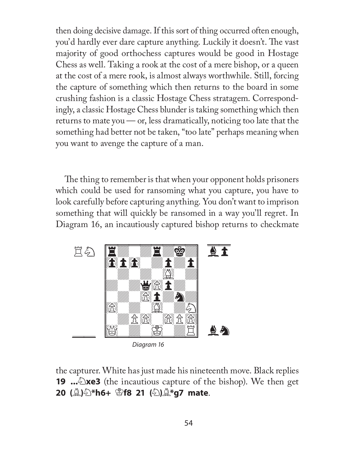then doing decisive damage. If this sort of thing occurred often enough, you'd hardly ever dare capture anything. Luckily it doesn't. The vast majority of good orthochess captures would be good in Hostage Chess as well. Taking a rook at the cost of a mere bishop, or a queen at the cost of a mere rook, is almost always worthwhile. Still, forcing the capture of something which then returns to the board in some crushing fashion is a classic Hostage Chess stratagem. Correspondingly, a classic Hostage Chess blunder is taking something which then returns to mate you  $\sim$  or, less dramatically, noticing too late that the something had better not be taken, "too late" perhaps meaning when you want to avenge the capture of a man.

The thing to remember is that when your opponent holds prisoners which could be used for ransoming what you capture, you have to look carefully before capturing anything. You don't want to imprison something that will quickly be ransomed in a way you'll regret. In Diagram 16, an incautiously captured bishop returns to checkmate



Diagram 16

the capturer. White has just made his nineteenth move. Black replies **19** ...  $\triangle$ **xe3** (the incautious capture of the bishop). We then get **20 (**B**)**N**\*h6+** K**f8 21 (**N**)**B**\*g7 mate**.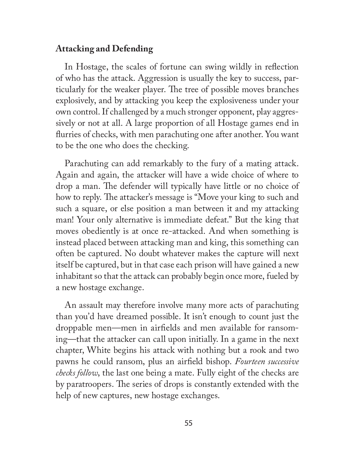#### **Attacking and Defending**

In Hostage, the scales of fortune can swing wildly in reflection of who has the attack. Aggression is usually the key to success, particularly for the weaker player. The tree of possible moves branches explosively, and by attacking you keep the explosiveness under your own control. If challenged by a much stronger opponent, play aggressively or not at all. A large proportion of all Hostage games end in flurries of checks, with men parachuting one after another. You want to be the one who does the checking.

Parachuting can add remarkably to the fury of a mating attack. Again and again, the attacker will have a wide choice of where to drop a man. The defender will typically have little or no choice of how to reply. The attacker's message is "Move your king to such and such a square, or else position a man between it and my attacking man! Your only alternative is immediate defeat." But the king that moves obediently is at once re-attacked. And when something is instead placed between attacking man and king, this something can often be captured. No doubt whatever makes the capture will next itself be captured, but in that case each prison will have gained a new inhabitant so that the attack can probably begin once more, fueled by a new hostage exchange.

An assault may therefore involve many more acts of parachuting than you'd have dreamed possible. It isn't enough to count just the droppable men—men in airfields and men available for ransoming—that the attacker can call upon initially. In a game in the next chapter, White begins his attack with nothing but a rook and two pawns he could ransom, plus an airfield bishop. *Fourteen successive checks follow*, the last one being a mate. Fully eight of the checks are by paratroopers. The series of drops is constantly extended with the help of new captures, new hostage exchanges.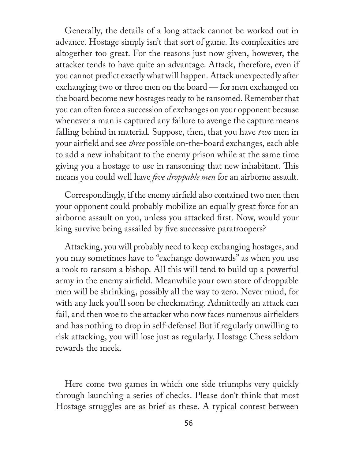Generally, the details of a long attack cannot be worked out in advance. Hostage simply isn't that sort of game. Its complexities are altogether too great. For the reasons just now given, however, the attacker tends to have quite an advantage. Attack, therefore, even if you cannot predict exactly what will happen. Attack unexpectedly after exchanging two or three men on the board — for men exchanged on the board become new hostages ready to be ransomed. Remember that you can often force a succession of exchanges on your opponent because whenever a man is captured any failure to avenge the capture means falling behind in material. Suppose, then, that you have *two* men in your airfield and see *three* possible on-the-board exchanges, each able to add a new inhabitant to the enemy prison while at the same time giving you a hostage to use in ransoming that new inhabitant. This means you could well have *five droppable men* for an airborne assault.

Correspondingly, if the enemy airfield also contained two men then your opponent could probably mobilize an equally great force for an airborne assault on you, unless you attacked first. Now, would your king survive being assailed by five successive paratroopers?

Attacking, you will probably need to keep exchanging hostages, and you may sometimes have to "exchange downwards" as when you use a rook to ransom a bishop. All this will tend to build up a powerful army in the enemy airfield. Meanwhile your own store of droppable men will be shrinking, possibly all the way to zero. Never mind, for with any luck you'll soon be checkmating. Admittedly an attack can fail, and then woe to the attacker who now faces numerous airfielders and has nothing to drop in self-defense! But if regularly unwilling to risk attacking, you will lose just as regularly. Hostage Chess seldom rewards the meek.

Here come two games in which one side triumphs very quickly through launching a series of checks. Please don't think that most Hostage struggles are as brief as these. A typical contest between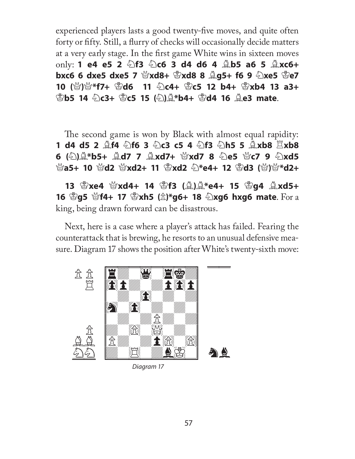experienced players lasts a good twenty-five moves, and quite often forty or fifty. Still, a flurry of checks will occasionally decide matters at a very early stage. In the first game White wins in sixteen moves **only: 1 e4 e5 2 ②f3 ②c6 3 d4 d6 4 ③b5 a6 5 ③xc6+ bxc6 6 dxe5 dxe5 7**  $\mathcal{L}$ **xd8+**  $\mathcal{L}$ **xd8 8**  $\mathcal{L}$ **g5+ f6 9**  $\mathcal{L}$ xe5  $\mathcal{L}$ e7 **10 (**Q**)**Q**\*f7+** K**d6 11** N**c4+** K**c5 12 b4+** K**xb4 13 a3+**  K**b5 14** N**c3+** K**c5 15 (**N**)**B**\*b4+** K**d4 16** B**e3 mate**.

The second game is won by Black with almost equal rapidity: **1 d4 d5 2** B**f4** N**f6 3** N**c3 c5 4** N**f3** N**h5 5** B**xb8** R**xb8 6** (公)②\*b5+ △d7 7 △xd7+ ☆xd7 8 公e5 ☆c7 9 公xd5 Q**a5+ 10** Q**d2** Q**xd2+ 11** K**xd2** N**\*e4+ 12** K**d3 (**Q**)**Q**\*d2+**

**13** K**xe4** Q**xd4+ 14** K**f3 (**B**)**B**\*e4+ 15** K**g4** B**xd5+ 16**  $\mathbb{S}$ **g5**  $\mathbb{S}$ **f4+ 17**  $\mathbb{S}$ **xh5 (** $\hat{\mathbb{Z}}$ **)\*g6+ 18**  $\mathbb{S}$ **xg6 hxg6 mate. For a** king, being drawn forward can be disastrous.

Next, here is a case where a player's attack has failed. Fearing the counterattack that is brewing, he resorts to an unusual defensive measure. Diagram 17 shows the position after White's twenty-sixth move:



Diagram 17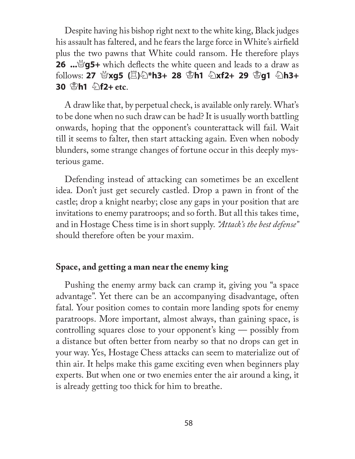Despite having his bishop right next to the white king, Black judges his assault has faltered, and he fears the large force in White's airfield plus the two pawns that White could ransom. He therefore plays **26 ...**\ge\ge\ge\ge\sqrt{simple end leads to a draw as **follows: 27 營xg5 (買)公\*h3+ 28 ೪h1 公xf2+ 29 ೪g1 公h3+ 30** K**h1** N**f2+ etc**.

A draw like that, by perpetual check, is available only rarely. What's to be done when no such draw can be had? It is usually worth battling onwards, hoping that the opponent's counterattack will fail. Wait till it seems to falter, then start attacking again. Even when nobody blunders, some strange changes of fortune occur in this deeply mysterious game.

Defending instead of attacking can sometimes be an excellent idea. Don't just get securely castled. Drop a pawn in front of the castle; drop a knight nearby; close any gaps in your position that are invitations to enemy paratroops; and so forth. But all this takes time, and in Hostage Chess time is in short supply. *"Attack's the best defense"* should therefore often be your maxim.

#### **Space, and getting a man near the enemy king**

Pushing the enemy army back can cramp it, giving you "a space advantage". Yet there can be an accompanying disadvantage, often fatal. Your position comes to contain more landing spots for enemy paratroops. More important, almost always, than gaining space, is controlling squares close to your opponent's king — possibly from a distance but often better from nearby so that no drops can get in your way. Yes, Hostage Chess attacks can seem to materialize out of thin air. It helps make this game exciting even when beginners play experts. But when one or two enemies enter the air around a king, it is already getting too thick for him to breathe.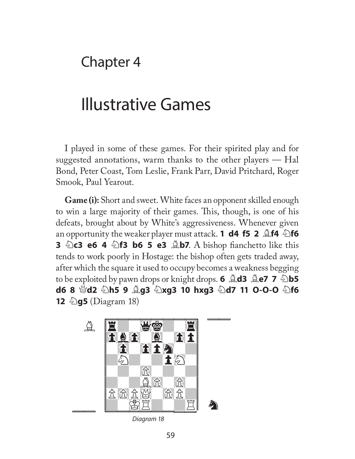# Chapter 4

# Illustrative Games

I played in some of these games. For their spirited play and for suggested annotations, warm thanks to the other players — Hal Bond, Peter Coast, Tom Leslie, Frank Parr, David Pritchard, Roger Smook, Paul Yearout.

**Game (i):** Short and sweet. White faces an opponent skilled enough to win a large majority of their games. This, though, is one of his defeats, brought about by White's aggressiveness. Whenever given an opportunity the weaker player must attack. **1 d4 f5 2**  $\triangle$ **f4**  $\triangle$ **f6 3 haca e6 4 hall b6 5 e3 <b>Ab7**. A bishop fianchetto like this tends to work poorly in Hostage: the bishop often gets traded away, after which the square it used to occupy becomes a weakness begging to be exploited by pawn drops or knight drops. **6 <b>Ad3 Ae7 7 b5 d6 8**  $\frac{1}{2}$ **d2**  $\frac{1}{2}$ **h5 9**  $\frac{1}{2}$ **g3**  $\frac{1}{2}$ **xg3 10 hxg3**  $\frac{1}{2}$ **d7 11 O-O-O**  $\frac{1}{2}$ **f6 12** 2**g5** (Diagram 18)



Diagram 18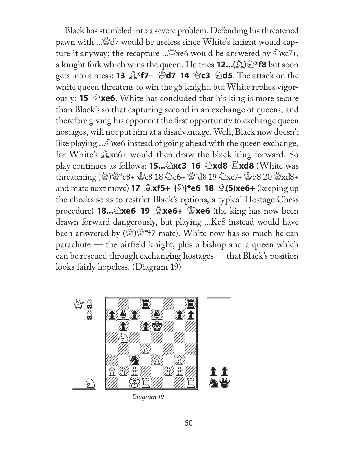Black has stumbled into a severe problem. Defending his threatened pawn with ...\didated would be useless since White's knight would capture it anyway; the recapture ... xe6 would be answered by  $\&$ xc7+, a knight fork which wins the queen. He tries **12...(**B**)**N**\*f8** but soon **gets into a mess: 13**  $\triangle$ **\*f7+**  $\triangle$ **d7 14**  $\triangle$ **c3**  $\triangle$ d5. The attack on the white queen threatens to win the g5 knight, but White replies vigorously: **15**  $\triangle$ **xe6**. White has concluded that his king is more secure than Black's so that capturing second in an exchange of queens, and therefore giving his opponent the first opportunity to exchange queen hostages, will not put him at a disadvantage. Well, Black now doesn't like playing ... $\triangle$  xe6 instead of going ahead with the queen exchange, for White's  $\triangle x$ e6+ would then draw the black king forward. So play continues as follows: **15...**N**xc3 16** N**xd8** R**xd8** (White was threatening (營)營\*e8+ 當c8 18 2c6+ 營\*d8 19 2xe7+ 曾b8 20 營xd8+ and mate next move) **17** B**xf5+ (**N**)\*e6 18** B**(5)xe6+** (keeping up the checks so as to restrict Black's options, a typical Hostage Chess procedure) **18...**N**xe6 19** B**xe6+** K**xe6** (the king has now been drawn forward dangerously, but playing ...Ke8 instead would have been answered by  $(\mathcal{L})\mathcal{L}^*$  f7 mate). White now has so much he can  $\alpha$  parachute — the airfield knight, plus a bishop and a queen which can be rescued through exchanging hostages — that Black's position looks fairly hopeless. (Diagram 19)



Diagram 19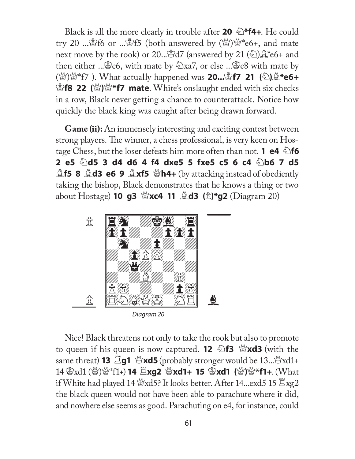Black is all the more clearly in trouble after **20**  $\&$  \***f4+**. He could try 20 ... \$16 or ...\$15 (both answered by  $(\mathcal{Q})^{\mathcal{Q}}$  to  $\mathcal{E}$  and mate next move by the rook) or 20...  $\mathbb{S}d7$  (answered by 21  $(\&) \mathbb{A}^*e6+$  and then either ... Exectors, with mate by  $\ln 2x$ , or else ... Exectors with mate by  $(\mathcal{L})\mathcal{L}^*$  (F7). What actually happened was **20... f7 21** (2)  $\mathcal{L}^*$  **e6+ E f8 22** (s) <sup>w</sup> f7 **mate**. White's onslaught ended with six checks in a row, Black never getting a chance to counterattack. Notice how quickly the black king was caught after being drawn forward.

**Game (ii):** An immensely interesting and exciting contest between strong players. The winner, a chess professional, is very keen on Hostage Chess, but the loser defeats him more often than not. **1 e4**  $\triangle$  **f6 2 e5** N**d5 3 d4 d6 4 f4 dxe5 5 fxe5 c5 6 c4** N**b6 7 d5**  B**f5 8** B**d3 e6 9** B**xf5** Q**h4+** (by attacking instead of obediently taking the bishop, Black demonstrates that he knows a thing or two about Hostage) **10 g3** Q**xc4 11** B**d3 (**P**)\*g2** (Diagram 20)



Nice! Black threatens not only to take the rook but also to promote to queen if his queen is now captured. **12**  $\triangle$ **f3**  $\triangle$ *xd3* (with the same threat) 13  $\Sigma$ g1 營xd5 (probably stronger would be 13...................... 14  $\mathbb{Z}_{\text{xd1}}$  (營)營\*f1+) **14**  $\mathbb{Z}_{\text{Xg2}}$  **營xd1+ 15**  $\mathbb{Z}_{\text{xd1}}$  **(營)營\*f1+. (What** if White had played 14  $\frac{M}{2}$ xd5? It looks better. After 14...exd5 15  $\Xi$ xg2 the black queen would not have been able to parachute where it did, and nowhere else seems as good. Parachuting on e4, for instance, could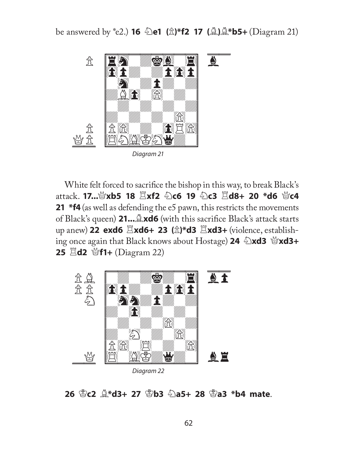be answered by \*e2.) **16** N**e1 (**P**)\*f2 17 (**B**)**B**\*b5+** (Diagram 21)



White felt forced to sacrifice the bishop in this way, to break Black's attack. 17... @xb5 18  $\Xi$ xf2 2c6 19 2c3  $\Xi$ d8+ 20 \*d6 @c4 **21 \*f4** (as well as defending the e5 pawn, this restricts the movements of Black's queen) 21...  $\triangle x$ d6 (with this sacrifice Black's attack starts up anew) 22 exd6  $\Xi$ xd6+ 23 ( $\hat{\mathbb{Z}}$ )\*d3  $\Xi$ xd3+ (violence, establishing once again that Black knows about Hostage) 24  $\triangle$ xd3  $\triangle$ xd3+ **25**  $\Xi$ **d2**  $\mathcal{L}$ **f1+** (Diagram 22)



Diagram 22

**26** K**c2** B**\*d3+ 27** K**b3** N**a5+ 28** K**a3 \*b4 mate**.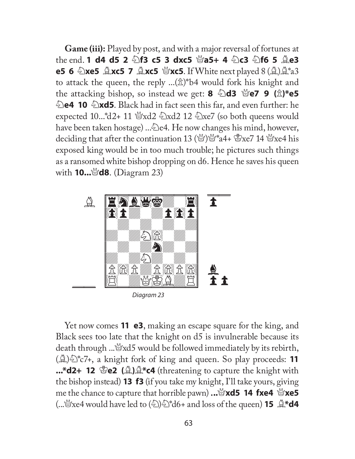**Game (iii):** Played by post, and with a major reversal of fortunes at the end. **1 d4 d5 2 2f3 c5 3 dxc5 @a5+ 4 2c3 2f6 5 2e3 e5 6**  $\triangle$ **xe5**  $\triangle$ **xc5 7**  $\triangleq$ **xc5**  $\triangleq$ **xc5**. If White next played 8  $(\triangleq)\triangleq$ <sup>\*</sup>a3 to attack the queen, the reply  $\ldots(\hat{\mathbb{Z}})^*$ b4 would fork his knight and the attacking bishop, so instead we get: **8**  $\triangle$ d3  $\triangle$ e7 9 ( $\triangle$ )\*e5 **Exthe** 10  $\triangle$ **xd5**. Black had in fact seen this far, and even further: he expected 10...\*d2+ 11 \frac{Y}xd2 {\deta>xd2 12 {\deta>xe7 (so both queens would have been taken hostage) ..... e4. He now changes his mind, however, deciding that after the continuation 13 ( $\mathcal{L}$ )  $\mathcal{L}^*$  a4+  $\mathcal{L}$ xe7 14  $\mathcal{L}$ xe4 his exposed king would be in too much trouble; he pictures such things as a ransomed white bishop dropping on d6. Hence he saves his queen with **10...** a**d8**. (Diagram 23)



Diagram 23

Yet now comes **11 e3**, making an escape square for the king, and Black sees too late that the knight on d5 is invulnerable because its death through .....  $\mathcal{L} \times \mathcal{L}$  would be followed immediately by its rebirth, (B)N\*c7+, a knight fork of king and queen. So play proceeds: **11 ...\*d2+ 12 \ead (A)\ \end{A+\ead{\end{A}{C4}** (threatening to capture the knight with the bishop instead) **13 f3** (if you take my knight, I'll take yours, giving **h** me the chance to capture that horrible pawn)  $\ldots$   $\mathcal{L}$ **xd5 14 fxe4**  $\mathcal{L}$ **xe5**  $\therefore$   $\mathcal{L}$  xe4 would have led to  $\langle \hat{\mathcal{L}} \rangle$   $\mathcal{L}^*$  d6+ and loss of the queen) **15**  $\mathcal{L}^*$  d4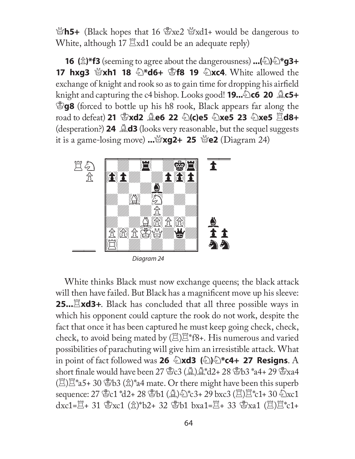Q**h5+** (Black hopes that 16 Kxe2 Qxd1+ would be dangerous to White, although 17  $\Xi$ xd1 could be an adequate reply)

**16** ( $\hat{\mathbb{Z}}$ )\***f3** (seeming to agree about the dangerousness) ...( $\hat{\mathbb{Z}}$ ) $\hat{\mathbb{Z}}$ \***g3+ 17 hxg3**  $\mathcal{C}$ **xh1 18**  $\mathbb{Z}^*$ **d6+**  $\mathbb{Z}$ **f8 19**  $\mathbb{Z}$ **xc4**. White allowed the exchange of knight and rook so as to gain time for dropping his airfield knight and capturing the c4 bishop. Looks good! **19...**  $\odot$  **c6 20**  $\odot$  **c5+ Eg8** (forced to bottle up his h8 rook, Black appears far along the **road to defeat) 21 \$7xd2 <b>Question 22**  $\odot$  (c)e5  $\odot$  xe5 23  $\odot$ xe5  $\ddot{\Xi}$ d8+ (desperation?) **24** B**d3** (looks very reasonable, but the sequel suggests it is a game-losing move)  $\ldots$   $\mathbb{Z}$ **xg2+ 25**  $\mathbb{Z}$ e2 (Diagram 24)



White thinks Black must now exchange queens; the black attack will then have failed. But Black has a magnificent move up his sleeve: **25...**Exd3+. Black has concluded that all three possible ways in which his opponent could capture the rook do not work, despite the fact that once it has been captured he must keep going check, check, check, to avoid being mated by  $(\Xi)\Xi$ \*f8+. His numerous and varied possibilities of parachuting will give him an irresistible attack. What in point of fact followed was **26**  $\triangle$ **xd3** ( $\triangle$ ) $\triangle$ **\*c4+ 27 Resigns**. A short finale would have been 27  $\mathcal{L}(\mathbb{A})\mathcal{L}^*d2+28\mathcal{L}b3*_{a4}+29\mathcal{L}xa4$  $(\Xi)\Xi$ <sup>\*</sup>a5+ 30 \&B3 (\\\end{2})<sup>\*</sup>a4 mate. Or there might have been this superb sequence:  $27$   $C_1$   $d2+28$   $D_1$   $(2)$   $c3+29$  bxc3  $(E)Z$   $c1+30$   $C_1$ xc1  $dxc1=\mathbb{E}+31$   $\&xc1$  ( $\hat{x}$ )\*b2+ 32  $\&b1$  bxa1= $\mathbb{E}+33$   $\&xa1$  ( $\mathbb{E}$ ) $\mathbb{E}$ \*c1+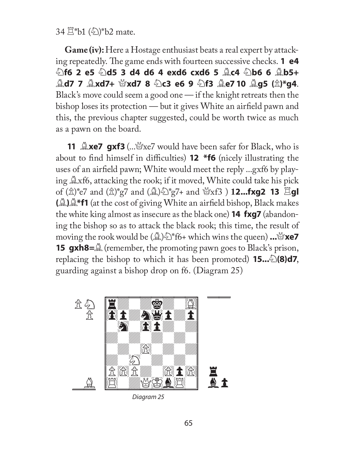34  $\mathbb{Z}^*$ b1 ( $\mathbb{\LARGE{\LARGE\!\!\!\triangleq}}$ )\*b2 mate.

**Game (iv):** Here a Hostage enthusiast beats a real expert by attacking repeatedly. The game ends with fourteen successive checks. **1 e4** N**f6 2 e5** N**d5 3 d4 d6 4 exd6 cxd6 5** B**c4** N**b6 6** B**b5+**  B**d7 7** B**xd7+** Q**xd7 8** N**c3 e6 9** N**f3** B**e7 10** B**g5 (**P**)\*g4**. Black's move could seem a good one — if the knight retreats then the bishop loses its protection — but it gives White an airfield pawn and this, the previous chapter suggested, could be worth twice as much as a pawn on the board.

**11 <u>Axe7</u> gxf3** (....\coweral safer for Black, who is about to find himself in difficulties) **12** \***f6** (nicely illustrating the uses of an airfield pawn; White would meet the reply ...gxf6 by playing  $\triangle x$ f6, attacking the rook; if it moved, White could take his pick of  $(\hat{\mathbb{Z}})^*$ e7 and  $(\hat{\mathbb{Z}})^*$ g7 and  $(\hat{\mathbb{Z}})^{\mathbb{Z}}$ g7+ and  $\mathbb{Z}$ xf3 ) **12...fxg2 13**  $\Xi$ **gl**  $(\mathbf{A})\mathbf{A}^*$  at the cost of giving White an airfield bishop, Black makes the white king almost as insecure as the black one) **14 fxg7** (abandoning the bishop so as to attack the black rook; this time, the result of **moving the rook would be (** $\mathbf{A}\otimes\mathbf{A}^*$ **)** which wins the queen) **...**  $\mathbf{A}\otimes\mathbf{A}$ **15 gxh8**= $\mathcal{Q}$  (remember, the promoting pawn goes to Black's prison, replacing the bishop to which it has been promoted) **15...** $\mathcal{L}(\mathbf{8})\mathbf{d7}$ , guarding against a bishop drop on f6. (Diagram 25)



Diagram 25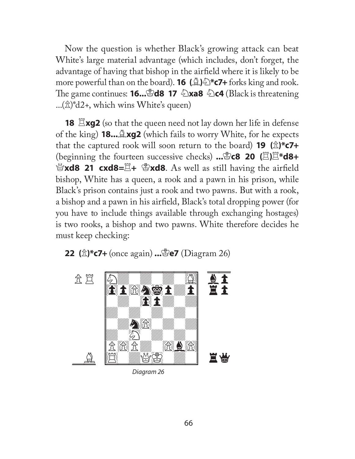Now the question is whether Black's growing attack can beat White's large material advantage (which includes, don't forget, the advantage of having that bishop in the airfield where it is likely to be more powerful than on the board). **16 (**B**)**N**\*c7+** forks king and rook. The game continues: **16...**\\\\end{B\ad8 17 \\\\end{\mata\fack \times is threatening \end{B}\$  $\ldots(\hat{\mathbb{Z}})^*d2+$ , which wins White's queen)

**18 Exg2** (so that the queen need not lay down her life in defense of the king) **18...**B**xg2** (which fails to worry White, for he expects that the captured rook will soon return to the board) **19** ( $\hat{\mathbb{Z}}$ )\***c7+** (beginning the fourteen successive checks) **...**K**c8 20 (**R**)**R**\*d8+**  Q**xd8 21 cxd8=**R**+** K**xd8**. As well as still having the airfi eld bishop, White has a queen, a rook and a pawn in his prison, while Black's prison contains just a rook and two pawns. But with a rook, a bishop and a pawn in his airfield, Black's total dropping power (for you have to include things available through exchanging hostages) is two rooks, a bishop and two pawns. White therefore decides he must keep checking:





Diagram 26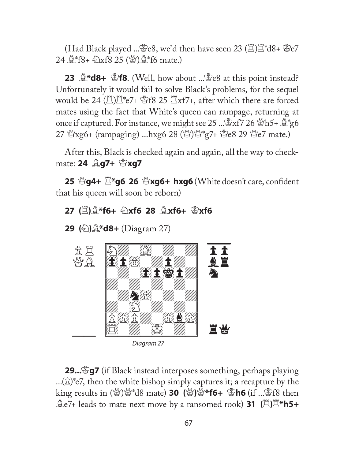(Had Black played ...  $\mathbb{E}e8$ , we'd then have seen 23 ( $\mathbb{E}$ ) $\mathbb{E}^*d8 + \mathbb{E}e7$ 24  $\&$  f8+  $\&$  xf8 25 ( $\&$ ) $\&$  f6 mate.)

**23**  $\mathbf{A}^*$ **d8+**  $\mathbf{B}$ **f8**. (Well, how about ...  $\mathbf{B}$ e8 at this point instead? Unfortunately it would fail to solve Black's problems, for the sequel would be 24  $(\mathbb{Z})\mathbb{Z}^*$  e7+  $\mathbb{Z}$ f8 25  $\mathbb{Z}$ xf7+, after which there are forced mates using the fact that White's queen can rampage, returning at once if captured. For instance, we might see 25 ...  $\mathbb{Z}$ xf7 26  $\mathbb{Z}$ h5+  $\mathbb{Z}^*$ g6 27 營xg6+ (rampaging) ...hxg6 28 (營)營\*g7+ 營e8 29 營e7 mate.)

After this, Black is checked again and again, all the way to checkmate: **24 <u>Ag</u>7+ &xg7** 

**25 曾g4+**  $\Xi^*$ **g6 26 營xg6+ hxg6** (White doesn't care, confident that his queen will soon be reborn)

# **27 (**R**)**B**\*f6+** N**xf6 28** B**xf6+** K**xf6**

**29 (**N**)**B**\*d8+** (Diagram 27)



Diagram 27

**29...** $\mathcal{L}$ **g7** (if Black instead interposes something, perhaps playing  $\ldots(\hat{\mathbb{Z}})^*$ e7, then the white bishop simply captures it; a recapture by the **king results in (@)\"d8 mate) 30 (\")\"\"f6+ \"\"be \tengleffect** then **A**e<sup>7+</sup> leads to mate next move by a ransomed rook) **31** ( $\Xi$ ) $\Xi^*$ h5+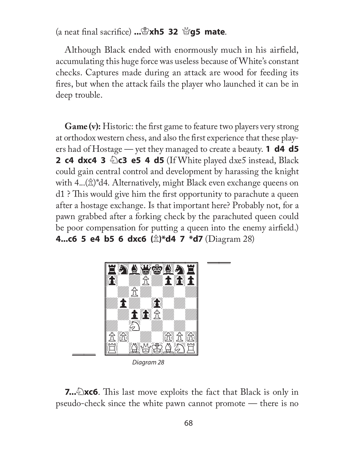(a neat fi nal sacrifi ce) **...**K**xh5 32** Q**g5 mate**.

Although Black ended with enormously much in his airfield, accumulating this huge force was useless because of White's constant checks. Captures made during an attack are wood for feeding its fires, but when the attack fails the player who launched it can be in deep trouble.

**Game (v):** Historic: the first game to feature two players very strong at orthodox western chess, and also the first experience that these players had of Hostage — yet they managed to create a beauty. **1 d4 d5 2 c4 dxc4 3**  $\triangle$ **c3 e5 4 d5** (If White played dxe5 instead, Black could gain central control and development by harassing the knight with  $4...(x)$ <sup>\*</sup>d4. Alternatively, might Black even exchange queens on  $d1$  ? This would give him the first opportunity to parachute a queen after a hostage exchange. Is that important here? Probably not, for a pawn grabbed after a forking check by the parachuted queen could be poor compensation for putting a queen into the enemy airfield.) **4...c6 5 e4 b5 6 dxc6 (**P**)\*d4 7 \*d7** (Diagram 28)



Diagram 28

**7...** Exc6. This last move exploits the fact that Black is only in pseudo-check since the white pawn cannot promote — there is no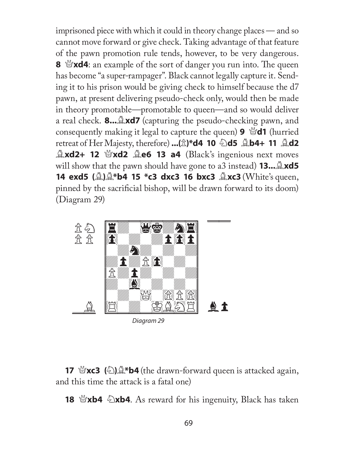imprisoned piece with which it could in theory change places — and so cannot move forward or give check. Taking advantage of that feature of the pawn promotion rule tends, however, to be very dangerous. **8**  $\mathbb{S}$ **xd4**: an example of the sort of danger you run into. The queen has become "a super-rampager". Black cannot legally capture it. Sending it to his prison would be giving check to himself because the d7 pawn, at present delivering pseudo-check only, would then be made in theory promotable—promotable to queen—and so would deliver a real check. 8...  $\triangle x$ d7 (capturing the pseudo-checking pawn, and **consequently making it legal to capture the queen) <b>9**  $\mathcal{L}$ **d1** (hurried **retreat of Her Majesty, therefore) ...(** $\hat{\mathbb{Z}}$ **)\*d4 10**  $\hat{\mathbb{Z}}$ **d5**  $\hat{\mathbb{Z}}$ **b4+ 11**  $\hat{\mathbb{Z}}$ **d2 Axd2+ 12**  $\mathcal{L}\times\mathcal{L}$  **<b>Axd2**  $\mathcal{L}\times\mathcal{L}$  **Black**'s ingenious next moves will show that the pawn should have gone to a3 instead) **13...** Axd5 **14 exd5** ( $\triangle$ ) $\triangle$ \***b4 15 \*c3 dxc3 16 bxc3**  $\triangle$ **xc3** (White's queen, pinned by the sacrificial bishop, will be drawn forward to its doom) (Diagram 29)



Diagram 29

**17**  $\mathscr{L}(\mathbb{Z})\mathscr{L}^*$ b4 (the drawn-forward queen is attacked again, and this time the attack is a fatal one)

**18**  $\mathbb{I}$ **xb4**  $\mathbb{I}$ **xb4**. As reward for his ingenuity, Black has taken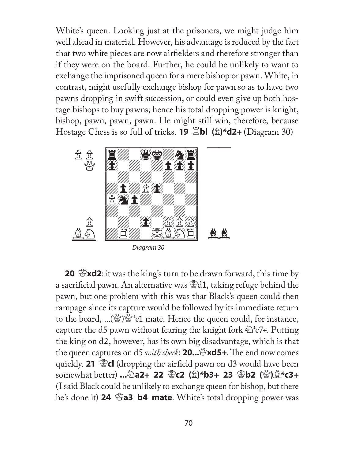White's queen. Looking just at the prisoners, we might judge him well ahead in material. However, his advantage is reduced by the fact that two white pieces are now airfielders and therefore stronger than if they were on the board. Further, he could be unlikely to want to exchange the imprisoned queen for a mere bishop or pawn. White, in contrast, might usefully exchange bishop for pawn so as to have two pawns dropping in swift succession, or could even give up both hostage bishops to buy pawns; hence his total dropping power is knight, bishop, pawn, pawn, pawn. He might still win, therefore, because Hostage Chess is so full of tricks. **19** R**bl (**P**)\*d2+** (Diagram 30)



**20**  $\mathbb{E}$ **xd2**: it was the king's turn to be drawn forward, this time by a sacrificial pawn. An alternative was  $\mathbb{S}$ d1, taking refuge behind the pawn, but one problem with this was that Black's queen could then rampage since its capture would be followed by its immediate return to the board, ...( $\mathbb{S}^n$ ) $\mathbb{S}^*$ e1 mate. Hence the queen could, for instance, capture the d5 pawn without fearing the knight fork  $\mathcal{L}^*$   $\mathcal{C}$ 7+. Putting the king on d2, however, has its own big disadvantage, which is that the queen captures on d5 *with check*: **20...** $\mathbb{X}$ **xd5+**. The end now comes quickly. **21** \  $\mathcal{L}$  (dropping the airfield pawn on d3 would have been **somewhat better) ...2a2+ 22 含c2 (** $\hat{\mathbb{Z}}$ **)\*b3+ 23 含b2 (營)** $\hat{\mathbb{Z}}$ **\*c3+** (I said Black could be unlikely to exchange queen for bishop, but there he's done it) **24 \ellection b4 mate**. White's total dropping power was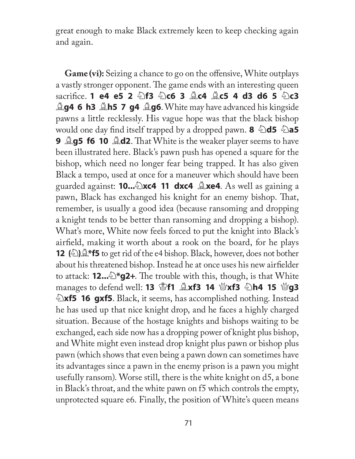great enough to make Black extremely keen to keep checking again and again.

**Game (vi):** Seizing a chance to go on the offensive, White outplays a vastly stronger opponent. The game ends with an interesting queen **sacrifice. 1 e4 e5 2**  $\circledcirc$  **f3**  $\circledcirc$  **c6 3**  $\circledcirc$  **c4**  $\circledcirc$  **c5 4 d3 d6 5**  $\circledcirc$  **c3 Ag4 6 h3 Ah5 7 g4 Ag6.** White may have advanced his kingside pawns a little recklessly. His vague hope was that the black bishop would one day find itself trapped by a dropped pawn. **8**  $\triangle$ d5  $\triangle$ a5 **9 <u>Ag5</u> f6 10 Ad2**. That White is the weaker player seems to have been illustrated here. Black's pawn push has opened a square for the bishop, which need no longer fear being trapped. It has also given Black a tempo, used at once for a maneuver which should have been guarded against: **10...**N**xc4 11 dxc4** B**xe4**. As well as gaining a pawn, Black has exchanged his knight for an enemy bishop. That, remember, is usually a good idea (because ransoming and dropping a knight tends to be better than ransoming and dropping a bishop). What's more, White now feels forced to put the knight into Black's airfield, making it worth about a rook on the board, for he plays **12** (2)  $\mathbb{R}$ **\*f5** to get rid of the e4 bishop. Black, however, does not bother about his threatened bishop. Instead he at once uses his new airfielder to attack: **12...**  $\mathbb{Z}^*$ **g2+**. The trouble with this, though, is that White **manages to defend well: <b>13**  $\mathbb{E}$ **f1**  $\mathbb{E}$ **xf3** 14  $\mathbb{E}$ **xf3**  $\mathbb{E}$ **h4 15**  $\mathbb{E}$ **g3 Exf5 16 gxf5**. Black, it seems, has accomplished nothing. Instead he has used up that nice knight drop, and he faces a highly charged situation. Because of the hostage knights and bishops waiting to be exchanged, each side now has a dropping power of knight plus bishop, and White might even instead drop knight plus pawn or bishop plus pawn (which shows that even being a pawn down can sometimes have its advantages since a pawn in the enemy prison is a pawn you might usefully ransom). Worse still, there is the white knight on d5, a bone in Black's throat, and the white pawn on f5 which controls the empty, unprotected square e6. Finally, the position of White's queen means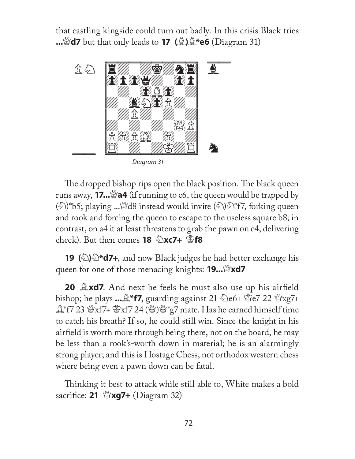that castling kingside could turn out badly. In this crisis Black tries **...**Q**d7** but that only leads to **17 (**B**)**B**\*e6** (Diagram 31)



The dropped bishop rips open the black position. The black queen runs away, **17...** $\mathcal{A}$ a4 (if running to c6, the queen would be trapped by  $\binom{2}{2}$ \*b5; playing ...\dotas instead would invite  $\binom{2}{2}$  \dotas for king queen and rook and forcing the queen to escape to the useless square b8; in contrast, on a4 it at least threatens to grab the pawn on c4, delivering **check).** But then comes **18**  $\triangle$ **xc7+**  $\triangle$ **f8** 

**19** (2)  $\triangle$  \***d7+**, and now Black judges he had better exchange his queen for one of those menacing knights: **19...**Q**xd7**

**20 Axd7**. And next he feels he must also use up his airfield bishop; he plays  $\ldots \overset{\triangle}{\sim}$  **\*f7**, guarding against 21  $\overset{\triangle}{\sim}$  e6+  $\overset{\triangle}{\approx}$  e7 22  $\overset{\triangle}{\approx}$  xg7+  $\mathbb{R}^*$ f7 23  $\mathbb{S}$ xf7+  $\mathbb{S}$ xf7 24 ( $\mathbb{S}$ ) $\mathbb{S}^*$ g7 mate. Has he earned himself time to catch his breath? If so, he could still win. Since the knight in his airfield is worth more through being there, not on the board, he may be less than a rook's-worth down in material; he is an alarmingly strong player; and this is Hostage Chess, not orthodox western chess where being even a pawn down can be fatal.

Thinking it best to attack while still able to, White makes a bold sacrifi ce: **21** Q**xg7+** (Diagram 32)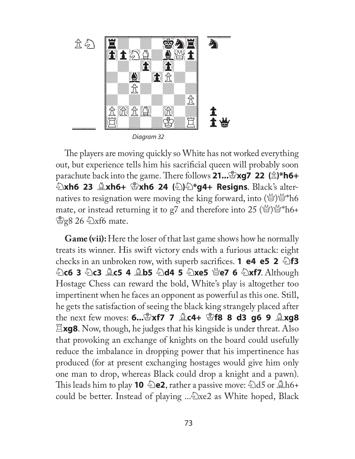

The players are moving quickly so White has not worked everything out, but experience tells him his sacrificial queen will probably soon **parachute back into the game. There follows 21... \mathbb{E} \times \mathbb{E} \times \mathbb{E} \times \mathbb{E} \times \mathbb{E} \times \mathbb{E} \times \mathbb{E} \times \mathbb{E} \times \mathbb{E} \times \mathbb{E} \times \mathbb{E} \times \mathbb{E} \times \mathbb{E} \times \mathbb{E} \times \mathbb{E} \times \mathbb{E} \times \mathbb{E} \times \mathbb{E} \times \mathbb{E} \times \mathbb{E} \times \mathbb{E} \times \math** *A***xh6 23 Axh6+ &xh6 24 (A)**<sup>2</sup>\*g4+ Resigns. Black's alternatives to resignation were moving the king forward, into  $(\mathcal{L})\mathcal{L}^*$  h6 mate, or instead returning it to g7 and therefore into 25 (\eftasify\)  $\mathcal{L}^*$  h6+  $\mathcal{L}_g$ g8 26  $\mathcal{L}_g$ xf6 mate.

**Game (vii):** Here the loser of that last game shows how he normally treats its winner. His swift victory ends with a furious attack: eight checks in an unbroken row, with superb sacrifices. **1 e4 e5 2**  $\triangle$  **f3** N**c6 3** N**c3** B**c5 4** B**b5** N**d4 5** N**xe5** Q**e7 6** N**xf7**. Although Hostage Chess can reward the bold, White's play is altogether too impertinent when he faces an opponent as powerful as this one. Still, he gets the satisfaction of seeing the black king strangely placed after the next few moves: **6...**K**xf7 7** B**c4+** K**f8 8 d3 g6 9** B**xg8**  R**xg8**. Now, though, he judges that his kingside is under threat. Also that provoking an exchange of knights on the board could usefully reduce the imbalance in dropping power that his impertinence has produced (for at present exchanging hostages would give him only one man to drop, whereas Black could drop a knight and a pawn). This leads him to play **10**  $\&$  **e2**, rather a passive move:  $\&$ d5 or  $\&$ h6+ could be better. Instead of playing .... Exe2 as White hoped, Black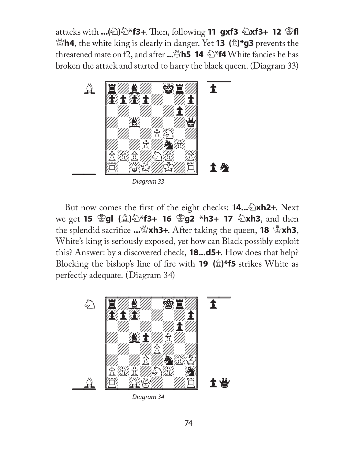**attacks with ...(2)**  $\triangle$  **\*f3+**. Then, following **11 gxf3**  $\triangle$  **xf3+ 12**  $\triangle$  **fl** Q**h4**, the white king is clearly in danger. Yet **13 (**P**)\*g3** prevents the threatened mate on f2, and after **...**Q**h5 14** N**\*f4** White fancies he has broken the attack and started to harry the black queen. (Diagram 33)



But now comes the first of the eight checks: **14...** $\triangle$ xh2+. Next **we get 15**  $\mathbb{E}$ **gl (** $\mathbb{L}$ **)** $\mathbb{\odot}$ **\*f3+ 16**  $\mathbb{E}$ **g2 \*h3+ 17**  $\mathbb{\odot}$ **xh3, and then** the splendid sacrifice ...  $\mathbb{S}$ **xh3**+. After taking the queen, **18**  $\mathbb{S}$ **xh3**, White's king is seriously exposed, yet how can Black possibly exploit this? Answer: by a discovered check, **18...d5+**. How does that help? Blocking the bishop's line of fire with **19** ( $\hat{\mathbb{Z}}$ )\***f5** strikes White as perfectly adequate. (Diagram 34)



Diagram 34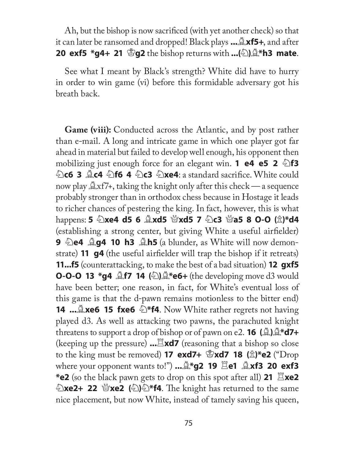Ah, but the bishop is now sacrificed (with yet another check) so that it can later be ransomed and dropped! Black plays **...**B**xf5+**, and after **20 exf5 \*g4+ 21 \Sig2** the bishop returns with  $\ldots$ (2) \Sumpthend **mate**.

See what I meant by Black's strength? White did have to hurry in order to win game (vi) before this formidable adversary got his breath back.

**Game (viii):** Conducted across the Atlantic, and by post rather than e-mail. A long and intricate game in which one player got far ahead in material but failed to develop well enough, his opponent then **mobilizing just enough force for an elegant win. <b>1 e4 e5 2**  $\triangle$  **f3 hereform** 3  $\angle$  **C4**  $\angle$  **h6 4**  $\angle$  **c3**  $\angle$ **xe4**: a standard sacrifice. White could now play  $\triangle x f$ 7+, taking the knight only after this check — a sequence probably stronger than in orthodox chess because in Hostage it leads to richer chances of pestering the king. In fact, however, this is what happens: **5** ②**xe4 d5 6 ③xd5** ③**xd5 7** ④c3 ③a5 8 O-O ( $\hat{\mathbb{Z}}$ )\*d4 (establishing a strong center, but giving White a useful airfielder) **9 De4 Quare 10 h3 Quarea** blunder, as White will now demonstrate) **11 g4** (the useful airfielder will trap the bishop if it retreats) **11...f5** (counterattacking, to make the best of a bad situation) **12 gxf5 O-O-O 13 \*g4**  $\triangle$  **<b>f7 14** ( $\triangle$ ) $\triangle$  **\*e6+** (the developing move d3 would have been better; one reason, in fact, for White's eventual loss of this game is that the d-pawn remains motionless to the bitter end) **14 ...Lxe6 15 fxe6**  $\triangle$ \***f4**. Now White rather regrets not having played d3. As well as attacking two pawns, the parachuted knight threatens to support a drop of bishop or of pawn on e2. **16**  $(\mathcal{L})\mathcal{L}^*d7+$ (keeping up the pressure)  $\ldots \mathbb{E} \times d7$  (reasoning that a bishop so close to the king must be removed) **17 exd7+**  $\mathbb{E}$ **xd7 18 (** $\mathbb{\hat{E}}$ **)\*e2** ("Drop where your opponent wants to!") **...**B**\*g2 19** R**e1** B**xf3 20 exf3 \*e2** (so the black pawn gets to drop on this spot after all) **21**  $\mathbb{E}$ **xe2 Exe2+ 22** \right **22** (D) \times **f4**. The knight has returned to the same nice placement, but now White, instead of tamely saving his queen,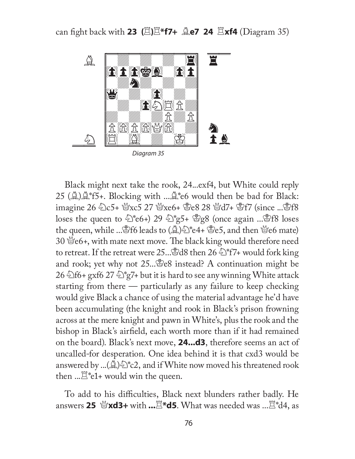

Black might next take the rook, 24...exf4, but White could reply 25 ( $\Delta$ ) $\Delta$ \*f5+. Blocking with ... $\Delta$ \*e6 would then be bad for Black: imagine 26 2c5+ @xc5 27 @xe6+ @e8 28 @d7+ @f7 (since ...@f8 loses the queen to  $\hat{\mathbb{Z}}^*$ e6+) 29  $\hat{\mathbb{Z}}^*$ g5+  $\hat{\mathbb{Z}}$ g8 (once again ... $\hat{\mathbb{Z}}$ f8 loses the queen, while ...  $f$ 6 leads to ( $\hat{\triangle}$ )  $\hat{\triangle}$  \*e4+  $\hat{\triangle}$ e5, and then  $\hat{\triangle}$ e6 mate) 30  $\mathcal{L}$  e6+, with mate next move. The black king would therefore need to retreat. If the retreat were 25...  $\&$ d8 then 26  $\&$ \*f7+ would fork king and rook; yet why not  $25 \dots 8e8$  instead? A continuation might be 26  $\triangle$ f6+ gxf6 27  $\triangle$ \*g7+ but it is hard to see any winning White attack starting from there — particularly as any failure to keep checking would give Black a chance of using the material advantage he'd have been accumulating (the knight and rook in Black's prison frowning across at the mere knight and pawn in White's, plus the rook and the bishop in Black's airfield, each worth more than if it had remained on the board). Black's next move, **24...d3**, therefore seems an act of uncalled-for desperation. One idea behind it is that cxd3 would be answered by ...( $\triangle$ ) $\triangle$ <sup>\*</sup>c2, and if White now moved his threatened rook then  $\mathbb{R}^*$ e1+ would win the queen.

To add to his difficulties, Black next blunders rather badly. He answers **25** Q**xd3+** with **...**R**\*d5**. What was needed was ...R\*d4, as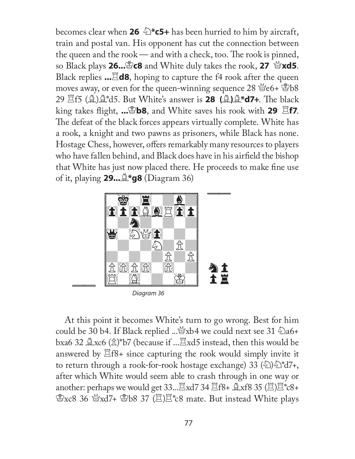becomes clear when **26**  $\triangle$ \***c5+** has been hurried to him by aircraft, train and postal van. His opponent has cut the connection between the queen and the rook — and with a check, too. The rook is pinned, so Black plays **26...**K**c8** and White duly takes the rook, **27** Q**xd5**. Black replies **...**R**d8**, hoping to capture the f4 rook after the queen moves away, or even for the queen-winning sequence  $28 \, \text{W}$ e6+  $\text{Bb}8$ 29 Rf5 (B)B\*d5. But White's answer is **28 (**B**)**B**\*d7+**. Th e black king takes flight, ... **b8**, and White saves his rook with **29 Ef7**. The defeat of the black forces appears virtually complete. White has a rook, a knight and two pawns as prisoners, while Black has none. Hostage Chess, however, offers remarkably many resources to players who have fallen behind, and Black does have in his airfield the bishop that White has just now placed there. He proceeds to make fine use of it, playing **29...**B**\*g8** (Diagram 36)



Diagram 36

At this point it becomes White's turn to go wrong. Best for him could be 30 b4. If Black replied ... xxb4 we could next see 31 2a6+ bxa6 32  $\triangle x$ c6 ( $\triangle$ )\*b7 (because if ... $\Xi$ xd5 instead, then this would be answered by  $\Xi$ f8+ since capturing the rook would simply invite it to return through a rook-for-rook hostage exchange) 33  $\langle \text{E} \rangle$   $\langle \text{E} \rangle$   $\langle \text{E} \rangle$   $\langle \text{E} \rangle$  +, after which White would seem able to crash through in one way or another: perhaps we would get  $33...Z$ xd7 34  $Z$ f8+  $Z$ xf8 35 ( $Z$ ) $Z$ \*c8+  $\mathcal{L}$ xc8 36  $\mathcal{L}$ xd7+  $\mathcal{L}$ b8 37 ( $\mathcal{L}$ ) $\mathcal{L}$ \*c8 mate. But instead White plays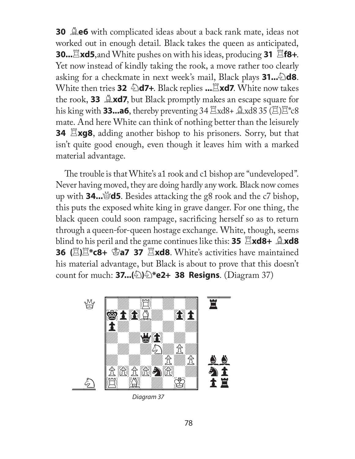**30 Le6** with complicated ideas about a back rank mate, ideas not worked out in enough detail. Black takes the queen as anticipated, **30...** Exd5, and White pushes on with his ideas, producing 31  $\Xi$ f8+. Yet now instead of kindly taking the rook, a move rather too clearly asking for a checkmate in next week's mail, Black plays **31...** $\triangle$ **d8**. **White then tries 32**  $\triangleq$ **d7+.** Black replies **...** Exd7. White now takes the rook, **33 Axd7**, but Black promptly makes an escape square for his king with **33...a6**, thereby preventing  $34 \times 10^{8}$   $\text{M}8 + \times 10^{8}$   $\text{M}8$   $35 \times 10^{8}$   $\text{M}8$ mate. And here White can think of nothing better than the leisurely **34** Exg8, adding another bishop to his prisoners. Sorry, but that isn't quite good enough, even though it leaves him with a marked material advantage.

The trouble is that White's a1 rook and c1 bishop are "undeveloped". Never having moved, they are doing hardly any work. Black now comes up with **34...** $\mathcal{A}$ **d5**. Besides attacking the g8 rook and the c7 bishop, this puts the exposed white king in grave danger. For one thing, the black queen could soon rampage, sacrificing herself so as to return through a queen-for-queen hostage exchange. White, though, seems **blind to his peril and the game continues like this: <b>35**  $\Xi$ **xd8+**  $\Omega$ **xd8 36 (E)E<sup>\*</sup>c8+ \Sequent** 37 Exd8. White's activities have maintained his material advantage, but Black is about to prove that this doesn't count for much: **37...(**N**)**N**\*e2+ 38 Resigns**. (Diagram 37)



Diagram 37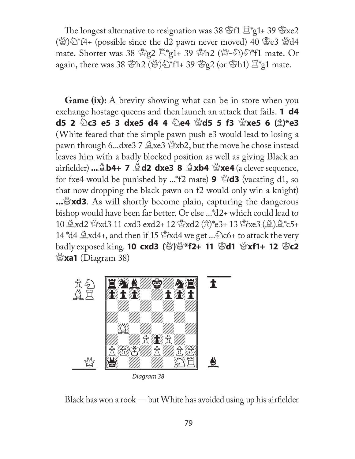The longest alternative to resignation was 38  $\mathscr{E}f1 \n \mathbb{E}^*g1+ 39 \mathscr{E}xe2$  $(\mathcal{L})\hat{\Sigma}^*$ f4+ (possible since the d2 pawn never moved) 40  $\mathcal{L}$ e3  $\mathcal{L}$ d4 mate. Shorter was 38  $g_2$   $\Xi$ <sup>\*</sup>g1+ 39  $g_2$ h2 ( $g_1$ - $g_2$ ) $g_1$ <sup>\*</sup>f1 mate. Or again, there was 38  $\mathbb{S}h2$  ( $\mathbb{S}$ )  $\mathbb{\geq}$  f1+ 39  $\mathbb{S}g2$  (or  $\mathbb{S}h1$ )  $\mathbb{Z}^*g1$  mate.

**Game (ix):** A brevity showing what can be in store when you exchange hostage queens and then launch an attack that fails. **1 d4 d5 2** N**c3 e5 3 dxe5 d4 4** N**e4** Q**d5 5 f3** Q**xe5 6 (**P**)\*e3** (White feared that the simple pawn push e3 would lead to losing a pawn through 6...dxe3  $\frac{10}{2}$ xe3  $\frac{10}{2}$ xb2, but the move he chose instead leaves him with a badly blocked position as well as giving Black an airfi elder) **...**B**b4+ 7** B**d2 dxe3 8** B**xb4** Q**xe4** (a clever sequence, for fxe4 would be punished by ...\*f2 mate) **9**  $\mathscr{A}$ **d3** (vacating d1, so that now dropping the black pawn on f2 would only win a knight) **...** $\mathbb{Z}$ **xd3**. As will shortly become plain, capturing the dangerous bishop would have been far better. Or else ...\*d2+ which could lead to  $10 \Delta x d2 \Delta x d3 11 \text{ c} x d3 \text{ e} x d2 + 12 \Delta x d2 (\Delta x)^* e3 + 13 \Delta x e3 (\Delta x)^* c5 +$ 14  $d4 \triangleq xd4$ , and then if 15  $d4 \triangleq xd4$  we get ...  $d2c6$  + to attack the very **badly exposed king. 10 cxd3 (營)營\*f2+ 11 §d1 營xf1+ 12 §c2** Q**xa1** (Diagram 38)



Diagram 38

Black has won a rook — but White has avoided using up his airfielder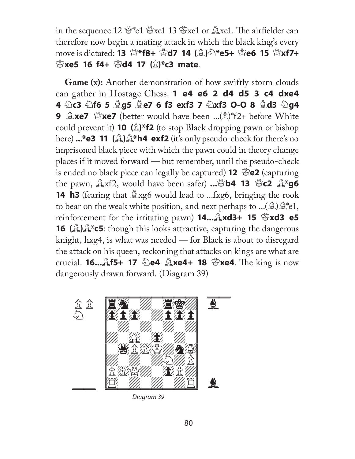in the sequence 12  $\mathbb{Q}^*$ e1  $\mathbb{Q}$ xe1 13  $\mathbb{Q}$ xe1 or  $\mathbb{Q}$ xe1. The airfielder can therefore now begin a mating attack in which the black king's every move is dictated: **13** 營\*f8+ 當d7 14 (負) 笔\*e5+ 當e6 15 營xf7+ K**xe5 16 f4+** K**d4 17 (**P**)\*c3 mate**.

**Game (x):** Another demonstration of how swiftly storm clouds can gather in Hostage Chess. **1 e4 e6 2 d4 d5 3 c4 dxe4 4** N**c3** N**f6 5** B**g5** B**e7 6 f3 exf3 7** N**xf3 O-O 8** B**d3** N**g4 9**  $\triangle$ **xe7**  $\triangle$ **xe7** (better would have been ...( $\triangle$ )\*f2+ before White could prevent it) **10**  $(\hat{\mathbb{Z}})^*f2$  (to stop Black dropping pawn or bishop here) **...\*e3 11** ( $\triangleq$ ) $\triangleq$ \*h4 exf2 (it's only pseudo-check for there's no imprisoned black piece with which the pawn could in theory change places if it moved forward — but remember, until the pseudo-check is ended no black piece can legally be captured) **12** K**e2** (capturing the pawn,  $\triangle xf2$ , would have been safer)  $\ldots \triangle yb4$  13  $\triangle yc2 \triangle xg6$ **14 h3** (fearing that  $\triangle$ xg6 would lead to ...fxg6, bringing the rook to bear on the weak white position, and next perhaps to  $...(A)A*e1$ , reinforcement for the irritating pawn) **14...**B**xd3+ 15** K**xd3 e5 16 (A)**  $\mathbb{A}^*$  **c5**: though this looks attractive, capturing the dangerous knight, hxg4, is what was needed — for Black is about to disregard the attack on his queen, reckoning that attacks on kings are what are **crucial. <b>16...**  $\triangle$  **f5+ 17**  $\triangle$  **e4**  $\triangle$  **xe4+ 18**  $\triangle$  **xe4**. The king is now dangerously drawn forward. (Diagram 39)



Diagram 39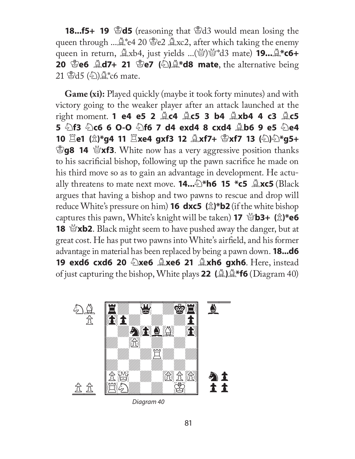**18...f5+ 19** \\ \ **10 C** (reasoning that \\ \ 3d3 would mean losing the queen through ... $\mathbb{Q}^*$ e4 20  $\mathbb{Z}$ e2  $\mathbb{Z}$ xc2, after which taking the enemy queen in return, Bxb4, just yields ...(Q)Q\*d3 mate) **19...**B**\*c6+ 20** ③e6 **Qd7+ 21** ③e7 (②) **4\*d8 mate**, the alternative being 21  $\mathscr{L}d5$  ( $\mathscr{L}$ ) $\mathscr{L}$  c6 mate.

**Game (xi):** Played quickly (maybe it took forty minutes) and with victory going to the weaker player after an attack launched at the right moment. **1 e4 e5 2** B**c4** B**c5 3 b4** B**xb4 4 c3** B**c5 5** N**f3** N**c6 6 O-O** N**f6 7 d4 exd4 8 cxd4** B**b6 9 e5** N**e4 10** R**e1 (**P**)\*g4 11** R**xe4 gxf3 12** B**xf7+** K**xf7 13 (**N**)**N**\*g5+ Eg8 14 Exf3**. White now has a very aggressive position thanks to his sacrificial bishop, following up the pawn sacrifice he made on his third move so as to gain an advantage in development. He actu**ally threatens to mate next move. <b>14...** $\triangle$ \***h6 15 \*c5**  $\triangle$ **xc5** (Black argues that having a bishop and two pawns to rescue and drop will reduce White's pressure on him) **16 dxc5** ( $\hat{\mathbb{Z}}$ )\***b2** (if the white bishop **captures this pawn, White's knight will be taken) <b>17**  $\mathcal{L}(\hat{\mathbb{Z}})$ **e6 18 \andom 18 \andom 2.** Black might seem to have pushed away the danger, but at great cost. He has put two pawns into White's airfield, and his former advantage in material has been replaced by being a pawn down. **18...d6 19 exd6 cxd6 20 2xe6 2xe6 21 2xh6 gxh6**. Here, instead of just capturing the bishop, White plays **22 (**B**)**B**\*f6** (Diagram 40)



Diagram 40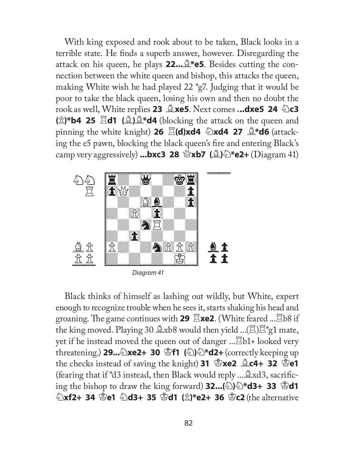With king exposed and rook about to be taken, Black looks in a terrible state. He finds a superb answer, however. Disregarding the attack on his queen, he plays **22...**B**\*e5**. Besides cutting the connection between the white queen and bishop, this attacks the queen, making White wish he had played 22 \*g7. Judging that it would be poor to take the black queen, losing his own and then no doubt the **rook as well, White replies 23**  $\triangle$ **xe5**. Next comes **...dxe5 24**  $\triangle$ c3 **(**P**)\*b4 25** R**d1 (**B**)**B**\*d4** (blocking the attack on the queen and **pinning the white knight) 26**  $\Xi$ **(d)xd4**  $\triangle$ **xd4 27**  $\triangle$ **\*d6 (attack**ing the e5 pawn, blocking the black queen's fire and entering Black's camp very aggressively) **...bxc3 28** Q**xb7 (**B**)**N**\*e2+** (Diagram 41)



Diagram 41

Black thinks of himself as lashing out wildly, but White, expert enough to recognize trouble when he sees it, starts shaking his head and groaning. The game continues with 29  $\Xi$ xe2. (White feared ... $\Xi$ b8 if the king moved. Playing 30  $\&$ xb8 would then yield ...( $\&$ ) $\&$ <sup>\*</sup>g1 mate, yet if he instead moved the queen out of danger ... <sup>[2]</sup>b1+ looked very threatening.) **29...**N**xe2+ 30** K**f1 (**N**)**N**\*d2+** (correctly keeping up the checks instead of saving the knight) 31  $\mathbb{E}$ xe2  $\mathbb{L}$ c4+ 32  $\mathbb{E}$ e1 (fearing that if  $d3$  instead, then Black would reply ... $\triangle xd3$ , sacrific**ing the bishop to draw the king forward) <b>32...(** $\circled{2}$ ) $\circled{2}$ **\*d3+ 33**  $\circled{2}$ **d1 Exf2+ 34 \Se1 \end3+ 35 \Septement (\flumbare)\*e2+ 36 \Sec2 (the alternative \)**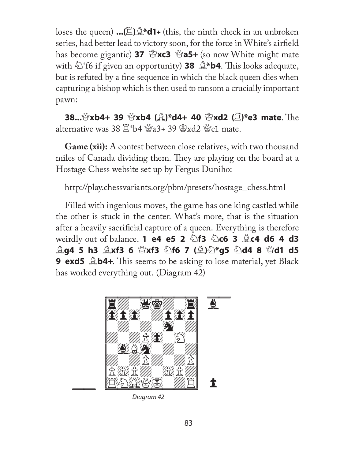loses the queen) **...(**R**)**B**\*d1+** (this, the ninth check in an unbroken series, had better lead to victory soon, for the force in White's airfield has become gigantic) **37**  $\mathscr{L}$ **xc3**  $\mathscr{L}$ **a5+** (so now White might mate with  $\hat{\mathbb{S}}^*$  f6 if given an opportunity) **38**  $\hat{\mathbb{S}}^*$  **b4**. This looks adequate, but is refuted by a fine sequence in which the black queen dies when capturing a bishop which is then used to ransom a crucially important pawn:

**38...**\\'\'\**xb4+ 39** \\'\text{\mata}\stand{\mata}\sqrt{\mata}\sqrt{\mata}\sqrt{\mata}\sqrt{\mata}\sqrt{\mata}\sqrt{\mata}\sqrt{\mata}\sqrt{\mata}\sqrt{\mata}\sqrt{\mata}\sqrt{\mata}\sqrt{\mata}\sqrt{\mata}\sqrt{\mata}\sq alternative was 38  $\mathbb{Z}^*$ b4  $\mathbb{Z}$ a3+ 39  $\mathbb{Z}$ xd2  $\mathbb{Z}$ c1 mate.

**Game (xii):** A contest between close relatives, with two thousand miles of Canada dividing them. They are playing on the board at a Hostage Chess website set up by Fergus Duniho:

http://play.chessvariants.org/pbm/presets/hostage\_chess.html

Filled with ingenious moves, the game has one king castled while the other is stuck in the center. What's more, that is the situation after a heavily sacrificial capture of a queen. Everything is therefore **weirdly out of balance. <b>1 e4 e5 2 harash 2 c6 3 <b>Ac4 d6 4 d3 Ag4 5 h3 Axf3 6**  $\mathbb{S}$ **xf3**  $\mathbb{S}$ **f6 7 (A)** $\mathbb{S}$ **\*g5**  $\mathbb{S}$ **d4 8**  $\mathbb{S}$ **d1 d5 9 exd5**  $\triangle$ **b4+**. This seems to be asking to lose material, yet Black has worked everything out. (Diagram 42)



Diagram 42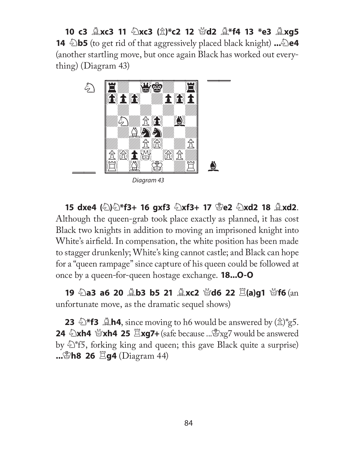**10 c3** B**xc3 11** N**xc3 (**P**)\*c2 12** Q**d2** B**\*f4 13 \*e3** B**xg5 14 b5** (to get rid of that aggressively placed black knight) ... **e4** (another startling move, but once again Black has worked out everything) (Diagram 43)



**15 dxe4 (**N**)**N**\*f3+ 16 gxf3** N**xf3+ 17** K**e2** N**xd2 18** B**xd2**. Although the queen-grab took place exactly as planned, it has cost Black two knights in addition to moving an imprisoned knight into White's airfield. In compensation, the white position has been made to stagger drunkenly; White's king cannot castle; and Black can hope for a "queen rampage" since capture of his queen could be followed at once by a queen-for-queen hostage exchange. **18...O-O**

**19 ②a3 a6 20 ③b3 b5 21 ④xc2 營d6 22**  $\Xi$ **(a)g1 營f6** (an unfortunate move, as the dramatic sequel shows)

**23**  $\triangle$ \***f3**  $\triangle$ **h4**, since moving to h6 would be answered by  $(\triangle)$ <sup>\*</sup>g5. **24 2xh4 \Pright 25**  $\Xi$ **xg7+** (safe because ...\Pright xg7 would be answered by  $\mathbb{\hat{D}}^*$  f5, forking king and queen; this gave Black quite a surprise) **...**\\\**h8 26**  $\Xi$ **g4** (Diagram 44)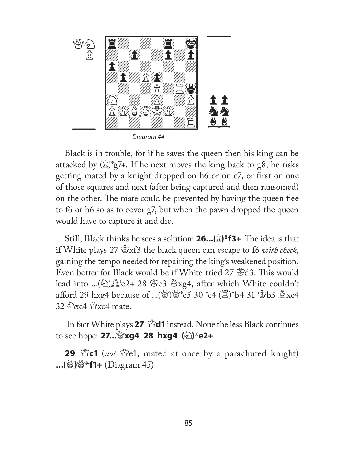

Black is in trouble, for if he saves the queen then his king can be attacked by  $(\hat{\mathbb{Z}})^*$ g7+. If he next moves the king back to g8, he risks getting mated by a knight dropped on h6 or on e7, or first on one of those squares and next (after being captured and then ransomed) on the other. The mate could be prevented by having the queen flee to f6 or h6 so as to cover g7, but when the pawn dropped the queen would have to capture it and die.

**Still, Black thinks he sees a solution: 26...(** $\hat{\mathbb{Z}}$ **)\*f3+.** The idea is that if White plays 27  $\mathcal{L}$ <sub>3</sub>xf3 the black queen can escape to f6 *with check*, gaining the tempo needed for repairing the king's weakened position. Even better for Black would be if White tried 27 \frac{3}3. This would lead into ...( $\triangle$ ) $\triangle$ \*e2+ 28 \&c3 \&xg4, after which White couldn't afford 29 hxg4 because of ...( $\mathbb{S}$ ) $\mathbb{S}$ \*c5 30 \*c4 ( $\mathbb{E}$ )\*b4 31  $\mathbb{S}$ b3  $\mathbb{R}$ xc4  $32 \text{ } \&$  xc4 mate.

In fact White plays 27  $\mathscr{B}$ d1 instead. None the less Black continues to see hope: **27...**Q**xg4 28 hxg4 (**N**)\*e2+**

**29** \\\,\effect{\mated at once by a parachuted knight} **...**(營)쌀**\*f1+** (Diagram 45)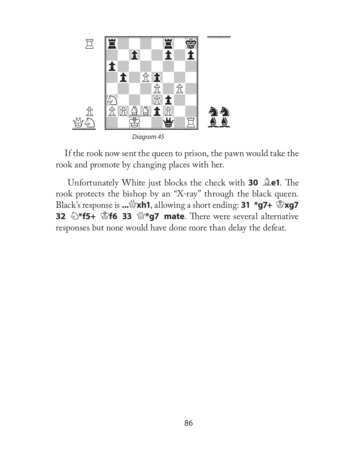

If the rook now sent the queen to prison, the pawn would take the rook and promote by changing places with her.

Unfortunately White just blocks the check with **30**  $\triangle$ **e1**. The rook protects the bishop by an "X-ray" through the black queen. Black's response is **...**Q**xh1**, allowing a short ending: **31 \*g7+** K**xg7 32**  $\circled{}^*$ **f5+**  $\circled{}^*$ **f6 33**  $\circled{}^*$ **g7 mate. There were several alternative** responses but none would have done more than delay the defeat.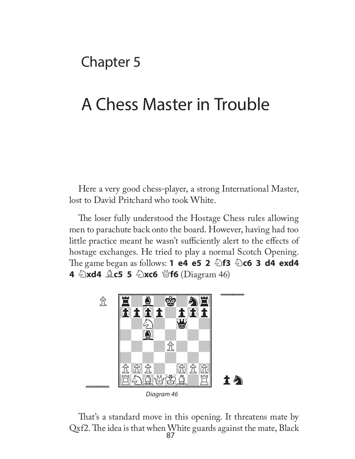Chapter 5

# A Chess Master in Trouble

Here a very good chess-player, a strong International Master, lost to David Pritchard who took White.

The loser fully understood the Hostage Chess rules allowing men to parachute back onto the board. However, having had too little practice meant he wasn't sufficiently alert to the effects of hostage exchanges. He tried to play a normal Scotch Opening. The game began as follows: **1 e4 e5 2 2 f3 2 c6 3 d4 exd4 4** 2xd4 **Ac5 5** 2xc6 \f6 (Diagram 46)



87 That's a standard move in this opening. It threatens mate by  $Qxf2$ . The idea is that when White guards against the mate, Black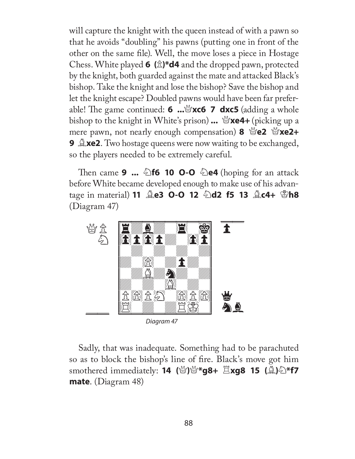will capture the knight with the queen instead of with a pawn so that he avoids "doubling" his pawns (putting one in front of the other on the same file). Well, the move loses a piece in Hostage Chess. White played **6 (**P**)\*d4** and the dropped pawn, protected by the knight, both guarded against the mate and attacked Black's bishop. Take the knight and lose the bishop? Save the bishop and let the knight escape? Doubled pawns would have been far preferable! Th e game continued: **6 ...**Q**xc6 7 dxc5** (adding a whole bishop to the knight in White's prison) **...** Q**xe4+** (picking up a **mere pawn, not nearly enough compensation) 8**  $\mathcal{L}$  **<b>e2**  $\mathcal{L}$  **xe2+ 9 Axe2**. Two hostage queens were now waiting to be exchanged, so the players needed to be extremely careful.

Then came **9 ...**  $\triangle$  **f6 10 O-O**  $\triangle$  **e4** (hoping for an attack before White became developed enough to make use of his advan**tage in material) 11 <b>Qe3 O-O 12 Qd2 f5 13 Qc4+ \Subset** (Diagram 47)



Sadly, that was inadequate. Something had to be parachuted so as to block the bishop's line of fire. Black's move got him smothered immediately: **14** (營)營**\*g8+**  $\Xi$ **xg8 15** (鱼)名**\*f7 mate**. (Diagram 48)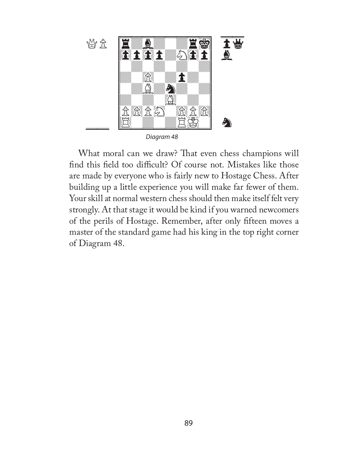

What moral can we draw? That even chess champions will find this field too difficult? Of course not. Mistakes like those are made by everyone who is fairly new to Hostage Chess. After building up a little experience you will make far fewer of them. Your skill at normal western chess should then make itself felt very strongly. At that stage it would be kind if you warned newcomers of the perils of Hostage. Remember, after only fifteen moves a master of the standard game had his king in the top right corner of Diagram 48.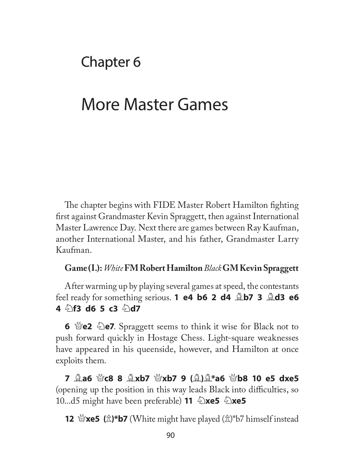## Chapter 6

## More Master Games

The chapter begins with FIDE Master Robert Hamilton fighting first against Grandmaster Kevin Spraggett, then against International Master Lawrence Day. Next there are games between Ray Kaufman, another International Master, and his father, Grandmaster Larry Kaufman.

#### **Game (I.):** *White* **FM Robert Hamilton** *Black* **GM Kevin Spraggett**

After warming up by playing several games at speed, the contestants feel ready for something serious. **1 e4 b6 2 d4 <b>Ab7 3 Ad3 e6 4**  $\frac{1}{2}$ **f3 d6 5 c3**  $\frac{1}{2}$ **d7** 

**6**  $\mathbb{Z}$ **e2**  $\mathbb{Z}$ **e7**. Spraggett seems to think it wise for Black not to push forward quickly in Hostage Chess. Light-square weaknesses have appeared in his queenside, however, and Hamilton at once exploits them.

**7** B**a6** Q**c8 8** B**xb7** Q**xb7 9 (**B**)**B**\*a6** Q**b8 10 e5 dxe5** (opening up the position in this way leads Black into difficulties, so **10...d5** might have been preferable) **11**  $\triangle$ **xe5**  $\triangle$ **xe5** 

**12**  $\mathbb{Q}$ **xe5 (** $\hat{\mathbb{Z}}$ **)\*b7** (White might have played ( $\hat{\mathbb{Z}}$ )\*b7 himself instead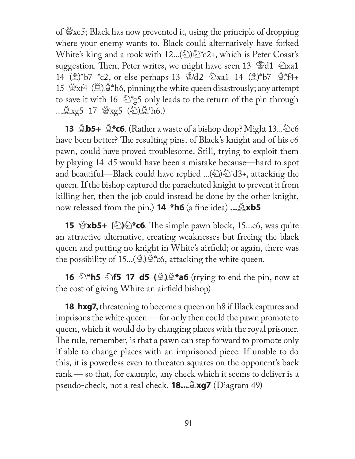of  $\mathcal{L}$ xe5; Black has now prevented it, using the principle of dropping where your enemy wants to. Black could alternatively have forked White's king and a rook with  $12...(2)$  $2^*c2$ +, which is Peter Coast's suggestion. Then, Peter writes, we might have seen 13 \frac{3}{3}{d1}  $\&$  \small Xxa1} 14  $(\hat{\mathbb{Z}})^*$ b7 \*c2, or else perhaps 13  $\hat{\mathbb{Z}}$ d2  $\hat{\mathbb{Z}}$ xa1 14  $(\hat{\mathbb{Z}})^*$ b7  $\hat{\mathbb{Z}}^*$ f4+ 15  $\mathscr{B}xf4 \times \mathscr{B}$  h6, pinning the white queen disastrously; any attempt to save it with 16  $\Im$ \*g5 only leads to the return of the pin through ... $\triangle$ xg5 17  $\cong$ xg5 ( $\triangle$ ) $\triangle$ \*h6.)

**13**  $\triangle$ **b5+**  $\triangle$ \*c6. (Rather a waste of a bishop drop? Might 13... $\triangle$ c6 have been better? The resulting pins, of Black's knight and of his e6 pawn, could have proved troublesome. Still, trying to exploit them by playing 14 d5 would have been a mistake because—hard to spot and beautiful—Black could have replied ...( $\&$ ) $\&$ <sup>\*</sup>d3+, attacking the queen. If the bishop captured the parachuted knight to prevent it from killing her, then the job could instead be done by the other knight, **now released from the pin.) <b>14** \*h6 (a fine idea) ...  $\triangle$ xb5

**15**  $\mathcal{L}$ **xb5+** ( $\mathcal{L}$ ) $\mathcal{L}$ **\*c6**. The simple pawn block, 15...c6, was quite an attractive alternative, creating weaknesses but freeing the black queen and putting no knight in White's airfield; or again, there was the possibility of  $15...(A)A*{c}6$ , attacking the white queen.

**16**  $\bigcirc$ **\*h5**  $\bigcirc$ **f5 17 d5** ( $\bigcirc$ **)** $\bigcirc$ **\*a6** (trying to end the pin, now at the cost of giving White an airfield bishop)

**18 hxg7,** threatening to become a queen on h8 if Black captures and imprisons the white queen — for only then could the pawn promote to queen, which it would do by changing places with the royal prisoner. The rule, remember, is that a pawn can step forward to promote only if able to change places with an imprisoned piece. If unable to do this, it is powerless even to threaten squares on the opponent's back rank — so that, for example, any check which it seems to deliver is a pseudo-check, not a real check. **18...**B**xg7** (Diagram 49)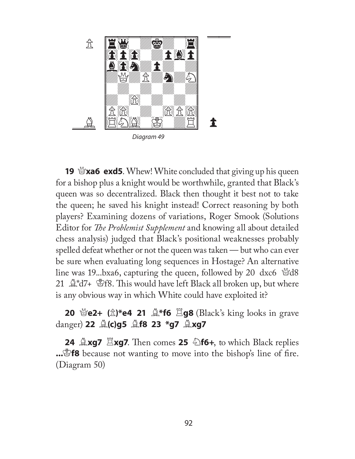

**19**  $\mathcal{L}$ **xa6 exd5**. Whew! White concluded that giving up his queen for a bishop plus a knight would be worthwhile, granted that Black's queen was so decentralized. Black then thought it best not to take the queen; he saved his knight instead! Correct reasoning by both players? Examining dozens of variations, Roger Smook (Solutions Editor for *The Problemist Supplement* and knowing all about detailed chess analysis) judged that Black's positional weaknesses probably spelled defeat whether or not the queen was taken — but who can ever be sure when evaluating long sequences in Hostage? An alternative line was 19...bxa6, capturing the queen, followed by 20 dxc6  $\mathcal{A}8$ 21  $\mathbb{Q}^*d7$ +  $\mathbb{Z}$ f8. This would have left Black all broken up, but where is any obvious way in which White could have exploited it?

**20** \\\\eq e2+ (\\\\\)\*e4 21  $\&^*f6 \xrightarrow{E} g8$  (Black's king looks in grave danger) **22** B**(c)g5** B**f8 23 \*g7** B**xg7**

**24 Axg7** Exg7. Then comes 25 **Af6+**, to which Black replies **...**Sf8 because not wanting to move into the bishop's line of fire. (Diagram 50)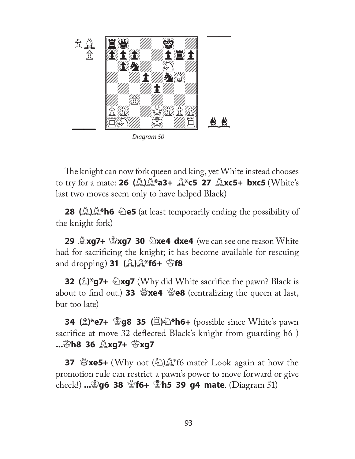

Diagram 50

The knight can now fork queen and king, yet White instead chooses to try for a mate: **26 (**B**)**B**\*a3+** B**\*c5 27** B**xc5+ bxc5** (White's last two moves seem only to have helped Black)

**28 (A)A\*h6 De5** (at least temporarily ending the possibility of the knight fork)

**29 <u>A</u>xg7+ \$xg7 30 2xe4 dxe4** (we can see one reason White had for sacrificing the knight; it has become available for rescuing and dropping) **31 (**B**)**B**\*f6+** K**f8**

**32 (** $\hat{\mathbb{Z}}$ **)\*g7+**  $\hat{\mathbb{Z}}$ **xg7** (Why did White sacrifice the pawn? Black is about to find out.) **33**  $\mathcal{L}$ **xe4**  $\mathcal{L}$  e8 (centralizing the queen at last, but too late)

**34 (** $\hat{\mathbb{Z}}$ **)\*e7+ <sup><</sup>g8 35 (** $\Xi$ **)乞\*h6+** (possible since White's pawn sacrifice at move 32 deflected Black's knight from guarding h6) **...**K**h8 36** B**xg7+** K**xg7**

**37**  $\mathscr{L}$ **xe5+** (Why not  $(\mathscr{L})\mathscr{L}$  f6 mate? Look again at how the promotion rule can restrict a pawn's power to move forward or give check!) **...**K**g6 38** Q**f6+** K**h5 39 g4 mate**. (Diagram 51)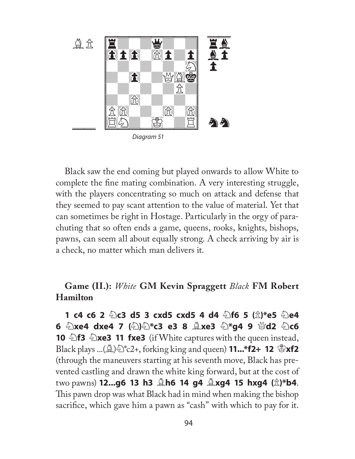

Black saw the end coming but played onwards to allow White to complete the fine mating combination. A very interesting struggle, with the players concentrating so much on attack and defense that they seemed to pay scant attention to the value of material. Yet that can sometimes be right in Hostage. Particularly in the orgy of parachuting that so often ends a game, queens, rooks, knights, bishops, pawns, can seem all about equally strong. A check arriving by air is a check, no matter which man delivers it.

## **Game (II.):** *White* **GM Kevin Spraggett** *Black* **FM Robert Hamilton**

**1 c4 c6 2** N**c3 d5 3 cxd5 cxd5 4 d4** N**f6 5 (**P**)\*e5** N**e4 6 ②xe4 dxe4 7 ④④\*c3 e3 8 ③xe3 ④\*g4 9 替d2 ④c6 10**  $\triangle$ **f3**  $\triangle$ **xe3 11 fxe3** (if White captures with the queen instead, **Black plays ...(** $\mathbb{A}$ **)**  $\mathbb{R}^*$  to 2+, forking king and queen) **11...\*f2+ 12**  $\mathbb{B}$ **xf2** (through the maneuvers starting at his seventh move, Black has prevented castling and drawn the white king forward, but at the cost of two pawns) **12...g6 13 h3** B**h6 14 g4** B**xg4 15 hxg4 (**P**)\*b4**. This pawn drop was what Black had in mind when making the bishop sacrifice, which gave him a pawn as "cash" with which to pay for it.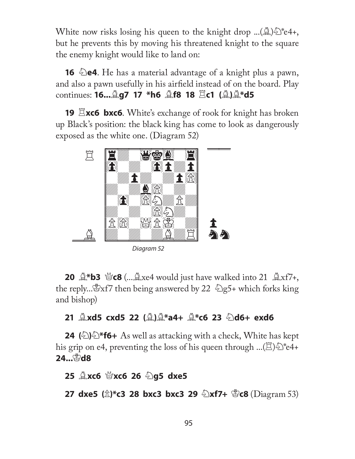White now risks losing his queen to the knight drop ...( $\mathcal{L}\$ )  $\mathcal{L}$  +4+, but he prevents this by moving his threatened knight to the square the enemy knight would like to land on:

**16**  $\triangle$ **e4**. He has a material advantage of a knight plus a pawn, and also a pawn usefully in his airfield instead of on the board. Play **continues: 16.... g7 17 \*h6**  $\triangle$  **f8 18**  $\Xi$ **c1 (** $\triangle$ **)** $\triangle$ **\*d5** 

**19**  $\Xi$ **xc6 bxc6**. White's exchange of rook for knight has broken up Black's position: the black king has come to look as dangerously exposed as the white one. (Diagram 52)



Diagram 52

**20**  $\mathbb{Q}^*$ **b3**  $\mathbb{Q}$ **c8** (... $\mathbb{Q}$ xe4 would just have walked into 21  $\mathbb{Q}$ xf7+, the reply... $\mathbb{E}$ xf7 then being answered by 22  $\mathbb{E}$ g5+ which forks king and bishop)

## **21** B**xd5 cxd5 22 (**B**)**B**\*a4+** B**\*c6 23** N**d6+ exd6**

**24** ( $\triangle$ ) $\triangle$ \***f6**+ As well as attacking with a check, White has kept his grip on e4, preventing the loss of his queen through ... $(\mathbb{E})\hat{\otimes}^*$ e4+ 24… *Pd8* 

**25** B**xc6** Q**xc6 26** N**g5 dxe5**

**27 dxe5 (** $\hat{\mathbb{Z}}$ **)\*c3 28 bxc3 bxc3 29**  $\hat{\mathbb{Z}}$ **xf7+**  $\hat{\mathbb{Z}}$ **c8 (Diagram 53)**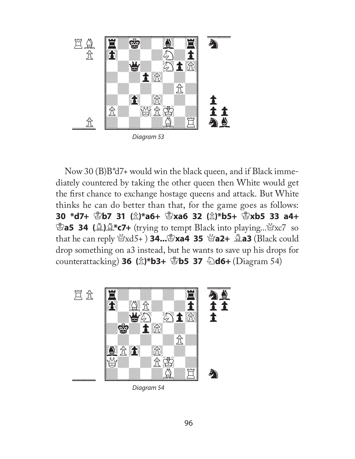

Diagram 53

Now 30 (B)B\*d7+ would win the black queen, and if Black immediately countered by taking the other queen then White would get the first chance to exchange hostage queens and attack. But White thinks he can do better than that, for the game goes as follows: **30 \*d7+** K**b7 31 (**P**)\*a6+** K**xa6 32 (**P**)\*b5+** K**xb5 33 a4+ Ea5 34 (A)A\*c7+** (trying to tempt Black into playing... Yxc7 so that he can reply Qxd5+ ) **34...**K**xa4 35** Q**a2+** B**a3** (Black could drop something on a3 instead, but he wants to save up his drops for counterattacking) **36 (**P**)\*b3+** K**b5 37** N**d6+** (Diagram 54)



Diagram 54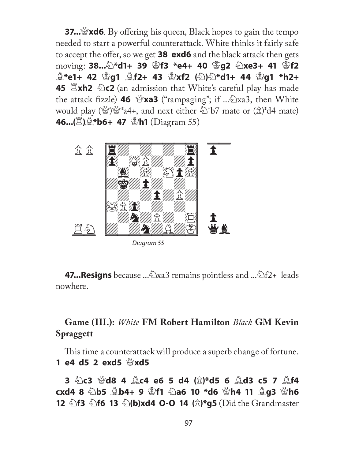**37...** $\mathbb{X}$ xd6. By offering his queen, Black hopes to gain the tempo needed to start a powerful counterattack. White thinks it fairly safe to accept the offer, so we get **38 exd6** and the black attack then gets moving: **38...**N**\*d1+ 39** K**f3 \*e4+ 40** K**g2** N**xe3+ 41** K**f2**  B**\*e1+ 42** K**g1** B**f2+ 43** K**xf2 (**N**)**N**\*d1+ 44** K**g1 \*h2+ 45**  $\Xi$ **xh2**  $\&$  **c2** (an admission that White's careful play has made the attack fizzle) **46**  $\mathbb{Y}$ **xa3** ("rampaging"; if ... $\mathbb{\&}$ xa3, then White would play ( $\mathbb{Q}^*\$  a4+, and next either  $\mathbb{Z}^*$ b7 mate or  $(\mathbb{\hat{Z}})^*\,d4$  mate) **46...**( $\Xi$ ),  $\Delta$ \***b6+ 47**  $\Phi$ **h1** (Diagram 55)



Diagram 55

**47...Resigns** because ...Nxa3 remains pointless and ...Nf2+ leads nowhere.

## **Game (III.):** *White* **FM Robert Hamilton** *Black* **GM Kevin Spraggett**

This time a counterattack will produce a superb change of fortune. **1 e4 d5 2 exd5** Q**xd5** 

**3** N**c3** Q**d8 4** B**c4 e6 5 d4 (**P**)\*d5 6** B**d3 c5 7** B**f4 cxd4 8 ②b5 ③b4+ 9 ③f1 ④a6 10 \*d6 Nh4 11 ③g3 Nh6 12 hata hf3 hata 13**  $\bigcirc$  **b**)xd4 **O-O 14** ( $\triangle$ )\*g5 (Did the Grandmaster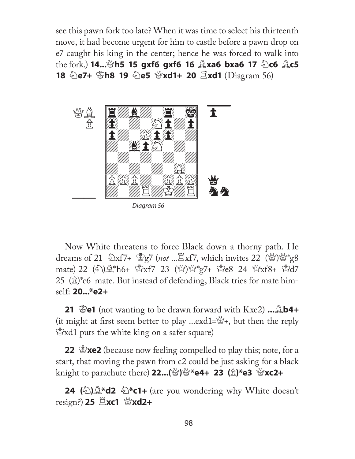see this pawn fork too late? When it was time to select his thirteenth move, it had become urgent for him to castle before a pawn drop on e7 caught his king in the center; hence he was forced to walk into **the fork.) 14...** $\mathcal{L}$ **h5 15 gxf6 gxf6 16**  $\mathcal{L}$ **xa6 bxa6 17**  $\mathcal{L}$ **c6**  $\mathcal{L}$ **c5 18 De7+ Ph8 19 De5 @xd1+ 20**  $\Xi$ **xd1** (Diagram 56)



Diagram 56

Now White threatens to force Black down a thorny path. He dreams of 21  $\leftrightarrow$ xf7+  $\circ$ g7 (*not* ... $\Xi$ xf7, which invites 22 ( $\circ$ g) $\circ$ g8 mate) 22 (2) 4\*h6+ \$xf7 23 (4) 4\*g7+ \$e8 24 4xf8+ \$d7 25  $(\hat{\mathbb{Z}})$ \*c6 mate. But instead of defending, Black tries for mate himself: **20...\*e2+**

**21** K**e1** (not wanting to be drawn forward with Kxe2) **...**B**b4+** (it might at first seem better to play ...exd1= $\mathbb{S}$ +, but then the reply  $\mathcal{L}$ xd1 puts the white king on a safer square)

**22 Exe2** (because now feeling compelled to play this; note, for a start, that moving the pawn from c2 could be just asking for a black knight to parachute there) 22...( | | | | | |  $\mathbb{Z}$  **\*e4+ 23** ( $\hat{\mathbb{Z}}$  ) \*e3 |  $\mathbb{Z}$  xc2+

**24 (** $\triangle$ ) $\triangle$ \***d2**  $\triangle$ \***c1**+ (are you wondering why White doesn't **resign?) 25**  $\Xi$ **xc1 營xd2+**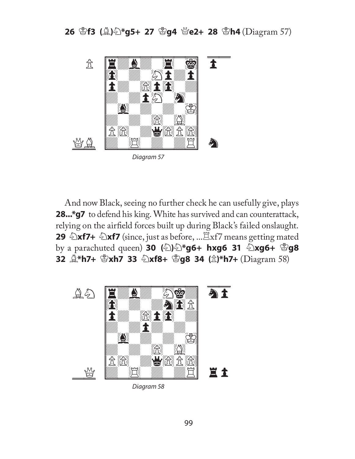**26** K**f3 (**B**)**N**\*g5+ 27** K**g4** Q**e2+ 28** K**h4** (Diagram 57)



And now Black, seeing no further check he can usefully give, plays **28...\*g7** to defend his king. White has survived and can counterattack, relying on the airfield forces built up during Black's failed onslaught. **29** *N***f7+** *N***f7** (since, just as before, ... Exf7 means getting mated **by a parachuted queen) <b>30** (2)  $\angle$  **hxg6 + hxg6 31**  $\angle$  **xg6+**  $\angle$  **g8 32** B**\*h7+** K**xh7 33** N**xf8+** K**g8 34 (**P**)\*h7+** (Diagram 58)



Diagram 58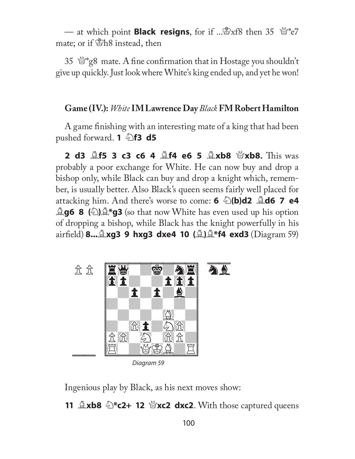— at which point **Black resigns**, for if ... \$xf8 then 35 \frac{y\*e7} mate; or if  $B$ h8 instead, then

35  $\mathcal{L}$  s<sub>g</sub><sup>8</sup> mate. A fine confirmation that in Hostage you shouldn't give up quickly. Just look where White's king ended up, and yet he won!

#### **Game (IV.):** *White* **IM Lawrence Day** *Black* **FM Robert Hamilton**

A game finishing with an interesting mate of a king that had been pushed forward. **1 165 d5** 

**2 d3**  $\triangle$ **f5 3 c3 c6 4**  $\triangle$ **f4 e6 5**  $\triangle$ **xb8**  $\triangle$ **xb8. This was** probably a poor exchange for White. He can now buy and drop a bishop only, while Black can buy and drop a knight which, remember, is usually better. Also Black's queen seems fairly well placed for attacking him. And there's worse to come: **6** N**(b)d2** B**d6 7 e4 Ag6 8** (2)  $\rightarrow$  **g3** (so that now White has even used up his option of dropping a bishop, while Black has the knight powerfully in his airfi eld) **8...**B**xg3 9 hxg3 dxe4 10 (**B**)**B**\*f4 exd3** (Diagram 59)



Diagram 59

Ingenious play by Black, as his next moves show:

**11**  $\triangle x$ **b8**  $\triangle^*c2+$  **12**  $\triangle^*xc2$  **dxc2**. With those captured queens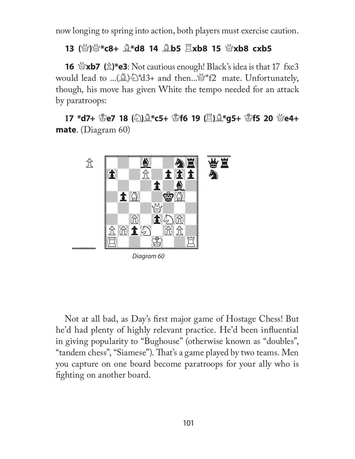now longing to spring into action, both players must exercise caution.

## **13 (**Q**)**Q**\*c8+** B**\*d8 14** B**b5** R**xb8 15** Q**xb8 cxb5**

**16**  $\mathbb{Q}$ **xb7** ( $\hat{\mathbb{Z}}$ )\*e3: Not cautious enough! Black's idea is that 17 fxe3 would lead to ...( $\triangle$ )  $\triangle$ \*d3+ and then... $\triangle$ \*f2 mate. Unfortunately, though, his move has given White the tempo needed for an attack by paratroops:

**17 \*d7+** K**e7 18 (**N**)**B**\*c5+** K**f6 19 (**R**)**B**\*g5+** K**f5 20** Q**e4+ mate**. (Diagram 60)



Not at all bad, as Day's first major game of Hostage Chess! But he'd had plenty of highly relevant practice. He'd been influential in giving popularity to "Bughouse" (otherwise known as "doubles", "tandem chess", "Siamese"). That's a game played by two teams. Men you capture on one board become paratroops for your ally who is fighting on another board.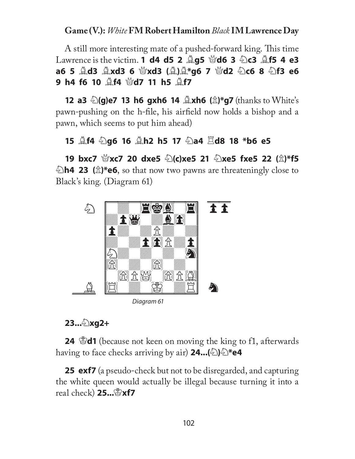## **Game (V.):** *White* **FM Robert Hamilton** *Black* **IM Lawrence Day**

A still more interesting mate of a pushed-forward king. This time **Lawrence is the victim. 1 d4 d5 2 <b>Qg5**  $\mathcal{L}$ **d6 3**  $\mathcal{L}$ **c3**  $\mathcal{L}$ **f5 4 e3 a6 5** B**d3** B**xd3 6** Q**xd3 (**B**)**B**\*g6 7** Q**d2** N**c6 8** N**f3 e6 9 h4 f6 10**  $\triangle$  **f4**  $\triangle$  **d7 11 h5**  $\triangle$  **f7** 

**12 a3**  $\bigcirc$  (g)e7 13 h6 gxh6 14  $\bigcirc$  xh6 ( $\bigcirc$ )\*g7 (thanks to White's pawn-pushing on the h-file, his airfield now holds a bishop and a pawn, which seems to put him ahead)

## **15** B**f4** N**g6 16** B**h2 h5 17** N**a4** R**d8 18 \*b6 e5**

**19 bxc7**  $\mathbb{Z}$ **xc7 20 dxe5**  $\mathbb{Z}$ **(c)xe5 21**  $\mathbb{Z}$ **xe5 fxe5 22 (** $\mathbb{Z}$ **)\*f5 Eh4 23** ( $\hat{\mathbb{Z}}$ )\*e6, so that now two pawns are threateningly close to Black's king. (Diagram 61)



Diagram 61

## **23...**N**xg2+**

**24** K**d1** (because not keen on moving the king to f1, afterwards **having to face checks arriving by air) <b>24...**( $\triangle$ ) $\triangle$ \***e4** 

**25 exf7** (a pseudo-check but not to be disregarded, and capturing the white queen would actually be illegal because turning it into a real check) **25...**K**xf7**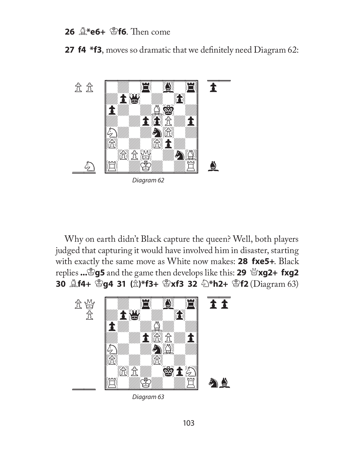## **26**  $\triangle$ **\*e6+**  $\triangle$ **f6.** Then come

**27 f4 \*f3**, moves so dramatic that we definitely need Diagram 62:



Why on earth didn't Black capture the queen? Well, both players judged that capturing it would have involved him in disaster, starting with exactly the same move as White now makes: **28 fxe5+**. Black replies ... 895 and the game then develops like this: 29  $\mathscr{L}$ xg2+ fxg2 **30**  $\triangle$ **f4+**  $\triangleq$ **g4 31 (** $\triangleq$ **)\*f3+**  $\triangleq$ **xf3 32**  $\triangleq$ **\*h2+**  $\triangleq$ **f2 (Diagram 63)** 



Diagram 63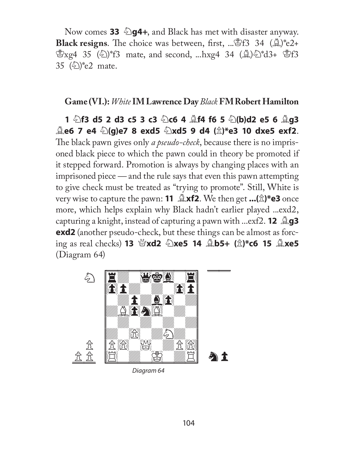Now comes 33  $\Diamond$ g4+, and Black has met with disaster anyway. Black resigns. The choice was between, first, ... \$f3 34 ( $\triangle$ )\*e2+  $\mathcal{L}_{Xg4}$  35 ( $\langle \rangle$ )\*f3 mate, and second, ...hxg4 34 ( $\langle \rangle$ ) $\langle \rangle$ \*d3+  $\langle \rangle$ f3 35  $(\frac{\sqrt{2}}{2})$ <sup>\*</sup>e2 mate.

#### **Game (VI.):** *White* **IM Lawrence Day** *Black* **FM Robert Hamilton**

**1** N**f3 d5 2 d3 c5 3 c3** N**c6 4** B**f4 f6 5** N**(b)d2 e5 6** B**g3**  B**e6 7 e4** N**(g)e7 8 exd5** N**xd5 9 d4 (**P**)\*e3 10 dxe5 exf2**. The black pawn gives only *a pseudo-check*, because there is no imprisoned black piece to which the pawn could in theory be promoted if it stepped forward. Promotion is always by changing places with an imprisoned piece *—* and the rule says that even this pawn attempting to give check must be treated as "trying to promote". Still, White is very wise to capture the pawn: **11**  $\triangle$ **xf2**. We then get  $\ldots$ ( $\triangle$ )\*e3 once more, which helps explain why Black hadn't earlier played ...exd2, **capturing a knight, instead of capturing a pawn with ...exf2. <b>12 g3 exd2** (another pseudo-check, but these things can be almost as forcing as real checks) **13** Q**xd2** N**xe5 14** B**b5+ (**P**)\*c6 15** B**xe5** (Diagram 64)



Diagram 64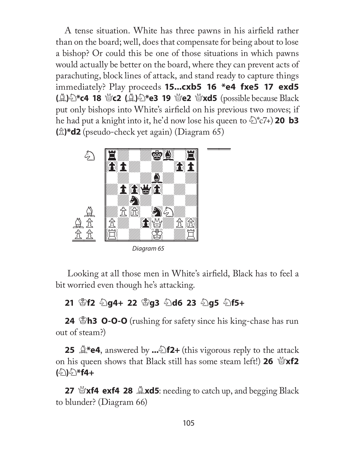A tense situation. White has three pawns in his airfield rather than on the board; well, does that compensate for being about to lose a bishop? Or could this be one of those situations in which pawns would actually be better on the board, where they can prevent acts of parachuting, block lines of attack, and stand ready to capture things immediately? Play proceeds **15...cxb5 16 \*e4 fxe5 17 exd5 (②)** $\triangle$ \*c4 18 營c2 (③) $\triangle$ \*e3 19 營e2 營xd5 (possible because Black put only bishops into White's airfield on his previous two moves; if he had put a knight into it, he'd now lose his queen to  $\hat{\Sigma}$ \*c7+) **20 b3 (**P**)\*d2** (pseudo-check yet again) (Diagram 65)



Looking at all those men in White's airfield, Black has to feel a bit worried even though he's attacking.

## **21** K**f2** N**g4+ 22** K**g3** N**d6 23** N**g5** N**f5+**

**24** K**h3 O-O-O** (rushing for safety since his king-chase has run out of steam?)

**25**  $\mathbb{Q}^*$ e4, answered by ... $\mathbb{Z}$ f2+ (this vigorous reply to the attack **on his queen shows that Black still has some steam left!) 26**  $\mathcal{L}\times\mathbf{X}$ **(**2) 2 **f4** +

**27 \Part4 exf4 28**  $\triangle$ **xd5**: needing to catch up, and begging Black to blunder? (Diagram 66)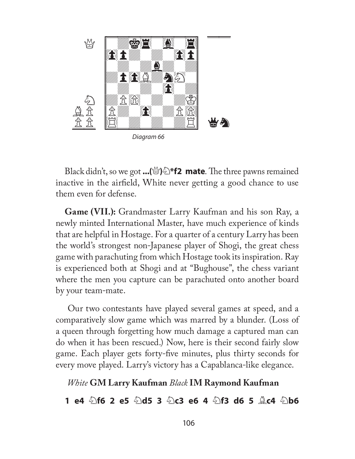

Black didn't, so we got ...( $\frac{M}{2}$ ) $\frac{1}{2}$  \*f2 mate. The three pawns remained inactive in the airfield, White never getting a good chance to use them even for defense.

**Game (VII.):** Grandmaster Larry Kaufman and his son Ray, a newly minted International Master, have much experience of kinds that are helpful in Hostage. For a quarter of a century Larry has been the world's strongest non-Japanese player of Shogi, the great chess game with parachuting from which Hostage took its inspiration. Ray is experienced both at Shogi and at "Bughouse", the chess variant where the men you capture can be parachuted onto another board by your team-mate.

 Our two contestants have played several games at speed, and a comparatively slow game which was marred by a blunder. (Loss of a queen through forgetting how much damage a captured man can do when it has been rescued.) Now, here is their second fairly slow game. Each player gets forty-five minutes, plus thirty seconds for every move played. Larry's victory has a Capablanca-like elegance.

## *White* **GM Larry Kaufman** *Black* **IM Raymond Kaufman**

**1 e4** N**f6 2 e5** N**d5 3** N**c3 e6 4** N**f3 d6 5** B**c4** N**b6**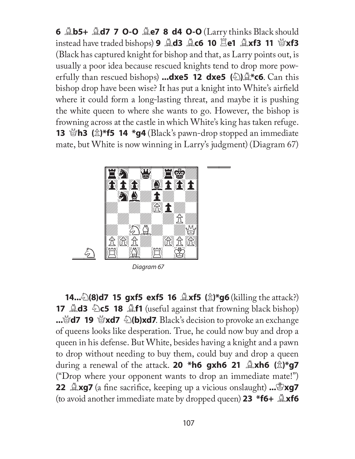**6** B**b5+** B**d7 7 O-O** B**e7 8 d4 O-O** (Larry thinks Black should **instead have traded bishops) <b>9 Ad3 <b>Ac6 10 Ale1 Axf3 11**  $\mathcal{L}$ **xf3** (Black has captured knight for bishop and that, as Larry points out, is usually a poor idea because rescued knights tend to drop more powerfully than rescued bishops) **...dxe5 12 dxe5 (**N**)**B**\*c6**. Can this bishop drop have been wise? It has put a knight into White's airfield where it could form a long-lasting threat, and maybe it is pushing the white queen to where she wants to go. However, the bishop is frowning across at the castle in which White's king has taken refuge. **13** \**Base** ( $\triangle$ )\***f5 14 \*g4** (Black's pawn-drop stopped an immediate mate, but White is now winning in Larry's judgment) (Diagram 67)



Diagram 67

**14...**  $\mathbb{E}(\mathbf{8})$ **d7 15 gxf5 exf5 16**  $\mathbb{E}(\mathbf{8})$ **\*g6** (killing the attack?) **17**  $\triangle$ **d3**  $\triangle$ c5 **18**  $\triangle$ **f1** (useful against that frowning black bishop) **...**Q**d7 19** Q**xd7** N**(b)xd7**. Black's decision to provoke an exchange of queens looks like desperation. True, he could now buy and drop a queen in his defense. But White, besides having a knight and a pawn to drop without needing to buy them, could buy and drop a queen during a renewal of the attack. **20 \*h6 gxh6 21** B**xh6 (**P**)\*g7** ("Drop where your opponent wants to drop an immediate mate!") **22 Lag7** (a fine sacrifice, keeping up a vicious onslaught) ...  $\mathbb{Z}$ **xg7** (to avoid another immediate mate by dropped queen) **23 \*f6+** B**xf6**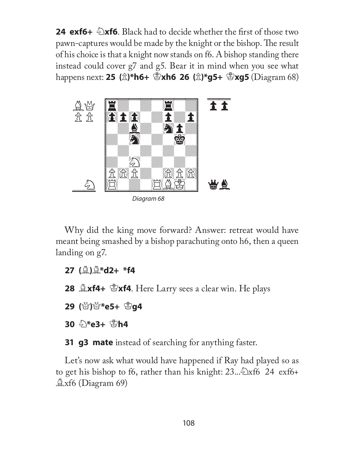**24 exf6+**  $\triangle$ **xf6**. Black had to decide whether the first of those two pawn-captures would be made by the knight or the bishop. The result of his choice is that a knight now stands on f6. A bishop standing there instead could cover g7 and g5. Bear it in mind when you see what happens next: **25 (**P**)\*h6+** K**xh6 26 (**P**)\*g5+** K**xg5** (Diagram 68)



Diagram 68

Why did the king move forward? Answer: retreat would have meant being smashed by a bishop parachuting onto h6, then a queen landing on g7.

- **27 (**B**)**B**\*d2+ \*f4**
- **28** B**xf4+** K**xf4**. Here Larry sees a clear win. He plays
- **29** (營)營\*e5+ <sup>B</sup>g4
- **30 2\*e3+ 图h4**

**31 g3 mate** instead of searching for anything faster.

Let's now ask what would have happened if Ray had played so as to get his bishop to f6, rather than his knight:  $23...\&trsim x66$  24 exf6+  $\triangle$ xf6 (Diagram 69)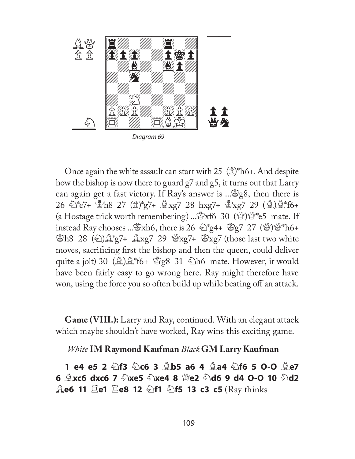

Diagram 69

Once again the white assault can start with 25  $(\hat{\mathbb{Z}})^*$ h6+. And despite how the bishop is now there to guard g7 and g5, it turns out that Larry can again get a fast victory. If Ray's answer is ...  $g_8$ 8, then there is 26 ①\*e7+ 图h8 27 ( $\hat{\mathbb{Z}}$ )\*g7+  $\hat{\mathbb{Z}}$ xg7 28 hxg7+  $\mathbb{Z}$ xg7 29 ( $\hat{\mathbb{Z}}$ ) $\hat{\mathbb{Z}}$ \*f6+ (a Hostage trick worth remembering) ...  $\mathbb{E}x$  fo 30 ( $\mathbb{Y}$ ) $\mathbb{Y}^*$  e5 mate. If instead Ray chooses ...  $\mathbb{Z}$ xh6, there is 26  $\mathbb{Z}$ \*g4+  $\mathbb{Z}$ g7 27 ( $\mathbb{Z}$ ) $\mathbb{Z}$ \*h6+  $\mathcal{B}_{h8}$  28 ( $\mathcal{L}\$ ) $\mathcal{L}_{g7}^*$   $\mathcal{L}_{g7}$  29  $\mathcal{L}_{xg7}$   $\mathcal{L}_{g7}$  (those last two white moves, sacrificing first the bishop and then the queen, could deliver quite a jolt) 30  $(\triangle) \triangle * f6 + \triangle g8$  31  $\triangle$ h6 mate. However, it would have been fairly easy to go wrong here. Ray might therefore have won, using the force you so often build up while beating off an attack.

**Game (VIII.):** Larry and Ray, continued. With an elegant attack which maybe shouldn't have worked, Ray wins this exciting game.

*White* **IM Raymond Kaufman** *Black* **GM Larry Kaufman** 

**1 e4 e5 2** N**f3** N**c6 3** B**b5 a6 4** B**a4** N**f6 5 O-O** B**e7 6 <u>A</u>xc6 dxc6 7**  $\hat{\mathbb{E}}$ **xe5**  $\hat{\mathbb{E}}$ **xe4 8**  $\hat{\mathbb{E}}$ **e2**  $\hat{\mathbb{E}}$ **d6 9 d4 O-O 10**  $\hat{\mathbb{E}}$ **d2 Ale6 11 Are1 Alle8 12**  $\triangle$ **f1**  $\triangle$ **f5 13 c3 c5** (Ray thinks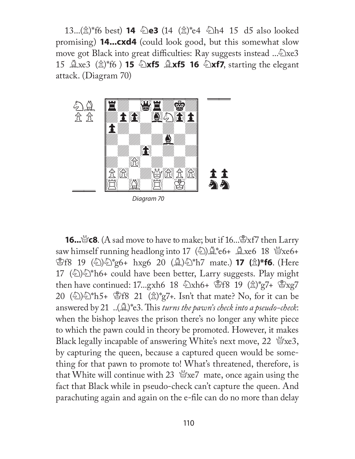13...( $\hat{x}$ )\*f6 best) **14**  $\hat{\Phi}$ e3 (14 ( $\hat{x}$ )\*e4  $\hat{\Phi}$ h4 15 d5 also looked promising) **14...cxd4** (could look good, but this somewhat slow move got Black into great difficulties: Ray suggests instead ...  $\triangle$ xe3 15  $\triangle xe3$  ( $\triangle xf6$ ) **15**  $\triangle xf5$   $\triangle xf5$  **16**  $\triangle xf7$ , starting the elegant attack. (Diagram 70)



Diagram 70

**16...** $\mathscr{B}$ **c8**. (A sad move to have to make; but if 16... $\mathscr{B}$ xf7 then Larry saw himself running headlong into 17 (2) $\triangle$ \*e6+  $\triangle$ xe6 18  $\triangle$ xe6+ **\$f8** 19 (公)公\*g6+ hxg6 20 (公)公\*h7 mate.) **17 (**岔)\*f6. (Here 17 ( $\Diamond$ ) $\Diamond$ \*h6+ could have been better, Larry suggests. Play might then have continued: 17...gxh6 18  $\&$ xh6+  $\&$ f8 19  $(\&)$ \*g7+  $\&$ xg7 20  $(\textcircled{2})\textcircled{2}^*h5+ \textcircled{2}f8$  21  $(\textcircled{2})^*g7+$ . Isn't that mate? No, for it can be answered by 21 ..( $\triangle$ )\*e3. This *turns the pawn's check into a pseudo-check*: when the bishop leaves the prison there's no longer any white piece to which the pawn could in theory be promoted. However, it makes Black legally incapable of answering White's next move, 22  $\mathcal{L}$  exe3, by capturing the queen, because a captured queen would be something for that pawn to promote to! What's threatened, therefore, is that White will continue with 23  $\mathcal{L}$  mate, once again using the fact that Black while in pseudo-check can't capture the queen. And parachuting again and again on the e-file can do no more than delay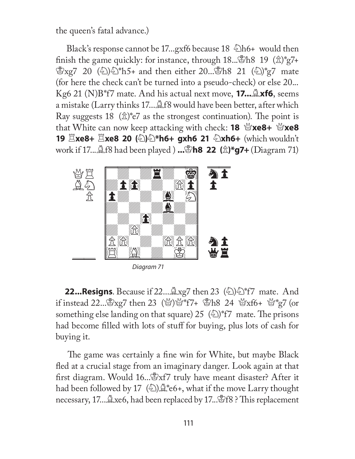the queen's fatal advance.)

Black's response cannot be 17...gxf6 because  $18 \text{ h}$  h6+ would then finish the game quickly: for instance, through  $18...$  \$h8 19 ( $\hat{\mathbb{Z}}$ )\*g7+  $\&$ xg7 20 ( $\&$ ) $\&$ <sup>+</sup>h5+ and then either 20... $\&$ h8 21 ( $\&$ )<sup>\*</sup>g7 mate (for here the check can't be turned into a pseudo-check) or else 20... Kg6 21 (N)B\*f7 mate. And his actual next move, **17...**B**xf6**, seems a mistake (Larry thinks 17.... £18 would have been better, after which Ray suggests 18  $(\hat{\mathbb{Z}})^*$ e7 as the strongest continuation). The point is that White can now keep attacking with check: **18**  $\mathbb{Q}$ **xe8+**  $\mathbb{Q}$ **xe8 19** R**xe8+** R**xe8 20 (**N**)**N**\*h6+ gxh6 21** N**xh6+** (which wouldn't work if 17...Bf8 had been played ) **...**K**h8 22 (**P**)\*g7+** (Diagram 71)



Diagram 71

**22...Resigns**. Because if  $22 \dots 2x$  g7 then  $23 \quad \textcircled{k}$  f7 mate. And if instead 22...  $\mathbb{Z}$ xg7 then 23 ( $\mathbb{Z}$ ) $\mathbb{Z}^*$ f7+  $\mathbb{Z}$ h8 24  $\mathbb{Z}$ xf6+  $\mathbb{Z}^*$ g7 (or something else landing on that square) 25  $(\textcircled{\scriptsize\stackrel{\scriptsize\diagup}{2}})^*$ f7 mate. The prisons had become filled with lots of stuff for buying, plus lots of cash for buying it.

The game was certainly a fine win for White, but maybe Black fled at a crucial stage from an imaginary danger. Look again at that first diagram. Would 16...  $\mathbb{R}$ xf7 truly have meant disaster? After it had been followed by 17  $\binom{5}{2}$   $\stackrel{?}{\leq}$  \*e6+, what if the move Larry thought necessary, 17... $\triangle$ xe6, had been replaced by 17... $\triangle$ f8 ? This replacement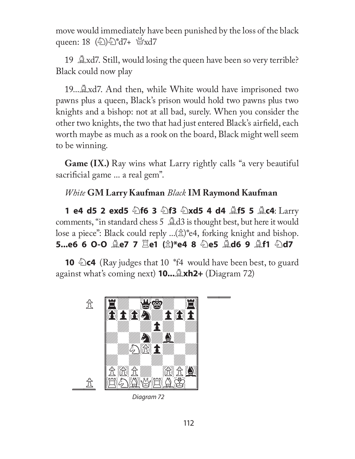move would immediately have been punished by the loss of the black queen: 18 (N)N\*d7+ Qxd7

19  $\&$ xd7. Still, would losing the queen have been so very terrible? Black could now play

19...Bxd7. And then, while White would have imprisoned two pawns plus a queen, Black's prison would hold two pawns plus two knights and a bishop: not at all bad, surely. When you consider the other two knights, the two that had just entered Black's airfield, each worth maybe as much as a rook on the board, Black might well seem to be winning.

**Game (IX.)** Ray wins what Larry rightly calls "a very beautiful sacrificial game ... a real gem".

### *White* **GM Larry Kaufman** *Black* **IM Raymond Kaufman**

**1 e4 d5 2 exd5**  $\circledcirc$  **f6 3**  $\circledcirc$  **f3**  $\circledcirc$  **xd5 4 d4**  $\circledcirc$  **f5 5**  $\circledcirc$  **c4: Larry** comments, "in standard chess 5  $\triangle$ d3 is thought best, but here it would lose a piece": Black could reply ... $(\hat{\mathbb{Z}})^*$ e4, forking knight and bishop. **5...e6 6 O-O** B**e7 7** R**e1 (**P**)\*e4 8** N**e5** B**d6 9** B**f1** N**d7** 

**10**  $\triangle$ **c4** (Ray judges that 10 <sup>\*</sup>f4</sup> would have been best, to guard against what's coming next) **10...**B**xh2+** (Diagram 72)



Diagram 72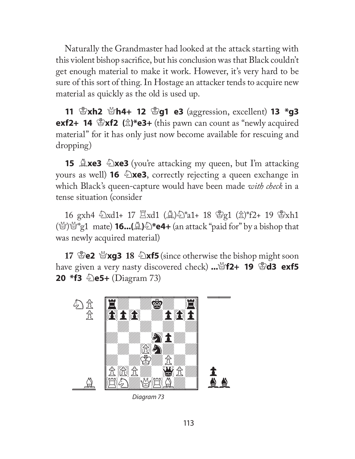Naturally the Grandmaster had looked at the attack starting with this violent bishop sacrifice, but his conclusion was that Black couldn't get enough material to make it work. However, it's very hard to be sure of this sort of thing. In Hostage an attacker tends to acquire new material as quickly as the old is used up.

**11**  $\mathscr{L}$ **xh2**  $\mathscr{L}$ **h4+ 12**  $\mathscr{L}$ **g1 e3** (aggression, excellent) **13**  $*$ **g3 exf2+ 14**  $\mathbb{E}$ **xf2 (** $\hat{\mathbb{Z}}$ **)\*e3+** (this pawn can count as "newly acquired material" for it has only just now become available for rescuing and dropping)

**15 <u>Axe3</u>**  $\&$ **xe3** (you're attacking my queen, but I'm attacking yours as well) **16**  $\&$ **xe3**, correctly rejecting a queen exchange in which Black's queen-capture would have been made *with check* in a tense situation (consider

16 gxh4  $\infty$ xd1+ 17  $\infty$ xd1 ( $\infty$ ) $\infty$ \*a1+ 18  $\infty$ g1 ( $\infty$ )\*f2+ 19  $\infty$ xh1 (Q)Q\*g1 mate) **16...(**B**)**N**\*e4+** (an attack "paid for" by a bishop that was newly acquired material)

**17** K**e2** Q**xg3 18** N**xf5** (since otherwise the bishop might soon have given a very nasty discovered check) ...  $\mathscr{B}f2+ 19 \ \mathscr{B}d3 \ \text{exf5}$ **20 \*f3**  $\triangle$ **e5+** (Diagram 73)



Diagram 73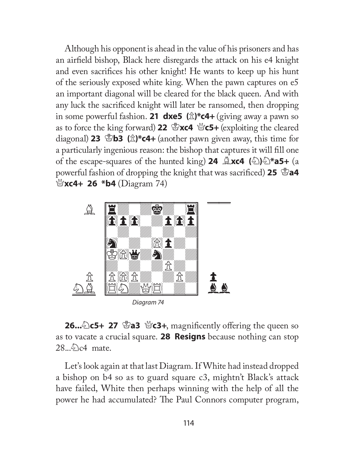Although his opponent is ahead in the value of his prisoners and has an airfield bishop, Black here disregards the attack on his e4 knight and even sacrifices his other knight! He wants to keep up his hunt of the seriously exposed white king. When the pawn captures on e5 an important diagonal will be cleared for the black queen. And with any luck the sacrificed knight will later be ransomed, then dropping in some powerful fashion. **21 dxe5** ( $\hat{\mathbb{Z}}$ )\***c4**+ (giving away a pawn so as to force the king forward) 22  $\mathscr{B}$ **xc4**  $\mathscr{B}$ **c5+** (exploiting the cleared diagonal) **23** K**b3 (**P**)\*c4+** (another pawn given away, this time for a particularly ingenious reason: the bishop that captures it will fill one of the escape-squares of the hunted king) **24** B**xc4 (**N**)**N**\*a5+** (a powerful fashion of dropping the knight that was sacrificed) 25  $\mathbb{S}$ a4 Q**xc4+ 26 \*b4** (Diagram 74)



**26...**<sup>2</sup>)c5+ 27  $\mathscr{B}$ a3  $\mathscr{B}$ c3+, magnificently offering the queen so as to vacate a crucial square. **28 Resigns** because nothing can stop  $28...\&$  c4 mate.

Let's look again at that last Diagram. If White had instead dropped a bishop on b4 so as to guard square c3, mightn't Black's attack have failed, White then perhaps winning with the help of all the power he had accumulated? The Paul Connors computer program,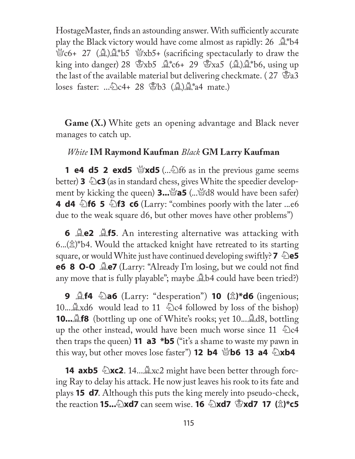HostageMaster, finds an astounding answer. With sufficiently accurate play the Black victory would have come almost as rapidly:  $26 \triangle$  b4  $\mathcal{L}_0$  c6+ 27 ( $\mathcal{L}_1$ ) $\mathcal{L}_2$ \*b5  $\mathcal{L}_3$ xb5+ (sacrificing spectacularly to draw the king into danger) 28  $\&$ xb5  $\&$ \*c6+ 29  $\&$ xa5 ( $\&$ ) $\&$ \*b6, using up the last of the available material but delivering checkmate. ( $27 \,$   $\mathbb{Z}$ a3 loses faster: .....  $28$  \epthereform ( $\triangle$ ) $\triangle$ \*a4 mate.)

**Game (X.)** White gets an opening advantage and Black never manages to catch up.

#### *White* **IM Raymond Kaufman** *Black* **GM Larry Kaufman**

**1 e4 d5 2 exd5**  $\mathcal{L}$ **xd5** (... $\mathcal{L}$ ) f6 as in the previous game seems **better) <b>3**  $\triangle$  **c3** (as in standard chess, gives White the speedier development by kicking the queen) **3...**  $\mathcal{A}$ **a5** (...  $\mathcal{A}$ 8 would have been safer) **4 d4**  $\triangle$  **f6 5**  $\triangle$  **f3 c6** (Larry: "combines poorly with the later ...e6 due to the weak square d6, but other moves have other problems")

**6 <b>Qe2 Qf5**. An interesting alternative was attacking with  $6...(x)$ <sup>\*</sup>b4. Would the attacked knight have retreated to its starting square, or would White just have continued developing swiftly? **7**  $\triangle$ e5 **e6 8 O-O Quarty:** "Already I'm losing, but we could not find any move that is fully playable"; maybe  $\triangle$ b4 could have been tried?)

**9 Alte Da6** (Larry: "desperation") **10** ( $\hat{\mathbb{Z}}$ )\***d6** (ingenious; 10... $\triangle$ xd6 would lead to 11  $\triangle$ c4 followed by loss of the bishop) **10....£f8** (bottling up one of White's rooks; yet 10.... **£d8**, bottling up the other instead, would have been much worse since 11  $\triangle$ c4 then traps the queen) **11 a3 \*b5** ("it's a shame to waste my pawn in this way, but other moves lose faster") **12 b4**  $\mathcal{L}$ **b6 13 a4**  $\mathcal{L}$ **xb4** 

**14 axb5**  $\triangle$ **xc2**. 14... $\triangle$ xc2 might have been better through forcing Ray to delay his attack. He now just leaves his rook to its fate and plays **15 d7**. Although this puts the king merely into pseudo-check, **the reaction 15...** Axd7 can seem wise. **16**  $\triangle$ xd7  $\triangle$ xd7 17 ( $\triangle$ )\*c5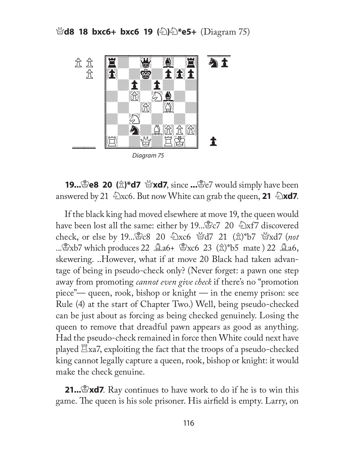

**19... 20 (** $\hat{\mathbb{Z}}$ **)\*d7**  $\hat{\mathbb{Z}}$ **xd7**, since **...**  $\hat{\mathbb{Z}}$ e7 would simply have been answered by 21  $\&setright)$ xc6. But now White can grab the queen, **21**  $\&set$ xd7.

If the black king had moved elsewhere at move 19, the queen would have been lost all the same: either by 19...  $\&c7$  20  $\&x$  f7 discovered check, or else by 19...曾c8 20 公xc6 營d7 21 ( $\hat{\mathbb{Z}}$ )\*b7 營xd7 (*not* ... $\mathbb{E}$ xb7 which produces 22  $\mathbb{A}$ a6+  $\mathbb{E}$ xc6 23  $(\mathbb{\hat{E}})^*$ b5 mate ) 22  $\mathbb{A}$ a6, skewering. ..However, what if at move 20 Black had taken advantage of being in pseudo-check only? (Never forget: a pawn one step away from promoting *cannot even give check* if there's no "promotion piece"— queen, rook, bishop or knight — in the enemy prison: see Rule (4) at the start of Chapter Two.) Well, being pseudo-checked can be just about as forcing as being checked genuinely. Losing the queen to remove that dreadful pawn appears as good as anything. Had the pseudo-check remained in force then White could next have played  $\Xi$ xa7, exploiting the fact that the troops of a pseudo-checked king cannot legally capture a queen, rook, bishop or knight: it would make the check genuine.

**21... 21... xd7**. Ray continues to have work to do if he is to win this game. The queen is his sole prisoner. His airfield is empty. Larry, on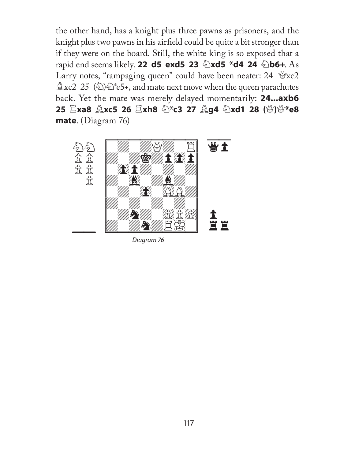the other hand, has a knight plus three pawns as prisoners, and the knight plus two pawns in his airfield could be quite a bit stronger than if they were on the board. Still, the white king is so exposed that a **rapid end seems likely. 22 d5 exd5 23**  $\triangle$ **xd5 \*d4 24**  $\triangle$ **b6+. As** Larry notes, "rampaging queen" could have been neater:  $24$  \rightarrow  $24$  $\triangle$ xc2 25 ( $\diamond$ ) $\diamond$ <sup>\*</sup>e5+, and mate next move when the queen parachutes back. Yet the mate was merely delayed momentarily: **24...axb6 25**  $\Xi$ **xa8**  $\triangleq$ **xc5 26**  $\Xi$ **xh8**  $\diamondq$ **\*c3 27**  $\triangleq$ **g4**  $\diamondqq$  **xd1 28 (營)營\*e8 mate**. (Diagram 76)



Diagram 76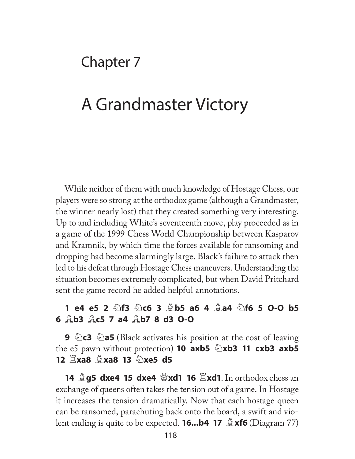### Chapter 7

# A Grandmaster Victory

While neither of them with much knowledge of Hostage Chess, our players were so strong at the orthodox game (although a Grandmaster, the winner nearly lost) that they created something very interesting. Up to and including White's seventeenth move, play proceeded as in a game of the 1999 Chess World Championship between Kasparov and Kramnik, by which time the forces available for ransoming and dropping had become alarmingly large. Black's failure to attack then led to his defeat through Hostage Chess maneuvers. Understanding the situation becomes extremely complicated, but when David Pritchard sent the game record he added helpful annotations.

### **1 e4 e5 2** N**f3** N**c6 3** B**b5 a6 4** B**a4** N**f6 5 O-O b5 6** B**b3** B**c5 7 a4** B**b7 8 d3 O-O**

**9** N**c3** N**a5** (Black activates his position at the cost of leaving the e5 pawn without protection) **10 axb5**  $\triangle$ xb3 **11 cxb3 axb5 12**  $\Sigma$ **xa8**  $\triangle$ **xa8 13**  $\triangle$ **xe5 d5** 

**14 <u>Alg5</u> dxe4 15 dxe4**  $\mathcal{L}$ **xd1 16**  $\mathcal{L}$ **xd1**. In orthodox chess an exchange of queens often takes the tension out of a game. In Hostage it increases the tension dramatically. Now that each hostage queen can be ransomed, parachuting back onto the board, a swift and vio**lent ending is quite to be expected. <b>16...b4 17**  $\mathbb{L}$ **xf6** (Diagram 77)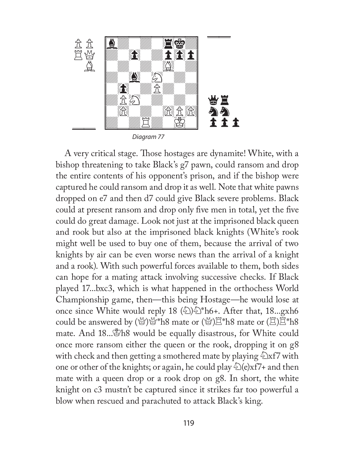

A very critical stage. Those hostages are dynamite! White, with a bishop threatening to take Black's g7 pawn, could ransom and drop the entire contents of his opponent's prison, and if the bishop were captured he could ransom and drop it as well. Note that white pawns dropped on e7 and then d7 could give Black severe problems. Black could at present ransom and drop only five men in total, yet the five could do great damage. Look not just at the imprisoned black queen and rook but also at the imprisoned black knights (White's rook might well be used to buy one of them, because the arrival of two knights by air can be even worse news than the arrival of a knight and a rook). With such powerful forces available to them, both sides can hope for a mating attack involving successive checks. If Black played 17...bxc3, which is what happened in the orthochess World Championship game, then—this being Hostage—he would lose at once since White would reply 18  $\binom{1}{2}$ . After that, 18...gxh6 could be answered by  $(\mathbb{Y})\mathbb{Y}^*$ h8 mate or  $(\mathbb{Y})\mathbb{Z}^*$ h8 mate or  $(\mathbb{Z})\mathbb{Z}^*$ h8 mate. And 18... Th8 would be equally disastrous, for White could once more ransom either the queen or the rook, dropping it on g8 with check and then getting a smothered mate by playing  $\triangle$ xf7 with one or other of the knights; or again, he could play  $\triangle$  (e)xf7+ and then mate with a queen drop or a rook drop on g8. In short, the white knight on c3 mustn't be captured since it strikes far too powerful a blow when rescued and parachuted to attack Black's king.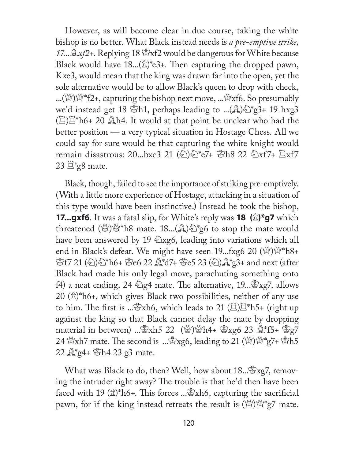However, as will become clear in due course, taking the white bishop is no better. What Black instead needs is *a pre-emptive strike, 17...*B*xf2+*. Replying 18 Kxf2 would be dangerous for White because Black would have  $18...(x)$ <sup>\*</sup>e3+. Then capturing the dropped pawn, Kxe3, would mean that the king was drawn far into the open, yet the sole alternative would be to allow Black's queen to drop with check, ...( $\mathbb{Q}$ ) $\mathbb{Q}^*$ f2+, capturing the bishop next move, ... $\mathbb{Q}$ xf6. So presumably we'd instead get 18  $\mathcal{B}_h$ h1, perhaps leading to ...( $\mathcal{A}_h$ )  $\mathcal{B}_f^*$ 3+ 19 hxg3  $(\mathbb{Z})\mathbb{Z}^*$ h6+ 20  $\mathbb{Z}$ h4. It would at that point be unclear who had the better position — a very typical situation in Hostage Chess. All we could say for sure would be that capturing the white knight would remain disastrous: 20...bxc3 21  $\langle \text{\textdegreeled{2}} \rangle$   $\langle \text{\textdegreeled{2}} \rangle$   $\uparrow$   $\uparrow$   $\uparrow$   $\uparrow$   $\uparrow$   $\uparrow$   $\uparrow$   $\uparrow$   $\uparrow$   $\uparrow$   $\uparrow$   $\uparrow$   $\uparrow$   $\uparrow$   $\uparrow$   $\uparrow$   $\uparrow$   $\uparrow$   $\uparrow$   $\uparrow$   $\uparrow$   $\uparrow$   $\uparrow$   $\uparrow$   $\uparrow$   $\uparrow$   $23 \n\mathbb{E}^*$ g8 mate.

Black, though, failed to see the importance of striking pre-emptively. (With a little more experience of Hostage, attacking in a situation of this type would have been instinctive.) Instead he took the bishop, **17...gxf6**. It was a fatal slip, for White's reply was **18** ( $\hat{\mathbb{Z}}$ )\*g7 which threatened ( $\mathcal{L}$ )\  $\mathcal{L}^*$  h8 mate. 18...( $\mathcal{L}$ ) $\mathcal{L}^*$ g6 to stop the mate would have been answered by 19  $\triangle$ xg6, leading into variations which all end in Black's defeat. We might have seen 19...fxg6 20 (Q)Q\*h8+ \$f7 21 (2)ව \*h6+ ජීe6 22 ঐ\*d7+ ජීe5 23 (2) ਪ \* g3+ and next (after Black had made his only legal move, parachuting something onto f4) a neat ending, 24  $\triangle$ g4 mate. The alternative, 19...  $\triangle$ xg7, allows 20  $(\hat{\mathbb{Z}})^*$ h6+, which gives Black two possibilities, neither of any use to him. The first is ...  $\mathbb{R}$ xh6, which leads to 21 ( $\mathbb{Z}$ ) $\mathbb{Z}^*$ h5+ (right up against the king so that Black cannot delay the mate by dropping material in between) ...  $\mathbb{S}xh5$  22 ( $\mathbb{S}xh4$ +  $\mathbb{S}xg6$  23  $\mathbb{S}xf5$ +  $\mathbb{S}g7$ 24  $\mathscr{B}$ xh7 mate. The second is ... $\mathscr{B}$ xg6, leading to 21 ( $\mathscr{B}'$ ) $\mathscr{B}^*$ g7+  $\mathscr{B}$ h5  $22 \n\triangle$  g<sup>4</sup>+  $\triangle$ h4 23 g3 mate.

What was Black to do, then? Well, how about 18... \$xg7, removing the intruder right away? The trouble is that he'd then have been faced with 19  $(\hat{\mathbb{Z}})^*$ h6+. This forces ... $\hat{\mathbb{Z}}$ xh6, capturing the sacrificial pawn, for if the king instead retreats the result is  $(\mathcal{C})\mathcal{C}^*$ g7 mate.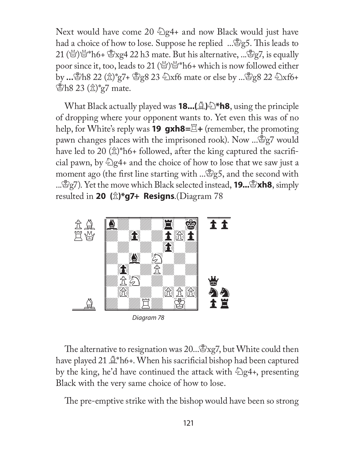Next would have come 20  $\triangle$ g4+ and now Black would just have had a choice of how to lose. Suppose he replied ... \$g5. This leads to 21 (\\efty\\efty\\efty\th\6+ \frac{\efty\xg4 22 h3 mate. But his alternative, ...\efty\theqsq7, is equally poor since it, too, leads to 21 ( $\mathbb{Q}$ ) $\mathbb{Q}^*$  h6+ which is now followed either by **...**Kh8 22 (P)\*g7+ Kg8 23 Nxf6 mate or else by ...Kg8 22 Nxf6+  $\mathcal{B}_{h8}$  23  $(\hat{\mathbb{Z}})^*$ g7 mate.

**What Black actually played was <b>18...**( $\triangle$ )  $\triangle$ \***h8**, using the principle of dropping where your opponent wants to. Yet even this was of no help, for White's reply was **19 gxh8=**R**+** (remember, the promoting pawn changes places with the imprisoned rook). Now  $\mathbb{R}^2$ g7 would have led to 20  $(\hat{\mathbb{Z}})^*$ h6+ followed, after the king captured the sacrificial pawn, by  $\triangle$  g4+ and the choice of how to lose that we saw just a moment ago (the first line starting with  $\mathbb{R}^3$ g5, and the second with ...<sup>&</sup>g7). Yet the move which Black selected instead, **19...**&**xh8**, simply resulted in **20 (**P**)\*g7+ Resigns**.(Diagram 78



The alternative to resignation was 20... $\mathbb{E}$ xg7, but White could then have played 21  $\mathbb{R}^*$ h6+. When his sacrificial bishop had been captured by the king, he'd have continued the attack with  $\triangle$ g4+, presenting Black with the very same choice of how to lose.

The pre-emptive strike with the bishop would have been so strong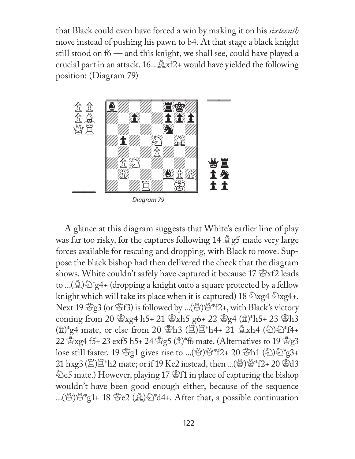that Black could even have forced a win by making it on his *sixteenth* move instead of pushing his pawn to b4. At that stage a black knight still stood on f6 — and this knight, we shall see, could have played a crucial part in an attack.  $16...\triangle xf2+$  would have yielded the following position: (Diagram 79)



Diagram 79

A glance at this diagram suggests that White's earlier line of play was far too risky, for the captures following  $14 \trianglelefteq g5$  made very large forces available for rescuing and dropping, with Black to move. Suppose the black bishop had then delivered the check that the diagram shows. White couldn't safely have captured it because 17  $\mathcal{B}xf2$  leads to ...( $\mathbb{A}$ ) $\mathbb{Z}$ <sup>\*</sup>g4+ (dropping a knight onto a square protected by a fellow knight which will take its place when it is captured) 18  $\sqrt[2]{\log 4}$   $\sqrt[2]{\log 4}$ . Next 19  $\mathcal{L}_g$ 3 (or  $\mathcal{L}_f$ 3) is followed by ...( $\mathcal{L}_g$ ) $\mathcal{L}_f$  \*f2+, with Black's victory coming from 20  $\frac{8}{3}$ xg4 h5+ 21  $\frac{8}{3}$ xh5 g6+ 22  $\frac{8}{3}$ g4 ( $\frac{4}{3}$ )\*h5+ 23  $\frac{8}{3}$ h3  $(\hat{\mathbb{Z}})^*$ g4 mate, or else from 20  $\hat{\mathbb{Z}}$ h3 ( $\hat{\mathbb{Z}}$ ) $\hat{\mathbb{Z}}^*$ h4+ 21  $\hat{\mathbb{Z}}$ xh4 ( $\hat{\mathbb{Z}}$ ) $\hat{\mathbb{Z}}^*$ f4+ 22  $\mathbb{Z}$  xg4 f5+ 23 exf5 h5+ 24  $\mathbb{Z}$ g5 ( $\hat{\mathbb{Z}}$ )\*f6 mate. (Alternatives to 19  $\mathbb{Z}$ g3 lose still faster. 19 Kg1 gives rise to ...(Q)Q\*f2+ 20 Kh1 (N)N\*g3+ 21 hxg3  $(\mathbb{Z})\mathbb{Z}^*$ h2 mate; or if 19 Ke2 instead, then ...(\\frac{\frac{\frac{\frac{}}}\$  $^*$ f2+ 20 \frac{\frac{3}}\$ d3  $\&$ e5 mate.) However, playing 17  $\&$ f1 in place of capturing the bishop wouldn't have been good enough either, because of the sequence ...( $\mathcal{Q}$ ) $\mathcal{Q}^*$ g1+ 18  $\mathcal{Q}$ e2 ( $\mathcal{Q}$ ) $\mathcal{Q}^*$ d4+. After that, a possible continuation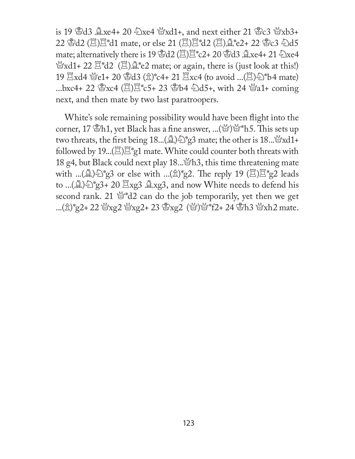is 19  $\&$ d3  $\&$ xe4+ 20  $\&$ xe4  $\&$ xd1+, and next either 21  $\&$ c3  $\&$ xb3+ 22 窗d2 (買)冝\*d1 mate, or else 21 (買)冝\*d2 (買)<del></u> ( e2+ 22 窗c3 公d5</del> mate; alternatively there is 19  $\&d2$  ( $\ddot{\Xi}$ ) $\ddot{\Xi}$ \*c2+ 20  $\&d3$   $\&d$ xe4+ 21  $\&d$ xe4  $\mathcal{L}$ xd1+ 22  $\mathbb{Z}^*$ d2 ( $\mathbb{Z}$ ) $\mathbb{Z}^*$ e2 mate; or again, there is (just look at this!) 19  $\Xi$ xd4  $\mathscr{C}e1+ 20 \mathscr{L}3 (\hat{\mathbb{Z}})^*c4+ 21 \mathscr{L}xc4$  (to avoid ... $(\Xi)\hat{\mathbb{Z}}^*b4$  mate) ...bxc4+ 22  $\mathcal{L}$ xc4 ( $\Xi$ ) $\Xi$ \*c5+ 23  $\mathcal{L}$ b4  $\mathcal{L}$ d5+, with 24  $\mathcal{L}$ a1+ coming next, and then mate by two last paratroopers.

White's sole remaining possibility would have been flight into the corner, 17  $B_1$ , yet Black has a fine answer, ...( $B_2$ ) $B_3^*$  h5. This sets up two threats, the first being  $18...(A)$  $\rightarrow$ <sup>\*</sup>g3 mate; the other is  $18...(A)$ <sup> $\rightarrow$ </sup>xd1+ followed by  $19...(E)E^*g1$  mate. White could counter both threats with 18 g4, but Black could next play 18...  $\mathbb{S}$ h3, this time threatening mate with ...( $\Delta$ ) $\Im$ <sup>\*</sup>g3 or else with ...( $\hat{\Delta}$ )<sup>\*</sup>g2. The reply 19 ( $\Xi$ ) $\Xi$ <sup>\*</sup>g2 leads to ...( $\triangle$ )  $\triangle$ <sup>\*</sup>g3+ 20  $\triangle$ xg3  $\triangle$ xg3, and now White needs to defend his second rank. 21  $\mathbb{Q}^*d2$  can do the job temporarily, yet then we get ...(k)\*g2+ 22 \xg2 \xg2+ 23 \xg2 (\xext\)\xtar{\text{\f}}\$\*f2+ 24 \xtar{\text{\f}}\$13 \\xtar{\text{\f}}\$12 mate.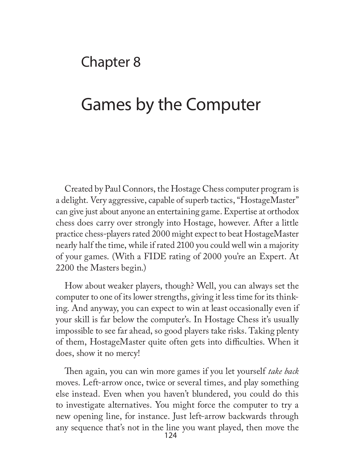## Chapter 8

# Games by the Computer

Created by Paul Connors, the Hostage Chess computer program is a delight. Very aggressive, capable of superb tactics, "HostageMaster" can give just about anyone an entertaining game. Expertise at orthodox chess does carry over strongly into Hostage, however. After a little practice chess-players rated 2000 might expect to beat HostageMaster nearly half the time, while if rated 2100 you could well win a majority of your games. (With a FIDE rating of 2000 you're an Expert. At 2200 the Masters begin.)

How about weaker players, though? Well, you can always set the computer to one of its lower strengths, giving it less time for its thinking. And anyway, you can expect to win at least occasionally even if your skill is far below the computer's. In Hostage Chess it's usually impossible to see far ahead, so good players take risks. Taking plenty of them, HostageMaster quite often gets into difficulties. When it does, show it no mercy!

Then again, you can win more games if you let yourself *take back* moves. Left-arrow once, twice or several times, and play something else instead. Even when you haven't blundered, you could do this to investigate alternatives. You might force the computer to try a new opening line, for instance. Just left-arrow backwards through any sequence that's not in the line you want played, then move the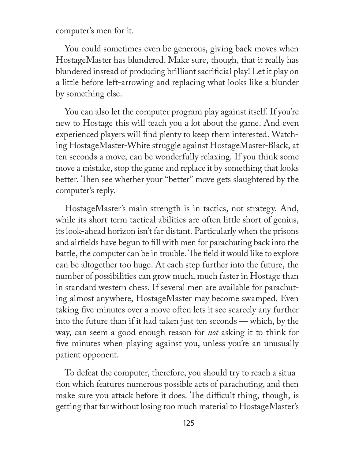computer's men for it.

You could sometimes even be generous, giving back moves when HostageMaster has blundered. Make sure, though, that it really has blundered instead of producing brilliant sacrificial play! Let it play on a little before left-arrowing and replacing what looks like a blunder by something else.

You can also let the computer program play against itself. If you're new to Hostage this will teach you a lot about the game. And even experienced players will find plenty to keep them interested. Watching HostageMaster-White struggle against HostageMaster-Black, at ten seconds a move, can be wonderfully relaxing. If you think some move a mistake, stop the game and replace it by something that looks better. Then see whether your "better" move gets slaughtered by the computer's reply.

HostageMaster's main strength is in tactics, not strategy. And, while its short-term tactical abilities are often little short of genius, its look-ahead horizon isn't far distant. Particularly when the prisons and airfields have begun to fill with men for parachuting back into the battle, the computer can be in trouble. The field it would like to explore can be altogether too huge. At each step further into the future, the number of possibilities can grow much, much faster in Hostage than in standard western chess. If several men are available for parachuting almost anywhere, HostageMaster may become swamped. Even taking five minutes over a move often lets it see scarcely any further into the future than if it had taken just ten seconds — which, by the way, can seem a good enough reason for *not* asking it to think for five minutes when playing against you, unless you're an unusually patient opponent.

To defeat the computer, therefore, you should try to reach a situation which features numerous possible acts of parachuting, and then make sure you attack before it does. The difficult thing, though, is getting that far without losing too much material to HostageMaster's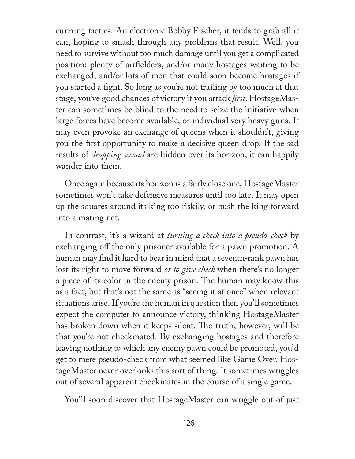cunning tactics. An electronic Bobby Fischer, it tends to grab all it can, hoping to smash through any problems that result. Well, you need to survive without too much damage until you get a complicated position: plenty of airfielders, and/or many hostages waiting to be exchanged, and/or lots of men that could soon become hostages if you started a fight. So long as you're not trailing by too much at that stage, you've good chances of victory if you attack *first*. HostageMaster can sometimes be blind to the need to seize the initiative when large forces have become available, or individual very heavy guns. It may even provoke an exchange of queens when it shouldn't, giving you the first opportunity to make a decisive queen drop. If the sad results of *dropping second* are hidden over its horizon, it can happily wander into them.

Once again because its horizon is a fairly close one, HostageMaster sometimes won't take defensive measures until too late. It may open up the squares around its king too riskily, or push the king forward into a mating net.

In contrast, it's a wizard at *turning a check into a pseudo-check* by exchanging off the only prisoner available for a pawn promotion. A human may find it hard to bear in mind that a seventh-rank pawn has lost its right to move forward *or to give check* when there's no longer a piece of its color in the enemy prison. The human may know this as a fact, but that's not the same as "seeing it at once" when relevant situations arise. If you're the human in question then you'll sometimes expect the computer to announce victory, thinking HostageMaster has broken down when it keeps silent. The truth, however, will be that you're not checkmated. By exchanging hostages and therefore leaving nothing to which any enemy pawn could be promoted, you'd get to mere pseudo-check from what seemed like Game Over. HostageMaster never overlooks this sort of thing. It sometimes wriggles out of several apparent checkmates in the course of a single game.

You'll soon discover that HostageMaster can wriggle out of just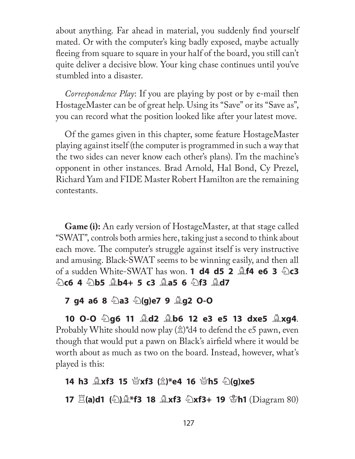about anything. Far ahead in material, you suddenly find yourself mated. Or with the computer's king badly exposed, maybe actually fleeing from square to square in your half of the board, you still can't quite deliver a decisive blow. Your king chase continues until you've stumbled into a disaster.

*Correspondence Play*: If you are playing by post or by e-mail then HostageMaster can be of great help. Using its "Save" or its "Save as", you can record what the position looked like after your latest move.

Of the games given in this chapter, some feature HostageMaster playing against itself (the computer is programmed in such a way that the two sides can never know each other's plans). I'm the machine's opponent in other instances. Brad Arnold, Hal Bond, Cy Prezel, Richard Yam and FIDE Master Robert Hamilton are the remaining contestants.

**Game (i):** An early version of HostageMaster, at that stage called "SWAT", controls both armies here, taking just a second to think about each move. The computer's struggle against itself is very instructive and amusing. Black-SWAT seems to be winning easily, and then all **of a sudden White-SWAT has won. <b>1 d4 d5 2**  $\triangle$ **f4 e6 3**  $\triangle$ **c3** N**c6 4** N**b5** B**b4+ 5 c3** B**a5 6** N**f3** B**d7** 

### **7 g4 a6 8** N**a3** N**(g)e7 9** B**g2 O-O**

**10 O-O** N**g6 11** B**d2** B**b6 12 e3 e5 13 dxe5** B**xg4**. Probably White should now play  $(\hat{\mathbb{Z}})^*d4$  to defend the e5 pawn, even though that would put a pawn on Black's airfield where it would be worth about as much as two on the board. Instead, however, what's played is this:

### **14 h3 ②xf3 15 ③xf3** ( $\hat{\mathbb{Z}}$ )\*e4 16 ④h5 ④(g)xe5

**17**  $\Xi$ (a)d1 ( $\circledcirc$ ) $\Delta$ \*f3 18  $\Delta$ xf3  $\circledcirc$ xf3+ 19  $\circledcirc$ h1 (Diagram 80)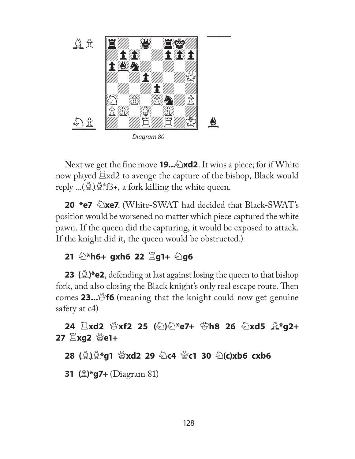

Next we get the fine move **19...** Notatively 1. It wins a piece; for if White now played  $\Xi$ xd2 to avenge the capture of the bishop, Black would reply ...( $\mathcal{L}$ ) $\mathcal{L}^*$ f3+, a fork killing the white queen.

**20 \*e7**  $\triangle$ **xe7**. (White-SWAT had decided that Black-SWAT's position would be worsened no matter which piece captured the white pawn. If the queen did the capturing, it would be exposed to attack. If the knight did it, the queen would be obstructed.)

### **21 ②\*h6+ gxh6 22**  $\Xi$ **g1+ ②g6**

**23** ( $\triangle$ )\*e2, defending at last against losing the queen to that bishop fork, and also closing the Black knight's only real escape route. Then comes **23...**Q**f6** (meaning that the knight could now get genuine safety at c4)

**24**  $\Xi$ **xd2 營xf2 25 (公)公\*e7+ ധh8 26 公xd5**  $\triangle$ **\*g2+ 27**  $\mathbb{E}$ **xg2 營e1+** 

**28 (②)②\*g1 營xd2 29 ④c4 營c1 30 ④(c)xb6 cxb6** 

**31 (**P**)\*g7+** (Diagram 81)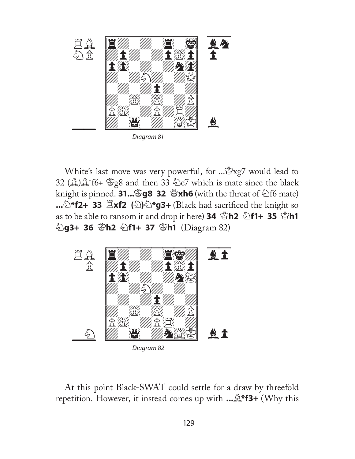

White's last move was very powerful, for ... \$xg7 would lead to 32 ( $\triangle$ ) $\triangle$ \*f6+  $\triangle$ g8 and then 33  $\triangle$ e7 which is mate since the black knight is pinned. **31...**K**g8 32** Q**xh6** (with the threat of Nf6 mate) ...  $\triangle$ \***f2+ 33**  $\Xi$ **xf2** ( $\triangle$ ) $\triangle$ \***g3+** (Black had sacrificed the knight so **as to be able to ransom it and drop it here) <b>34**  $\mathbf{\mathcal{L}}$ **h2**  $\mathbf{\mathcal{L}}$ **f1+ 35**  $\mathbf{\mathcal{L}}$ **h1** N**g3+ 36** K**h2** N**f1+ 37** K**h1** (Diagram 82)



At this point Black-SWAT could settle for a draw by threefold repetition. However, it instead comes up with **...**B**\*f3+** (Why this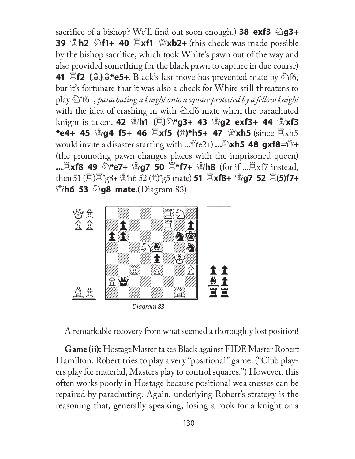**sacrifice of a bishop? We'll find out soon enough.) <b>38 exf3**  $\triangle$ **g3+ 39**  $\mathbb{S}$ **h2**  $\mathbb{\odot}$ **f1+ 40**  $\mathbb{\ddot{B}}$ **xf1**  $\mathbb{\ddot{B}}$ **xb2+** (this check was made possible by the bishop sacrifice, which took White's pawn out of the way and also provided something for the black pawn to capture in due course) **41**  $\mathbb{E}$ **f2 (** $\mathbb{A}$ **)** $\mathbb{A}^*$ **e5+.** Black's last move has prevented mate by  $\mathbb{E}$ f6, but it's fortunate that it was also a check for White still threatens to play N\*f6+, *parachuting a knight onto a square protected by a fellow knight* with the idea of crashing in with  $\triangle$ xf6 mate when the parachuted **knight is taken. 42 圖h1 (圓高卷 43 圖 43 exf3+ 44 圖 xf3 \*e4+ 45** K**g4 f5+ 46** R**xf5 (**P**)\*h5+ 47** Q**xh5** (since Rxh5 **would invite a disaster starting with ...**\effect{\endel\$ 2+) **...** $\&$ \barks\right\numb{Def{\endel\$ 48 gxf8=\frac{\endel\$ + (the promoting pawn changes places with the imprisoned queen) **...**Exf8 49 ��\*e7+ ��q7 50  $E^*$ f7+ ��h8 (for if ...Exf7 instead, **then 51** ( $\Xi$ ) $\Xi$ <sup>\*</sup>g8+  $\Xi$ h6 52 ( $\hat{\Xi}$ )<sup>\*</sup>g5 mate) **51**  $\Xi$ **xf8+**  $\Xi$ **g7 52**  $\Xi$ (**5)f7+ Eh6 53 2g8 mate.**(Diagram 83)



A remarkable recovery from what seemed a thoroughly lost position!

**Game (ii):** HostageMaster takes Black against FIDE Master Robert Hamilton. Robert tries to play a very "positional" game. ("Club players play for material, Masters play to control squares.") However, this often works poorly in Hostage because positional weaknesses can be repaired by parachuting. Again, underlying Robert's strategy is the reasoning that, generally speaking, losing a rook for a knight or a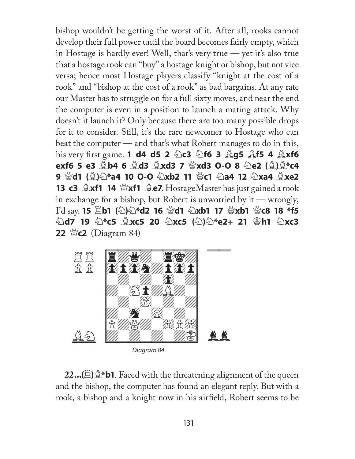bishop wouldn't be getting the worst of it. After all, rooks cannot develop their full power until the board becomes fairly empty, which in Hostage is hardly ever! Well, that's very true — yet it's also true that a hostage rook can "buy" a hostage knight or bishop, but not vice versa; hence most Hostage players classify "knight at the cost of a rook" and "bishop at the cost of a rook" as bad bargains. At any rate our Master has to struggle on for a full sixty moves, and near the end the computer is even in a position to launch a mating attack. Why doesn't it launch it? Only because there are too many possible drops for it to consider. Still, it's the rare newcomer to Hostage who can beat the computer — and that's what Robert manages to do in this, **his very first game. 1 d4 d5 2 2c3 2f6 3**  $\triangle$  **g5**  $\triangle$  **f5 4**  $\triangle$  **xf6 exf6 5 e3** B**b4 6** B**d3** B**xd3 7** Q**xd3 O-O 8** N**e2 (**B**)**B**\*c4 9** 營d1 (A)公\*a4 10 O-O 公xb2 11 營c1 公a4 12 公xa4 Axe2 **13 c3**  $\triangle$ **xf1 14**  $\triangle$ xf1  $\triangleq$ e7. HostageMaster has just gained a rook in exchange for a bishop, but Robert is unworried by it — wrongly, **I'd say. 15**  $\Xi$ **b1 (公)公\*d2 16 營d1 公xb1 17 營xb1 營c8 18 \*f5** N**d7 19** N**\*c5** B**xc5 20** N**xc5 (**N**)**N**\*e2+ 21** K**h1** N**xc3 22** Q**c2** (Diagram 84)



**22...(**R**)**B**\*b1**. Faced with the threatening alignment of the queen and the bishop, the computer has found an elegant reply. But with a rook, a bishop and a knight now in his airfield, Robert seems to be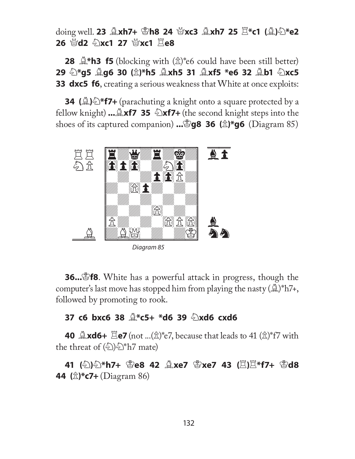**doing well. 23 ②xh7+ ③h8 24 Nexc3 ③xh7 25**  $\mathbb{E}$ **\*c1 (③)④\*e2 26 替d2 ②xc1 27 替xc1**  $\Xi$ **e8** 

**28**  $\mathbb{Q}^*$ **h3 f5** (blocking with  $(\hat{\mathbb{Z}})^*$  e6 could have been still better) **29** N**\*g5** B**g6 30 (**P**)\*h5** B**xh5 31** B**xf5 \*e6 32** B**b1** N**xc5 33 dxc5 f6**, creating a serious weakness that White at once exploits:

**34 (** $\triangle$ **) <sup>\*</sup>f7+** (parachuting a knight onto a square protected by a fellow knight) **...** $\triangle xf7$  35  $\triangle xf7+$  (the second knight steps into the **shoes of its captured companion) .... <b>gg8 36** ( $\hat{\mathbb{Z}}$ )\*g6 (Diagram 85)



**36...**<sup>8</sup> **f8**. White has a powerful attack in progress, though the computer's last move has stopped him from playing the nasty  $(\mathbb{A})^*h7+$ , followed by promoting to rook.

### **37 c6 bxc6 38** B**\*c5+ \*d6 39** N**xd6 cxd6**

**40**  $\triangle$ **xd6+**  $\triangle$ **e7** (not ...( $\triangle$ )\*e7, because that leads to 41 ( $\triangle$ )\*f7 with the threat of  $(\&)$ ) $\&$ <sup>\*</sup>h7 mate)

**41** (公)公\*h7+ ☆e8 42 ▲xe7 ☆xe7 43 (耳)耳\*f7+ ☆d8 **44 (**P**)\*c7+** (Diagram 86)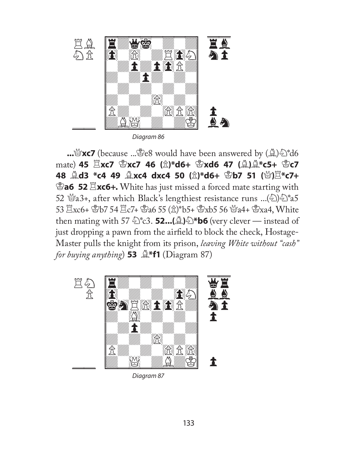

Diagram 86

**...**Q**xc7** (because ...Ke8 would have been answered by (B)N\*d6 **mate) 45**  $\Xi$ **xc7**  $\mathscr{B}$ **xc7 46 (** $\hat{\mathbb{Z}}$ **)\*d6+**  $\mathscr{B}$ **xd6 47 (** $\hat{\mathbb{A}}$ **)** $\hat{\mathbb{A}}$ **\*c5+**  $\mathscr{B}$ **c7 48 ②d3 \*c4 49 ③xc4 dxc4 50 (** $\hat{\mathbb{Z}}$ **)\*d6+ ③b7 51 (營)** $\Xi$ **\*c7+ Ea6 52 Exc6+.** White has just missed a forced mate starting with 52  $\mathscr{B}a3+$ , after which Black's lengthiest resistance runs ...( $\mathscr{D}\mathscr{D}^*a5$  $53 \stackrel{12}{\to}$   $xc6 + \stackrel{12}{\in} 54 \stackrel{12}{\to} c7 + \stackrel{12}{\in} 36 \stackrel{12}{\to} 55 \stackrel{12}{\to} 5 + \stackrel{12}{\in} x \cdot b5$  56  $\stackrel{12}{\in} 34 + \stackrel{12}{\in} 3x \cdot a4$ , White then mating with 57  $\circled{2}$ <sup>\*</sup>c3. **52...**( $\circled{2}$ ) $\circled{2}$ <sup>\*</sup>b6 (very clever — instead of just dropping a pawn from the airfield to block the check, Hostage-Master pulls the knight from its prison, *leaving White without "cash" for buying anything*) **53**  $\mathbb{R}^*$ **f1** (Diagram 87)



Diagram 87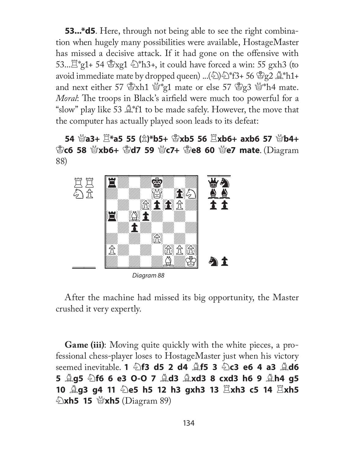**53...\*d5**. Here, through not being able to see the right combination when hugely many possibilities were available, HostageMaster has missed a decisive attack. If it had gone on the offensive with 53... $\mathbb{E}^*$ g1+ 54  $\mathbb{E}$ xg1  $\mathbb{E}^*$ h3+, it could have forced a win: 55 gxh3 (to avoid immediate mate by dropped queen) ...(2)  $\mathbb{Z}^*$ f3+ 56  $\mathbb{Z}$   $2 \mathbb{Z}^*$ h1+ and next either 57  $\mathbb{S}x$ h1  $\mathbb{S}x$ <sup>2</sup>g1 mate or else 57  $\mathbb{S}y$ 3  $\mathbb{S}x$ <sup>4</sup>h4 mate. *Moral*: The troops in Black's airfield were much too powerful for a "slow" play like 53  $\mathbb{A}^*$ f1 to be made safely. However, the move that the computer has actually played soon leads to its defeat:

**54** Q**a3+** R**\*a5 55 (**P**)\*b5+** K**xb5 56** R**xb6+ axb6 57** Q**b4+**  K**c6 58** Q**xb6+** K**d7 59** Q**c7+** K**e8 60** Q**e7 mate**. (Diagram 88)



Diagram 88

After the machine had missed its big opportunity, the Master crushed it very expertly.

**Game (iii)**: Moving quite quickly with the white pieces, a professional chess-player loses to HostageMaster just when his victory seemed inevitable. **1** N**f3 d5 2 d4** B**f5 3** N**c3 e6 4 a3** B**d6 5** B**g5** N**f6 6 e3 O-O 7** B**d3** B**xd3 8 cxd3 h6 9** B**h4 g5 10** B**g3 g4 11** N**e5 h5 12 h3 gxh3 13** R**xh3 c5 14** R**xh5 Exh5 15 @xh5** (Diagram 89)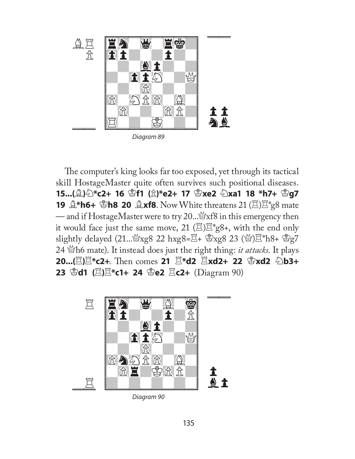

Diagram 89

The computer's king looks far too exposed, yet through its tactical skill HostageMaster quite often survives such positional diseases. **15...(**B**)**N**\*c2+ 16** K**f1 (**P**)\*e2+ 17** K**xe2** N**xa1 18 \*h7+** K**g7 19 ②\*h6+ ③h8 20 ③xf8**. Now White threatens 21 (巴) $\mathbb{E}$ \*g8 mate — and if HostageMaster were to try 20... $\mathbb{S}$ xf8 in this emergency then it would face just the same move, 21  $(\mathbb{Z})\mathbb{Z}^*$ g8+, with the end only slightly delayed  $(21..\,^{\&}xg8\,22\;hxg8=\n\frac{12}{3}+\;gxg8\,23\;(^{\&}x)$  $\frac{12}{3}h8+\;gxg7$ 24 Qh6 mate). It instead does just the right thing: *it attacks*. It plays **20...**( $E$ ) $E$ \*c2+. Then comes 21  $E$ \*d2  $E$ **xd2+ 22**  $E$ **xd2**  $E$ **b3+ 23** \$**d1** ( $\Xi$ ) $\Xi$ \*c1+ 24 \$e2  $\Xi$ c2+ (Diagram 90)



Diagram 90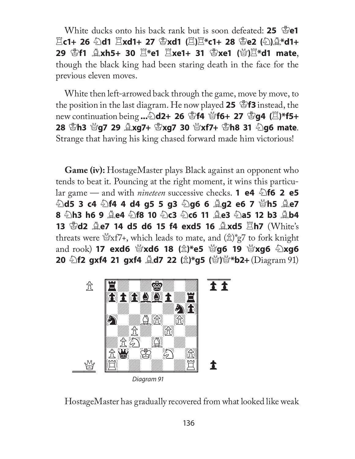White ducks onto his back rank but is soon defeated: **25**  $\mathbb{E}[e^{\text{th}}]$  $E(G)$ + 26 公d1  $E(X)$  **R**xd1+ 27  $S(X)$   $E(X)$  and  $E(X)$  and  $E(X)$  and  $E(X)$  and  $E(X)$  and  $E(X)$  and  $E(X)$  and  $E(X)$  and  $E(X)$  and  $E(X)$  and  $E(X)$  and  $E(X)$  and  $E(X)$  and  $E(X)$  and  $E(X)$  and  $E(X)$  and  $E(X)$  and  $E(X)$  and  $E(X)$ **29** K**f1** B**xh5+ 30** R**\*e1** R**xe1+ 31** K**xe1 (**Q**)**R**\*d1 mate**, though the black king had been staring death in the face for the previous eleven moves.

White then left-arrowed back through the game, move by move, to the position in the last diagram. He now played 25  $\mathscr{B}$ **f3** instead, the new continuation being ...2d2+ 26 \$f4 当f6+ 27 \$g4 ( $\Xi$ )\*f5+ **28** K**h3** Q**g7 29** B**xg7+** K**xg7 30** Q**xf7+** K**h8 31** N**g6 mate**. Strange that having his king chased forward made him victorious!

**Game (iv):** HostageMaster plays Black against an opponent who tends to beat it. Pouncing at the right moment, it wins this particu**lar game — and with** *nineteen* **successive checks. <b>1 e4**  $\triangle$  **f6 2 e5**  $\hat{\mathbb{Z}}$ d5 3 c4  $\hat{\mathbb{Z}}$ f4 4 d4 g5 5 g3  $\hat{\mathbb{Z}}$ g6 6  $\hat{\mathbb{Z}}$ g2 e6 7  $\hat{\mathbb{Z}}$ h5  $\hat{\mathbb{Z}}$ e7 **8 2h3 h6 9 2e4 2f8 10 2c3 2c6 11 2e3 2a5 12 b3 2b4 13**  $\mathbb{S}$ **d2**  $\mathbb{Q}$ **e7 14 d5 d6 15 f4 exd5 16**  $\mathbb{Q}$ **xd5**  $\mathbb{Z}$ **h7 (White's** threats were  $\mathcal{L}$   $\mathcal{L}$   $\mathcal{L}$   $\mathcal{L}$  which leads to mate, and  $(\hat{\mathbb{Z}})^*$   $g$  to fork knight and rook) **17 exd6** 營xd6 18 ( $\hat{\mathbb{Z}}$ )\*e5 營g6 19 營xg6 公xg6 **20 公f2 gxf4 21 gxf4**  $\triangle$ **d7 22 (** $\triangle$ **)\*g5 (營)營\*b2+ (Diagram 91)** 



Diagram 91

HostageMaster has gradually recovered from what looked like weak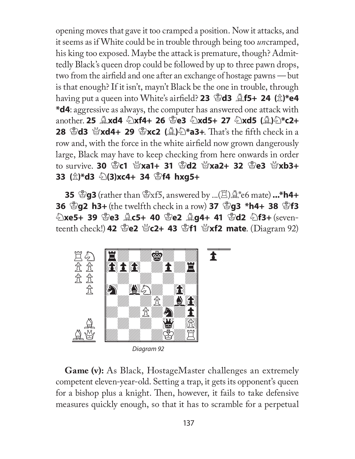opening moves that gave it too cramped a position. Now it attacks, and it seems as if White could be in trouble through being too *un*cramped, his king too exposed. Maybe the attack is premature, though? Admittedly Black's queen drop could be followed by up to three pawn drops, two from the airfield and one after an exchange of hostage pawns  $-$  but is that enough? If it isn't, mayn't Black be the one in trouble, through having put a queen into White's airfield? 23  $\mathbb{E}$ d3  $\mathbb{E}$ f5+ 24 ( $\hat{\mathbb{E}}$ )\*e4 **\*d4**: aggressive as always, the computer has answered one attack with another. 25 **gxd4 公xf4+ 26 옵e3 公xd5+ 27 公xd5 (g)公\*c2+ 28 \did3 \text4+ 29 \didges \didges** (\didges\) \didges\) \didges\, That's the fifth check in a row and, with the force in the white airfield now grown dangerously large, Black may have to keep checking from here onwards in order to survive. **30** K**c1** Q**xa1+ 31** K**d2** Q**xa2+ 32** K**e3** Q**xb3+ 33 (**P**)\*d3** N**(3)xc4+ 34** K**f4 hxg5+**

**35**  $\mathbb{E}$ **g3** (rather than  $\mathbb{E}$ xf5, answered by ...( $\mathbb{E}$ ) $\mathbb{A}^*$ e6 mate) ...\*h4+ **36**  $\mathbb{S}$ **g2** h3+ (the twelfth check in a row) 37  $\mathbb{S}$ **g3** \*h4+ 38  $\mathbb{S}$ f3 N**xe5+ 39** K**e3** B**c5+ 40** K**e2** B**g4+ 41** K**d2** N**f3+** (seven**teenth check!) 42**  $\mathscr{L}$  **<b>e2**  $\mathscr{L}$ **c2+ 43**  $\mathscr{L}$ **f1**  $\mathscr{L}$ **xf2 mate.** (Diagram 92)



Diagram 92

**Game (v):** As Black, HostageMaster challenges an extremely competent eleven-year-old. Setting a trap, it gets its opponent's queen for a bishop plus a knight. Then, however, it fails to take defensive measures quickly enough, so that it has to scramble for a perpetual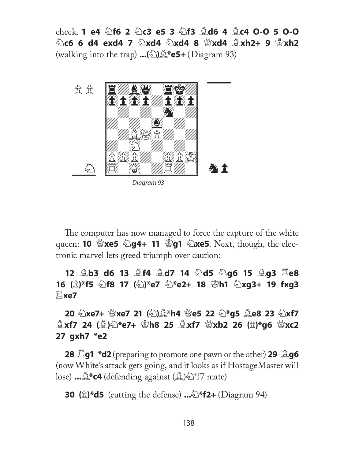check. **1 e4** N**f6 2** N**c3 e5 3** N**f3** B**d6 4** B**c4 O-O 5 O-O**  N**c6 6 d4 exd4 7** N**xd4** N**xd4 8** Q**xd4** B**xh2+ 9** K**xh2** (walking into the trap) **...(**N**)**B**\*e5+** (Diagram 93)



The computer has now managed to force the capture of the white **queen: <b>10**  $\mathcal{C}$ **xe5**  $\mathcal{D}$ **g4+ 11**  $\mathcal{C}$ **g1**  $\mathcal{C}$ **xe5**. Next, though, the electronic marvel lets greed triumph over caution:

**12** B**b3 d6 13** B**f4** B**d7 14** N**d5** N**g6 15** B**g3** R**e8 16 (**P**)\*f5** N**f8 17 (**N**)\*e7** N**\*e2+ 18** K**h1** N**xg3+ 19 fxg3**  R**xe7** 

### **20** N**xe7+** Q**xe7 21 (**N**)**B**\*h4** Q**e5 22** N**\*g5** B**e8 23** N**xf7**  B**xf7 24 (**B**)**N**\*e7+** K**h8 25** B**xf7** Q**xb2 26 (**P**)\*g6** Q**xc2 27 gxh7 \*e2**

**28**  $\Xi$ **g1 \*d2** (preparing to promote one pawn or the other) **29**  $\triangleq$ **g6** (now White's attack gets going, and it looks as if HostageMaster will lose) **...**  $\mathbb{Q}^*$ **c4** (defending against  $(\mathbb{Q})\hat{\otimes}$  f7 mate)

**30 (**P**)\*d5** (cutting the defense) **...**N**\*f2+** (Diagram 94)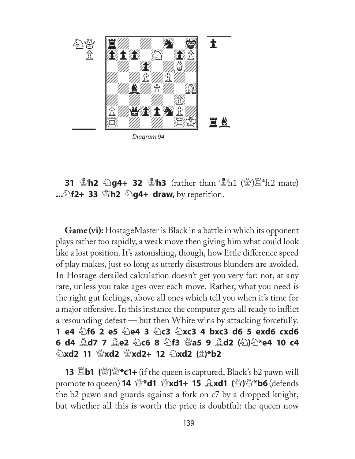

Diagram 94

**31** K**h2** N**g4+ 32** K**h3** (rather than Kh1 (Q)R\*h2 mate) **...** $\triangle$ **f2+ 33**  $\triangle$ **h2**  $\triangle$ **g4+ draw,** by repetition.

**Game (vi):** HostageMaster is Black in a battle in which its opponent plays rather too rapidly, a weak move then giving him what could look like a lost position. It's astonishing, though, how little difference speed of play makes, just so long as utterly disastrous blunders are avoided. In Hostage detailed calculation doesn't get you very far: not, at any rate, unless you take ages over each move. Rather, what you need is the right gut feelings, above all ones which tell you when it's time for a major offensive. In this instance the computer gets all ready to inflict a resounding defeat — but then White wins by attacking forcefully. **1 e4** N**f6 2 e5** N**e4 3** N**c3** N**xc3 4 bxc3 d6 5 exd6 cxd6 6 d4 ②d7 7 ③e2 ④c6 8 ④f3 營a5 9 ③d2 (④)④\*e4 10 c4** N**xd2 11** Q**xd2** Q**xd2+ 12** N**xd2 (**P**)\*b2**

**13** R**b1 (**Q**)**Q**\*c1+** (if the queen is captured, Black's b2 pawn will **promote to queen) 14**  $\mathcal{L}$  **<b>4 Qxd1+ 15**  $\mathcal{L}$ **xd1 (** $\mathcal{L}$ **)** $\mathcal{L}$  **<b>b6** (defends the b2 pawn and guards against a fork on c7 by a dropped knight, but whether all this is worth the price is doubtful: the queen now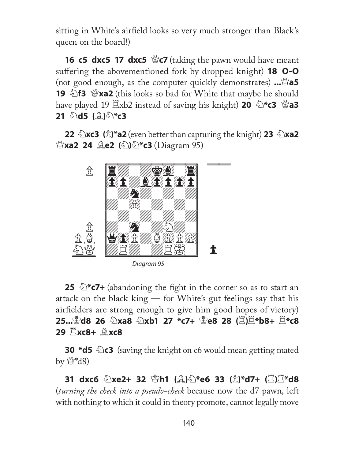sitting in White's airfield looks so very much stronger than Black's queen on the board!)

**16 c5 dxc5 17 dxc5** \caking the pawn would have meant suffering the abovementioned fork by dropped knight) **18 O-O** (not good enough, as the computer quickly demonstrates) **...**Q**a5 19 hata 3**  $\bullet$  **213 W**xa2 (this looks so bad for White that maybe he should **have played 19**  $\Xi$ **xb2 instead of saving his knight) <b>20**  $\Phi$ **\*c3**  $\Xi$ **a3 21** 幻**d5** (①)①\*c3

**22** *A***xc3** ( $\hat{\mathbb{Z}}$ )\*a2 (even better than capturing the knight) **23**  $\hat{\mathbb{Z}}$ xa2 **@xa2 24 <u>@e2</u> (**2) **exa3** (Diagram 95)



**25**  $\sum_{n=1}^{\infty}$  **E7+** (abandoning the fight in the corner so as to start an attack on the black king — for White's gut feelings say that his airfielders are strong enough to give him good hopes of victory) **25... Ad8 26 幻xa8 幻xb1 27 \*c7+ ੀe8 28 (E)** $\Xi$ **\*b8+**  $\Xi$ **\*c8 29** R**xc8+** B**xc8** 

**30 \*d5**  $\triangle$ c3 (saving the knight on c6 would mean getting mated by  $\mathbb{Q}^*d8$ 

**31 dxc6** N**xe2+ 32** K**h1 (**B**)**N**\*e6 33 (**P**)\*d7+ (**R**)**R**\*d8**  (*turning the check into a pseudo-check* because now the d7 pawn, left with nothing to which it could in theory promote, cannot legally move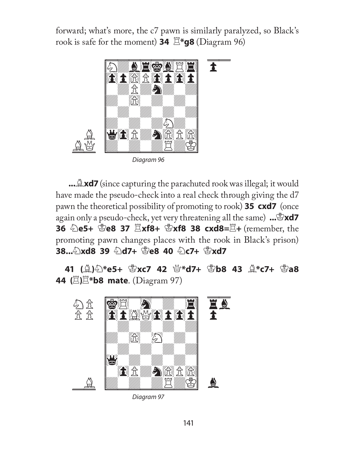forward; what's more, the c7 pawn is similarly paralyzed, so Black's rook is safe for the moment) **34**  $\mathbb{E}^*$ **g8** (Diagram 96)



**...**  $\triangle$ **xd7** (since capturing the parachuted rook was illegal; it would have made the pseudo-check into a real check through giving the d7 pawn the theoretical possibility of promoting to rook) **35 cxd7** (once **again only a pseudo-check, yet very threatening all the same)** ...  $\mathbb{E} \times \mathbf{d}$ **36** N**e5+** K**e8 37** R**xf8+** K**xf8 38 cxd8=**R**+** (remember, the promoting pawn changes places with the rook in Black's prison) **38...2xd8 39 2d7+ 曾e8 40 2c7+ 曾xd7** 

**41** (*A*)②\*e5+ ③xc7 42 ④\*d7+ ③b8 43 A\*c7+ ③a8 **44 (**R**)**R**\*b8 mate**. (Diagram 97)



Diagram 97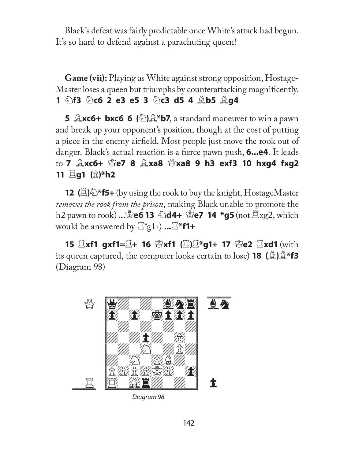Black's defeat was fairly predictable once White's attack had begun. It's so hard to defend against a parachuting queen!

**Game (vii):** Playing as White against strong opposition, Hostage-Master loses a queen but triumphs by counterattacking magnificently. **1** N**f3** N**c6 2 e3 e5 3** N**c3 d5 4** B**b5** B**g4** 

**5**  $\triangle$ **xc6+ bxc6 6** ( $\triangle$ ) $\triangle$ **\*b7**, a standard maneuver to win a pawn and break up your opponent's position, though at the cost of putting a piece in the enemy airfield. Most people just move the rook out of danger. Black's actual reaction is a fierce pawn push, **6...e4**. It leads to **7** B**xc6+** K**e7 8** B**xa8** Q**xa8 9 h3 exf3 10 hxg4 fxg2 11**  $\Xi$ **g1 (** $\hat{\mathbb{Z}}$ **)\*h2** 

**12 (** $\mathbb{E}$ **)**<sup>\*</sup>**f5+** (by using the rook to buy the knight, HostageMaster *removes the rook from the prison*, making Black unable to promote the h2 pawn to rook) **...**K**e6 13** N**d4+** K**e7 14 \*g5** (not Rxg2, which **would be answered by**  $\mathbb{E}^*$ **g1+)** ... $\mathbb{E}^*$ f1+

**15**  $\Xi$ **xf1 gxf1=** $\Xi$ **+ 16**  $\mathscr{L}$ **xf1 (** $\Xi$ **)** $\Xi$ **\*g1+ 17**  $\mathscr{L}$ **e2**  $\Xi$ **xd1 (with its queen captured, the computer looks certain to lose) <b>18** ( $\triangleq$ ) $\triangleq$ \***f3** (Diagram 98)



Diagram 98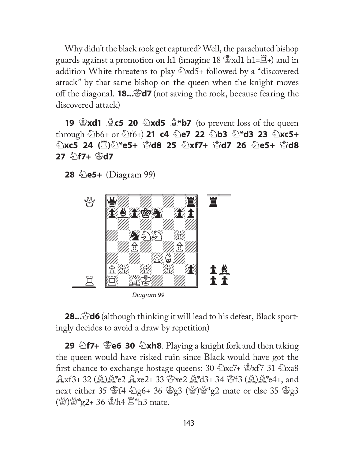Why didn't the black rook get captured? Well, the parachuted bishop guards against a promotion on h1 (imagine 18  $\mathscr{B}$ xd1 h1= $\mathscr{E}$ +) and in addition White threatens to play  $\triangle$ xd5+ followed by a "discovered" attack" by that same bishop on the queen when the knight moves off the diagonal. **18...**K**d7** (not saving the rook, because fearing the discovered attack)

**19 \$xd1**  $\triangle$ **c5 20**  $\triangle$ **xd5**  $\triangle$ **\*b7** (to prevent loss of the queen through  $\bigcirc \ 0$ b6+ or  $\bigcirc \ 0$ f6+) **21 c4**  $\bigcirc \ 0$ e7 22  $\bigcirc \ 0$ b3  $\bigcirc \$ \*d3 23  $\bigcirc \$ xc5+ N**xc5 24 (**R**)**N**\*e5+** K**d8 25** N**xf7+** K**d7 26** N**e5+** K**d8 27** N**f7+** K**d7** 

**28 Diagram** 99)



**28...**&**d6** (although thinking it will lead to his defeat, Black sportingly decides to avoid a draw by repetition)

**29 hata 17+ \text{\endef 30**  $\&$ **xh8**. Playing a knight fork and then taking the queen would have risked ruin since Black would have got the first chance to exchange hostage queens:  $30 \text{ kx7} + \text{ kx7}$   $31 \text{ kx3}$ **Axf3+32 (A)A\*e2 Axe2+33 \cdots** e2 A\*d3+34 \cdots (A)A\*e4+, and next either 35 \f4 \less \f4 \engther 36 \ff \geqs (\ff \geqs')\frac{\frac{y}{g}}^{2} mate or else 35 \frac{\f}\geqs}\$ g3  $(\%)^{\omega}$ \*g2+ 36  $\circled{F}$ h4  $\Xi$ \*h3 mate.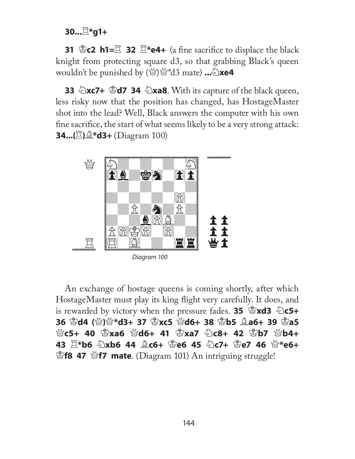**30...** $E$ **\*g1+** 

**31** K**c2 h1=**R **32** R**\*e4+** (a fi ne sacrifi ce to displace the black knight from protecting square d3, so that grabbing Black's queen wouldn't be punished by  $(\mathcal{C})\mathcal{C}^*$ d3 mate) ... $\mathcal{D}$ **xe4** 

**33 Exc7+ <b>Ed7 34 Exa8**. With its capture of the black queen, less risky now that the position has changed, has HostageMaster shot into the lead? Well, Black answers the computer with his own fine sacrifice, the start of what seems likely to be a very strong attack: **34...(**R**)**B**\*d3+** (Diagram 100)



An exchange of hostage queens is coming shortly, after which HostageMaster must play its king flight very carefully. It does, and is rewarded by victory when the pressure fades. **35 \$xd3 \$c5+ 36** K**d4 (**Q**)**Q**\*d3+ 37** K**xc5** Q**d6+ 38** K**b5** B**a6+ 39** K**a5**  Q**c5+ 40** K**xa6** Q**d6+ 41** K**xa7** N**c8+ 42** K**b7** Q**b4+ 43** R**\*b6** N**xb6 44** B**c6+** K**e6 45** N**c7+** K**e7 46** Q**\*e6+ F8 47** \frace. (Diagram 101) An intriguing struggle!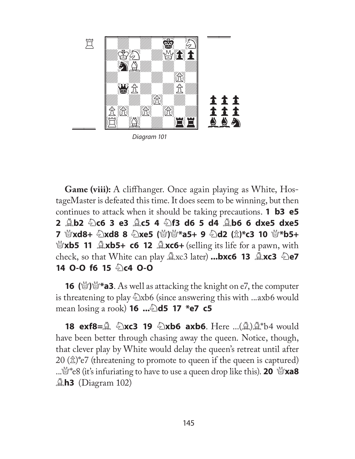

Diagram 101

**Game (viii):** A cliffhanger. Once again playing as White, HostageMaster is defeated this time. It does seem to be winning, but then continues to attack when it should be taking precautions. **1 b3 e5 2** B**b2** N**c6 3 e3** B**c5 4** N**f3 d6 5 d4** B**b6 6 dxe5 dxe5 7** Q**xd8+** N**xd8 8** N**xe5 (**Q**)**Q**\*a5+ 9** N**d2 (**P**)\*c3 10** Q**\*b5+ Exptrement 11**  $\triangle$ **xb5+ c6 12**  $\triangle$ **xc6+** (selling its life for a pawn, with **check, so that White can play**  $\triangle$ **xc3 later) ...bxc6 13**  $\triangle$ **xc3**  $\triangle$ **e7 14 O-O f6 15 2 c4 O-O** 

**16 (**Q**)**Q**\*a3**. As well as attacking the knight on e7, the computer is threatening to play  $\triangle$ xb6 (since answering this with ...axb6 would **mean losing a rook) <b>16 ...** $\triangle$ **d5 17 \*e7 c5** 

**18 exf8=** $\triangle$  $\triangle$ **xc3 19**  $\triangle$ **xb6 axb6**. Here ...( $\triangle$ ) $\triangle$ \*b4 would have been better through chasing away the queen. Notice, though, that clever play by White would delay the queen's retreat until after  $20 \text{ (} \hat{\mathbb{Z}} \text{)}^*$ e7 (threatening to promote to queen if the queen is captured) ...<sup> $\mathcal{Q}^*$ e8 (it's infuriating to have to use a queen drop like this). **20**  $\mathcal{Q}$ **xa8**</sup> B**h3** (Diagram 102)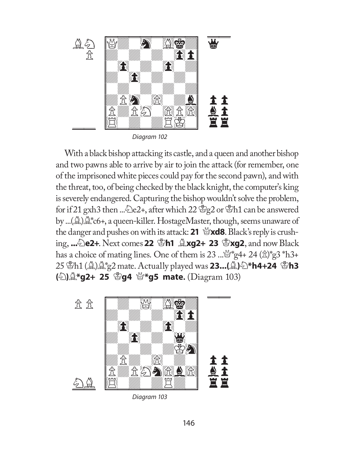

Diagram 102

With a black bishop attacking its castle, and a queen and another bishop and two pawns able to arrive by air to join the attack (for remember, one of the imprisoned white pieces could pay for the second pawn), and with the threat, too, of being checked by the black knight, the computer's king is severely endangered. Capturing the bishop wouldn't solve the problem, for if 21 gxh3 then ... De2+, after which 22  $g$  and  $h$  can be answered by ...(B)B\*c6+, a queen-killer. HostageMaster, though, seems unaware of the danger and pushes on with its attack: **21** Q**xd8**. Black's reply is crushing, **...**N**e2+**. Next comes**22** K**h1** B**xg2+ 23** K**xg2**, and now Black has a choice of mating lines. One of them is 23 ...  $\mathbb{Q}^*$ g4+ 24 ( $\hat{\mathbb{Z}}$ )\*g3 \*h3+ 25 Kh1 (B)B\*g2 mate. Actually played was **23...(**B**)**N**\*h4+24** K**h3 (** $\bigcirc$ ) $\bigcirc$ **\*g2+ 25**  $\bigcirc$ **g4**  $\bigcirc$ **\*g5 mate.** (Diagram 103)



Diagram 103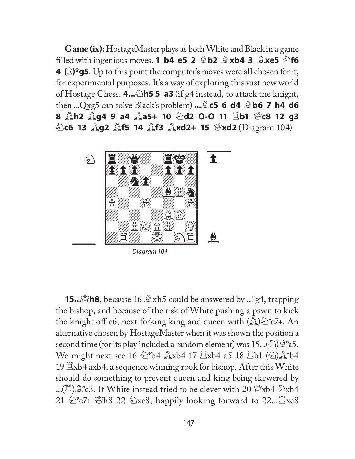**Game (ix):** HostageMaster plays as both White and Black in a game **filled with ingenious moves. <b>1 b4 e5 2**  $\triangle$ **b2**  $\triangle$ **xb4 3**  $\triangle$ **xe5**  $\triangle$ **f6 4** ( $\hat{\mathbb{Z}}$ )\***g5**. Up to this point the computer's moves were all chosen for it, for experimental purposes. It's a way of exploring this vast new world of Hostage Chess. **4...**N**h5 5 a3** (if g4 instead, to attack the knight, then ...Qxg5 can solve Black's problem) **...**B**c5 6 d4** B**b6 7 h4 d6 8 এh2 এg4 9 a4 এa5+ 10 2d2 O-O 11 gb1 ៉(c8 12 g3** N**c6 13** B**g2** B**f5 14** B**f3** B**xd2+ 15** Q**xd2** (Diagram 104)



**15... h8**, because 16  $\&$ xh5 could be answered by ... \*g4, trapping the bishop, and because of the risk of White pushing a pawn to kick the knight off c6, next forking king and queen with  $\mathcal{L}^{\infty}(\mathbb{R})$  =  $\mathbb{Z}^*$  e7+. An alternative chosen by HostageMaster when it was shown the position a second time (for its play included a random element) was  $15...(2)$  $\mathcal{L}^*$ a5. We might next see 16  $\circledast$ \*b4  $\&xb4$  17  $\&xb4$  a5 18  $\&bb1$  ( $\circledast$ ) $\&$ \*b4 19  $\Xi$ xb4 axb4, a sequence winning rook for bishop. After this White should do something to prevent queen and king being skewered by ...( $\mathbb{E}$ ) $\mathbb{Q}^*$ c3. If White instead tried to be clever with 20  $\mathbb{Z}$ xb4  $\mathbb{\triangle}$ xb4 21  $\&$ \*e7+ \&Be 22  $\&$ xc8, happily looking forward to 22... $\&$ xc8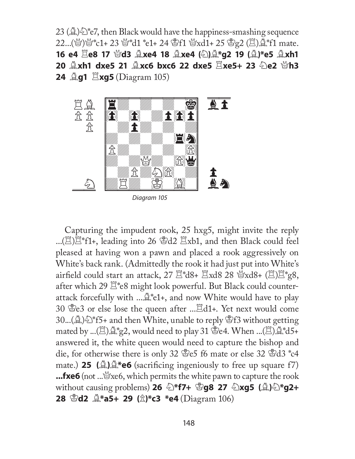23 ( $\Delta \geq$ ) $\geq$ \*e7, then Black would have the happiness-smashing sequence 22...(營)營\*c1+ 23 營\*d1 \*e1+ 24 雪f1 營xd1+ 25 雪g2 (罝)奠\*f1 mate. 16 e4  $\Xi$ e8 17 ៉d3  $\triangle$ xe4 18  $\triangle$ xe4 (公) $\triangle$ \*g2 19 ( $\triangle$ )\*e5  $\triangle$ xh1 **20**  $\triangle$ **xh1 dxe5 21**  $\triangle$ **xc6 bxc6 22 dxe5**  $\Xi$ **xe5+ 23**  $\triangle$ **e2**  $\triangle$ **h3 24 <b>Ag1**  $\Xi$ **xg5** (Diagram 105)



Capturing the impudent rook, 25 hxg5, might invite the reply ...( $\mathbb{E}\mathbb{E}^*$ f1+, leading into 26  $\mathbb{E}$ d2  $\mathbb{E}$ xb1, and then Black could feel pleased at having won a pawn and placed a rook aggressively on White's back rank. (Admittedly the rook it had just put into White's airfield could start an attack,  $27 \stackrel{\text{m}}{=} 18 + 12 \times 18 + 28 \times 18 + 12 = 8$ , after which 29  $\mathbb{E}^*$ e8 might look powerful. But Black could counterattack forcefully with  $\ldots \mathcal{L}^*e1+$ , and now White would have to play 30  $\text{\&}e3$  or else lose the queen after ... $\text{\&}d1+$ . Yet next would come 30...( $\Delta$ ) $\triangle$ \*f5+ and then White, unable to reply  $\triangle$ f3 without getting mated by ...( $\Xi$ ) $\triangleq$ \*g2, would need to play 31  $\triangleq$ e4. When ...( $\Xi$ ) $\triangleq$ \*d5+ answered it, the white queen would need to capture the bishop and die, for otherwise there is only 32  $\mathscr{E}e5$  f6 mate or else 32  $\mathscr{E}d3$   $^*c4$ mate.) **25** ( $\triangle$ ) $\triangle$ \*e6 (sacrificing ingeniously to free up square f7) **...fxe6** (not ...  $\mathbb{S}$ xe6, which permits the white pawn to capture the rook **without causing problems) 26**  $\triangle$ **\*f7+**  $\triangle$ **g8 27**  $\triangle$ **xg5 (** $\triangle$ **)** $\triangle$ **\*g2+ 28** K**d2** B**\*a5+ 29 (**P**)\*c3 \*e4** (Diagram 106)

148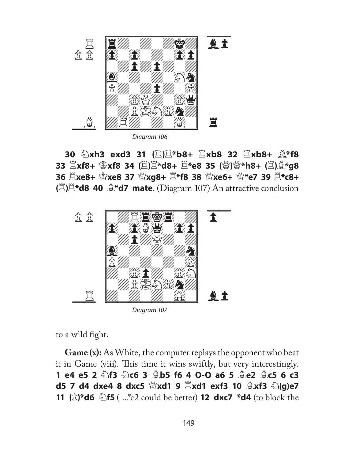

N**xh3 exd3 31 (**R**)**R**\*b8+** R**xb8 32** R**xb8+** B**\*f8**  R**xf8+** K**xf8 34 (**R**)**R**\*d8+** R**\*e8 35 (**Q**)**Q**\*h8+ (**R**)**B**\*g8**  R**xe8+** K**xe8 37** Q**xg8+** R**\*f8 38** Q**xe6+** Q**\*e7 39** R**\*c8+ (** $\Xi$ **)** $\Xi^*$ **d8 40**  $\Delta^*$ **d7 mate. (Diagram 107) An attractive conclusion** 



to a wild fight.

**Game (x):** As White, the computer replays the opponent who beat it in Game (viii). This time it wins swiftly, but very interestingly. **1 e4 e5 2** N**f3** N**c6 3** B**b5 f6 4 O-O a6 5** B**e2** B**c5 6 c3 d5 7 d4 dxe4 8 dxc5**  $\mathcal{L}$ **xd1 9**  $\mathbb{Z}$ **xd1 exf3 10**  $\mathbb{Z}$ **xf3**  $\mathbb{Z}$ **(g)e7 11 (**P**)\*d6** N**f5** ( ...\*c2 could be better) **12 dxc7 \*d4** (to block the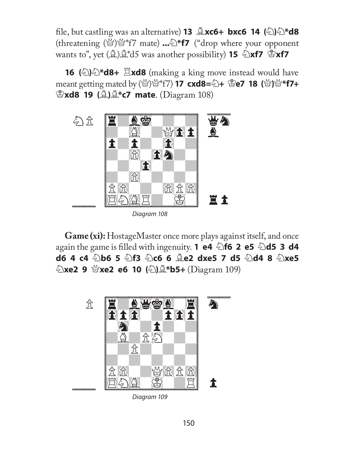**file, but castling was an alternative) <b>13**  $\triangle$ **xc6+ bxc6 14** ( $\triangle$ ) $\triangle$ \***d8** (threatening (Q)Q\*f7 mate) **...**N**\*f7** ("drop where your opponent **wants to", yet (** $\triangleq$ **)** $\triangleq$ **\*d5 was another possibility) <b>15**  $\triangleq$ **xf7**  $\triangleq$ **xf7** 

**16** ( $\Diamond$ )  $\Diamond$  **\*d8+**  $\Xi$ **xd8** (making a king move instead would have meant getting mated by (Q)Q\*f7) **17 cxd8=**N**+** K**e7 18 (**Q**)**Q**\*f7+**  K**xd8 19 (**B**)**B**\*c7 mate**. (Diagram 108)



**Game (xi):** HostageMaster once more plays against itself, and once again the game is filled with ingenuity. **1 e4 2f6 2 e5 2d5 3 d4 d6 4 c4**  $\triangle$ **b6 5**  $\triangle$ **f3**  $\triangle$ **c6 6**  $\triangle$ **e2 dxe5 7 d5**  $\triangle$ **d4 8**  $\triangle$ **xe5** *<sup>1</sup>***)xe2 9 營xe2 e6 10 (2) 

(<sup>2</sup>) → <sup>2</sup> \*b5+** (Diagram 109)



Diagram 109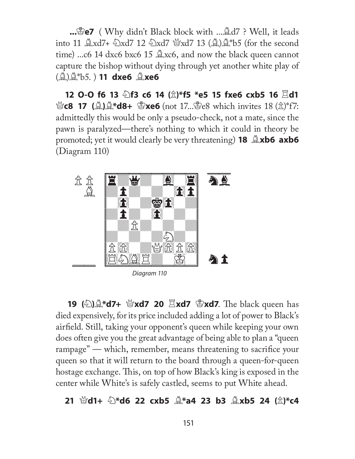**...**K**e7** ( Why didn't Black block with ...Bd7 ? Well, it leads into 11  $\triangle x d7 + \triangle x d7$  12  $\triangle x d7 \cong x d7$  13 ( $\triangle x d^*b5$  (for the second time) ...c6 14 dxc6 bxc6 15  $\triangle x$ c6, and now the black queen cannot capture the bishop without dying through yet another white play of (B)B\*b5. ) **11 dxe6** B**xe6** 

**12 O-O f6 13**  $\hat{\otimes}$ **f3 c6 14**  $(\hat{\otimes})$ **\*f5 \*e5 15 fxe6 cxb5 16**  $\hat{\boxtimes}$ **d1**  $\mathcal{L}(\hat{\mathbf{A}}) = \mathbf{17}$  ( $\hat{\mathbf{A}}$ ) $\hat{\mathbf{A}}$ **\*d8+**  $\hat{\mathbf{B}}$ **xe6** (not 17...  $\hat{\mathbf{B}}$ e8 which invites 18 ( $\hat{\mathbf{A}}$ ) \*f7: admittedly this would be only a pseudo-check, not a mate, since the pawn is paralyzed—there's nothing to which it could in theory be **promoted; yet it would clearly be very threatening) <b>18** *Axb6* **axb6** (Diagram 110)



Diagram 110

**19 (** $\bullet$ ) $\bullet$ **\*d7+**  $\bullet$ **xd7 20**  $\Xi$ **xd7**  $\bullet$ **xd7**. The black queen has died expensively, for its price included adding a lot of power to Black's airfield. Still, taking your opponent's queen while keeping your own does often give you the great advantage of being able to plan a "queen rampage" — which, remember, means threatening to sacrifice your queen so that it will return to the board through a queen-for-queen hostage exchange. This, on top of how Black's king is exposed in the center while White's is safely castled, seems to put White ahead.

## **21** Q**d1+** N**\*d6 22 cxb5** B**\*a4 23 b3** B**xb5 24 (**P**)\*c4**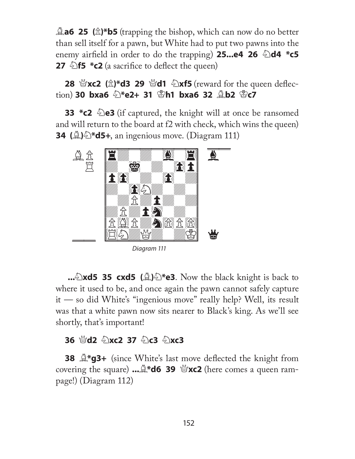**and 25** ( $\hat{\mathbb{Z}}$ )\***b5** (trapping the bishop, which can now do no better than sell itself for a pawn, but White had to put two pawns into the **enemy airfield in order to do the trapping) 25...e4 26**  $\triangle$ **d4 \*c5 27**  $\triangle$ **f5 \*c2** (a sacrifice to deflect the queen)

**28**  $\frac{M}{2}$ **xc2 (** $\frac{A}{D}$ **)\*d3 29**  $\frac{M}{2}$ **d1**  $\frac{D}{D}$ **xf5 (reward for the queen deflec**tion) **30 bxa6** N**\*e2+ 31** K**h1 bxa6 32** B**b2** K**c7** 

**33 \*c2**  $\triangle$ e3 (if captured, the knight will at once be ransomed and will return to the board at f2 with check, which wins the queen) **34 (**B**)**N**\*d5+**, an ingenious move. (Diagram 111)



Diagram 111

**...** $\triangle$ **xd5 35 cxd5** ( $\triangle$ ) $\triangle$ \***e3**. Now the black knight is back to where it used to be, and once again the pawn cannot safely capture it — so did White's "ingenious move" really help? Well, its result was that a white pawn now sits nearer to Black's king. As we'll see shortly, that's important!

## **36** Q**d2** N**xc2 37** N**c3** N**xc3**

**38**  $\mathbb{Q}^*$ **g3+** (since White's last move deflected the knight from **covering the square) ...**  $\mathbb{R}^*$ **d6 39**  $\mathbb{C}$ **<b>xc2** (here comes a queen rampage!) (Diagram 112)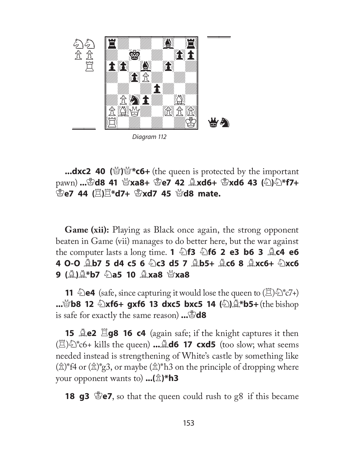

Diagram 112

**...dxc2 40 (**Q**)**Q**\*c6+** (the queen is protected by the important pawn) **...**K**d8 41** Q**xa8+** K**e7 42** B**xd6+** K**xd6 43 (**N**)**N**\*f7+**  *L***<sub>** $\mathbb{E}$ **<b>25 44** ( $\mathbb{Z}$ ) $\mathbb{Z}$ \*d7+ <sup>B</sup>xd7 45 *P*d8 mate.</sub>

**Game (xii):** Playing as Black once again, the strong opponent beaten in Game (vii) manages to do better here, but the war against the computer lasts a long time. **1** N**f3** N**f6 2 e3 b6 3** B**c4 e6 4 O-O** B**b7 5 d4 c5 6** N**c3 d5 7** B**b5+** B**c6 8** B**xc6+** N**xc6 9** ( $\stackrel{\triangle}{\cong}$ ) $\stackrel{\triangle}{\cong}$ \*b7  $\stackrel{\triangle}{\cong}$ a5 10  $\stackrel{\triangle}{\cong}$ xa8  $\stackrel{\triangle}{\cong}$ xa8

**11**  $\triangle$ **e4** (safe, since capturing it would lose the queen to  $(\triangle)$  $\triangle$ \*c7+) **...**Q**b8 12** N**xf6+ gxf6 13 dxc5 bxc5 14 (**N**)**B**\*b5+** (the bishop is safe for exactly the same reason) **...**K**d8** 

**15 <b>Le2 Eg8 16 c4** (again safe; if the knight captures it then  $(\mathbb{E})\oplus$ <sup>\*</sup>c6+ kills the queen) ... $\mathbb{E}$ **d6 17 cxd5** (too slow; what seems needed instead is strengthening of White's castle by something like  $(\hat{\mathbb{Z}})^*$ f4 or  $(\hat{\mathbb{Z}})^*$ g3, or maybe  $(\hat{\mathbb{Z}})^*$ h3 on the principle of dropping where your opponent wants to) **...(**P**)\*h3** 

**18 g3** \**Pe7**, so that the queen could rush to g8 if this became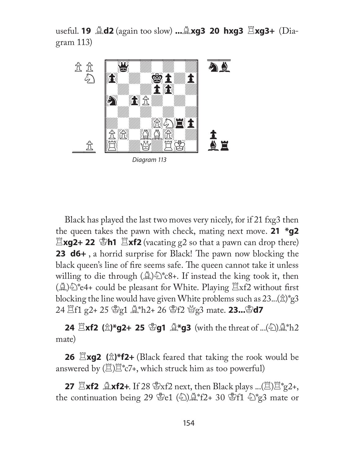useful. **19** B**d2** (again too slow) **...**B**xg3 20 hxg3** R**xg3+** (Diagram 113)



Black has played the last two moves very nicely, for if 21 fxg3 then the queen takes the pawn with check, mating next move. **21 \*g2 Exg2+ 22 \Sh1 Exf2** (vacating g2 so that a pawn can drop there) **23 d6+**, a horrid surprise for Black! The pawn now blocking the black queen's line of fire seems safe. The queen cannot take it unless willing to die through  $(\mathcal{L})\mathcal{L}^*c8+$ . If instead the king took it, then  $(\mathbb{A})\hat{\otimes}^*$ e4+ could be pleasant for White. Playing  $\Xi$ xf2 without first blocking the line would have given White problems such as  $23...(x)$ <sup>\*</sup>g3 24  $\Xi$ f1 g2+ 25  $\mathscr{L}_{g1}$   $\mathscr{L}_{h2}$ + 26  $\mathscr{L}_{f2}$   $\mathscr{L}_{g3}$  mate. **23...** $\mathscr{L}_{d7}$ 

**24**  $\Xi$ **xf2 (** $\hat{\mathbb{Z}}$ **)\*g2+ 25**  $\mathbb{Z}$ **g1**  $\mathbb{Z}$ **\*g3 (with the threat of ...(** $\Xi$ **)** $\mathbb{Z}$ **\*h2** mate)

**26**  $\Xi$ **xg2 (** $\hat{\mathbb{Z}}$ **)\*f2+** (Black feared that taking the rook would be answered by  $(\mathbb{E})\mathbb{E}^*c7$ +, which struck him as too powerful)

**27**  $\mathbb{E}$ **xf2**  $\mathbb{L}$ **xf2**+. If 28  $\mathbb{E}$ xf2 next, then Black plays ...( $\mathbb{E}$ ) $\mathbb{E}$ <sup>\*</sup>g2+, the continuation being 29  $\mathscr{L}_{e1}(\mathscr{L})\mathscr{L}_{f2+}^*$  30  $\mathscr{L}_{f1}\mathscr{L}_{g3}^*$  mate or